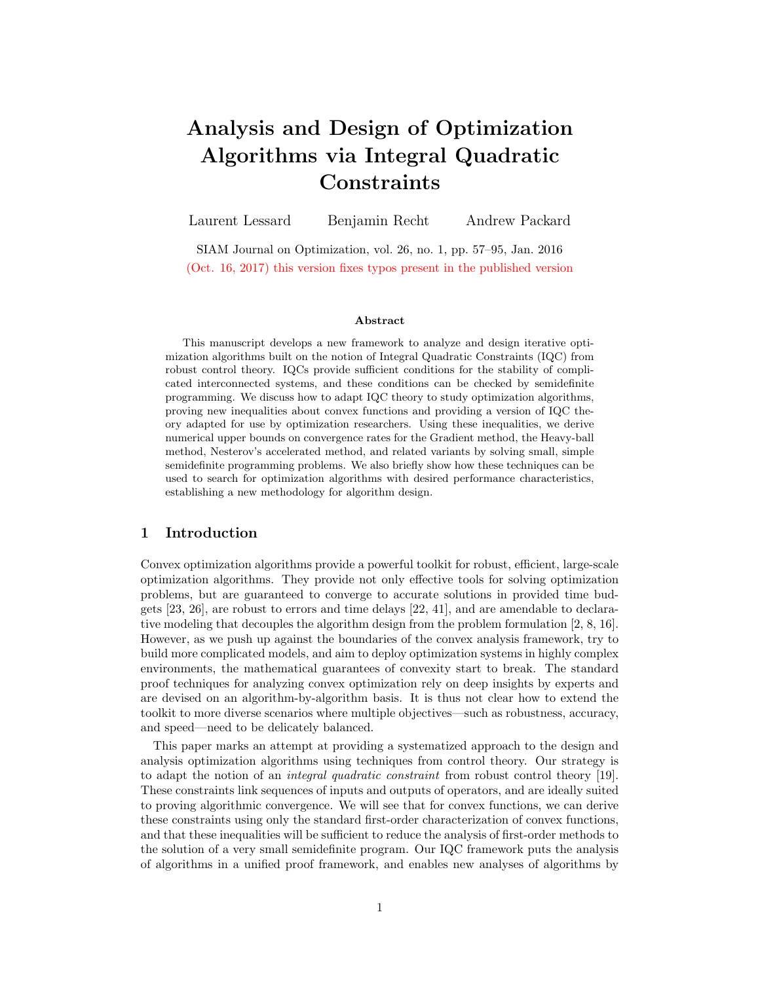# Analysis and Design of Optimization Algorithms via Integral Quadratic **Constraints**

Laurent Lessard Benjamin Recht Andrew Packard

SIAM Journal on Optimization, vol. 26, no. 1, pp. 57–95, Jan. 2016 (Oct. 16, 2017) this version fixes typos present in the published version

## Abstract

This manuscript develops a new framework to analyze and design iterative optimization algorithms built on the notion of Integral Quadratic Constraints (IQC) from robust control theory. IQCs provide sufficient conditions for the stability of complicated interconnected systems, and these conditions can be checked by semidefinite programming. We discuss how to adapt IQC theory to study optimization algorithms, proving new inequalities about convex functions and providing a version of IQC theory adapted for use by optimization researchers. Using these inequalities, we derive numerical upper bounds on convergence rates for the Gradient method, the Heavy-ball method, Nesterov's accelerated method, and related variants by solving small, simple semidefinite programming problems. We also briefly show how these techniques can be used to search for optimization algorithms with desired performance characteristics, establishing a new methodology for algorithm design.

# 1 Introduction

Convex optimization algorithms provide a powerful toolkit for robust, efficient, large-scale optimization algorithms. They provide not only effective tools for solving optimization problems, but are guaranteed to converge to accurate solutions in provided time budgets [\[23,](#page-35-0) [26\]](#page-35-1), are robust to errors and time delays [\[22,](#page-35-2) [41\]](#page-36-0), and are amendable to declarative modeling that decouples the algorithm design from the problem formulation [\[2,](#page-34-0) [8,](#page-34-1) [16\]](#page-35-3). However, as we push up against the boundaries of the convex analysis framework, try to build more complicated models, and aim to deploy optimization systems in highly complex environments, the mathematical guarantees of convexity start to break. The standard proof techniques for analyzing convex optimization rely on deep insights by experts and are devised on an algorithm-by-algorithm basis. It is thus not clear how to extend the toolkit to more diverse scenarios where multiple objectives—such as robustness, accuracy, and speed—need to be delicately balanced.

This paper marks an attempt at providing a systematized approach to the design and analysis optimization algorithms using techniques from control theory. Our strategy is to adapt the notion of an *integral quadratic constraint* from robust control theory [\[19\]](#page-35-4). These constraints link sequences of inputs and outputs of operators, and are ideally suited to proving algorithmic convergence. We will see that for convex functions, we can derive these constraints using only the standard first-order characterization of convex functions, and that these inequalities will be sufficient to reduce the analysis of first-order methods to the solution of a very small semidefinite program. Our IQC framework puts the analysis of algorithms in a unified proof framework, and enables new analyses of algorithms by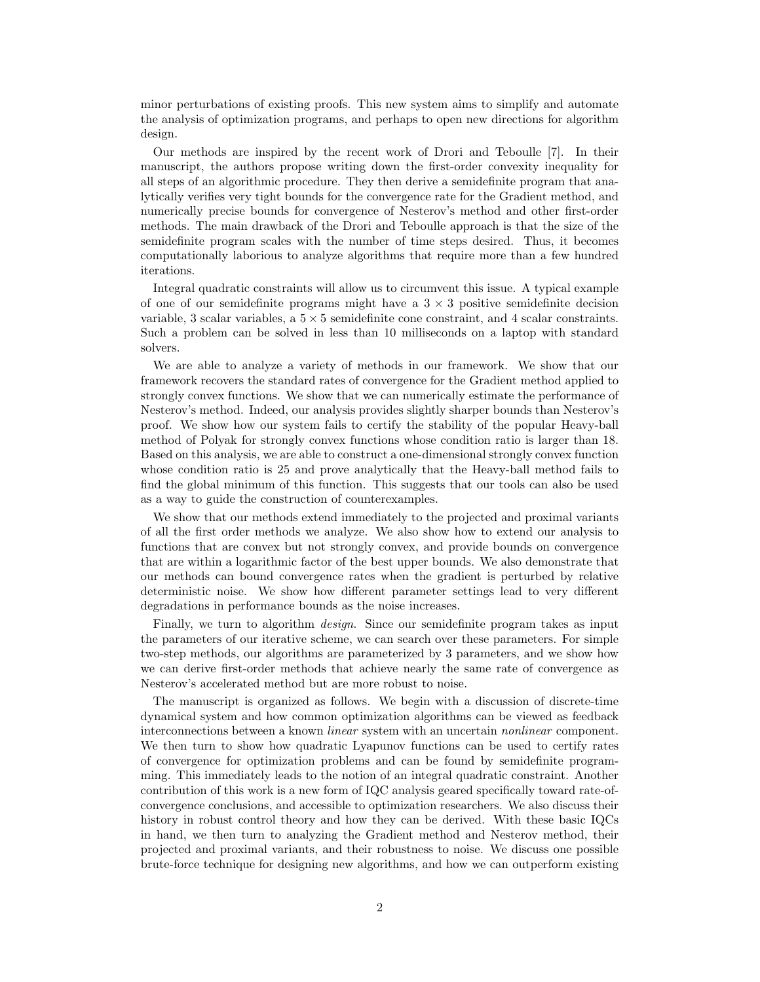minor perturbations of existing proofs. This new system aims to simplify and automate the analysis of optimization programs, and perhaps to open new directions for algorithm design.

Our methods are inspired by the recent work of Drori and Teboulle [\[7\]](#page-34-2). In their manuscript, the authors propose writing down the first-order convexity inequality for all steps of an algorithmic procedure. They then derive a semidefinite program that analytically verifies very tight bounds for the convergence rate for the Gradient method, and numerically precise bounds for convergence of Nesterov's method and other first-order methods. The main drawback of the Drori and Teboulle approach is that the size of the semidefinite program scales with the number of time steps desired. Thus, it becomes computationally laborious to analyze algorithms that require more than a few hundred iterations.

Integral quadratic constraints will allow us to circumvent this issue. A typical example of one of our semidefinite programs might have a  $3 \times 3$  positive semidefinite decision variable, 3 scalar variables, a  $5 \times 5$  semidefinite cone constraint, and 4 scalar constraints. Such a problem can be solved in less than 10 milliseconds on a laptop with standard solvers.

We are able to analyze a variety of methods in our framework. We show that our framework recovers the standard rates of convergence for the Gradient method applied to strongly convex functions. We show that we can numerically estimate the performance of Nesterov's method. Indeed, our analysis provides slightly sharper bounds than Nesterov's proof. We show how our system fails to certify the stability of the popular Heavy-ball method of Polyak for strongly convex functions whose condition ratio is larger than 18. Based on this analysis, we are able to construct a one-dimensional strongly convex function whose condition ratio is 25 and prove analytically that the Heavy-ball method fails to find the global minimum of this function. This suggests that our tools can also be used as a way to guide the construction of counterexamples.

We show that our methods extend immediately to the projected and proximal variants of all the first order methods we analyze. We also show how to extend our analysis to functions that are convex but not strongly convex, and provide bounds on convergence that are within a logarithmic factor of the best upper bounds. We also demonstrate that our methods can bound convergence rates when the gradient is perturbed by relative deterministic noise. We show how different parameter settings lead to very different degradations in performance bounds as the noise increases.

Finally, we turn to algorithm *design*. Since our semidefinite program takes as input the parameters of our iterative scheme, we can search over these parameters. For simple two-step methods, our algorithms are parameterized by 3 parameters, and we show how we can derive first-order methods that achieve nearly the same rate of convergence as Nesterov's accelerated method but are more robust to noise.

The manuscript is organized as follows. We begin with a discussion of discrete-time dynamical system and how common optimization algorithms can be viewed as feedback interconnections between a known linear system with an uncertain nonlinear component. We then turn to show how quadratic Lyapunov functions can be used to certify rates of convergence for optimization problems and can be found by semidefinite programming. This immediately leads to the notion of an integral quadratic constraint. Another contribution of this work is a new form of IQC analysis geared specifically toward rate-ofconvergence conclusions, and accessible to optimization researchers. We also discuss their history in robust control theory and how they can be derived. With these basic IQCs in hand, we then turn to analyzing the Gradient method and Nesterov method, their projected and proximal variants, and their robustness to noise. We discuss one possible brute-force technique for designing new algorithms, and how we can outperform existing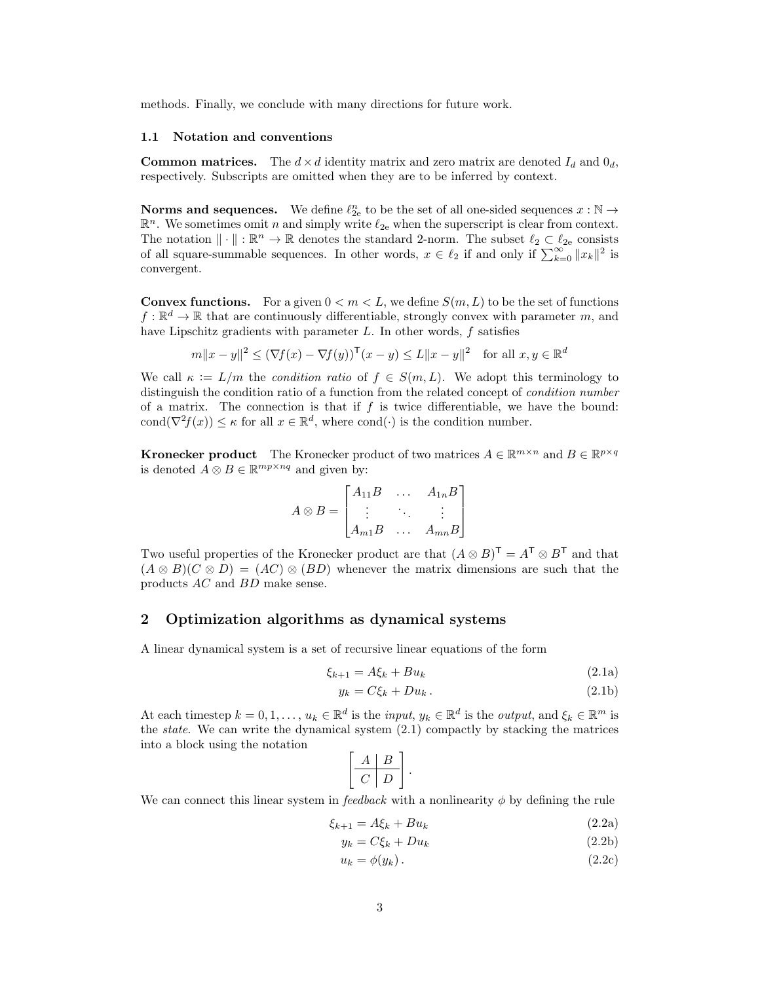methods. Finally, we conclude with many directions for future work.

## <span id="page-2-3"></span>1.1 Notation and conventions

**Common matrices.** The  $d \times d$  identity matrix and zero matrix are denoted  $I_d$  and  $0_d$ , respectively. Subscripts are omitted when they are to be inferred by context.

**Norms and sequences.** We define  $\ell_{2e}^n$  to be the set of all one-sided sequences  $x : \mathbb{N} \to \mathbb{N}$  $\mathbb{R}^n$ . We sometimes omit n and simply write  $\ell_{2e}$  when the superscript is clear from context. The notation  $\|\cdot\| : \mathbb{R}^n \to \mathbb{R}$  denotes the standard 2-norm. The subset  $\ell_2 \subset \ell_{2e}$  consists of all square-summable sequences. In other words,  $x \in \ell_2$  if and only if  $\sum_{k=0}^{\infty} ||x_k||^2$  is convergent.

**Convex functions.** For a given  $0 < m < L$ , we define  $S(m, L)$  to be the set of functions  $f: \mathbb{R}^d \to \mathbb{R}$  that are continuously differentiable, strongly convex with parameter  $m$ , and have Lipschitz gradients with parameter  $L$ . In other words,  $f$  satisfies

$$
m||x - y||^2 \le (\nabla f(x) - \nabla f(y))^{\mathsf{T}}(x - y) \le L||x - y||^2
$$
 for all  $x, y \in \mathbb{R}^d$ 

We call  $\kappa := L/m$  the condition ratio of  $f \in S(m, L)$ . We adopt this terminology to distinguish the condition ratio of a function from the related concept of *condition number* of a matrix. The connection is that if  $f$  is twice differentiable, we have the bound: cond $(\nabla^2 f(x)) \leq \kappa$  for all  $x \in \mathbb{R}^d$ , where cond $(\cdot)$  is the condition number.

**Kronecker product** The Kronecker product of two matrices  $A \in \mathbb{R}^{m \times n}$  and  $B \in \mathbb{R}^{p \times q}$ is denoted  $\overline{A} \otimes B \in \mathbb{R}^{mp \times nq}$  and given by:

$$
A \otimes B = \begin{bmatrix} A_{11}B & \dots & A_{1n}B \\ \vdots & \ddots & \vdots \\ A_{m1}B & \dots & A_{mn}B \end{bmatrix}
$$

Two useful properties of the Kronecker product are that  $(A \otimes B)^{\mathsf{T}} = A^{\mathsf{T}} \otimes B^{\mathsf{T}}$  and that  $(A \otimes B)(C \otimes D) = (AC) \otimes (BD)$  whenever the matrix dimensions are such that the products AC and BD make sense.

# <span id="page-2-2"></span>2 Optimization algorithms as dynamical systems

A linear dynamical system is a set of recursive linear equations of the form

$$
\xi_{k+1} = A\xi_k + Bu_k \tag{2.1a}
$$

$$
y_k = C\xi_k + Du_k. \tag{2.1b}
$$

At each timestep  $k = 0, 1, ..., u_k \in \mathbb{R}^d$  is the *input*,  $y_k \in \mathbb{R}^d$  is the *output*, and  $\xi_k \in \mathbb{R}^m$  is the state. We can write the dynamical system [\(2.1\)](#page-2-0) compactly by stacking the matrices into a block using the notation

$$
\left[\begin{array}{c|c} A & B \\ \hline C & D \end{array}\right]
$$

<span id="page-2-1"></span><span id="page-2-0"></span>.

We can connect this linear system in *feedback* with a nonlinearity  $\phi$  by defining the rule

$$
\xi_{k+1} = A\xi_k + Bu_k \tag{2.2a}
$$

$$
y_k = C\xi_k + Du_k \tag{2.2b}
$$

$$
u_k = \phi(y_k). \tag{2.2c}
$$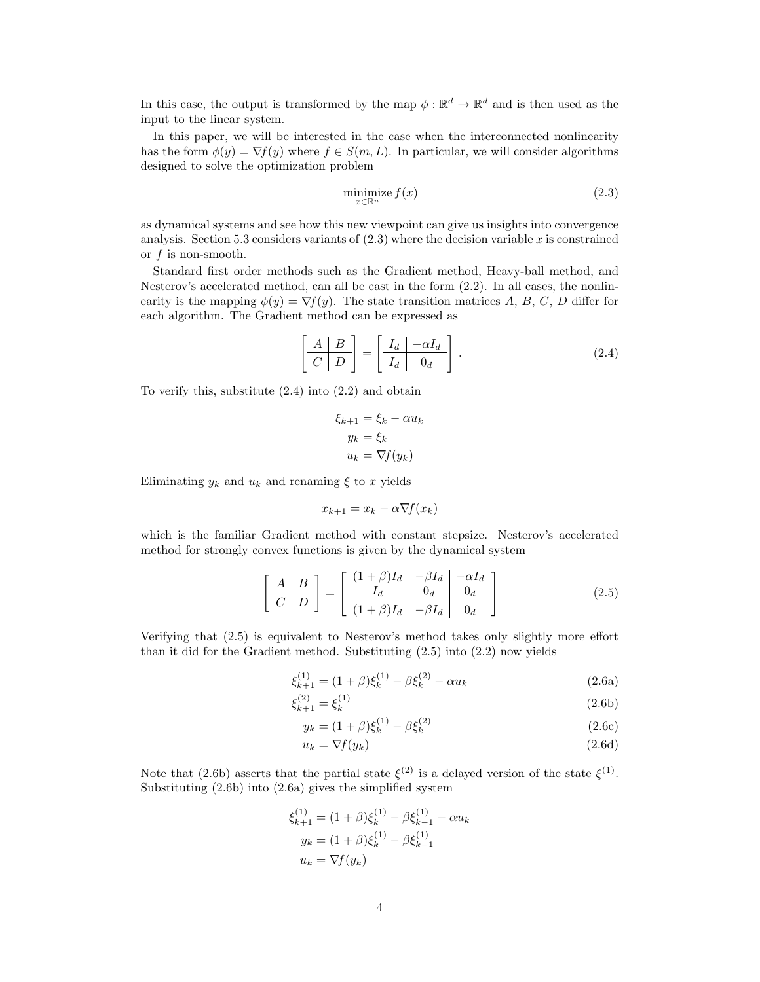In this case, the output is transformed by the map  $\phi : \mathbb{R}^d \to \mathbb{R}^d$  and is then used as the input to the linear system.

In this paper, we will be interested in the case when the interconnected nonlinearity has the form  $\phi(y) = \nabla f(y)$  where  $f \in S(m, L)$ . In particular, we will consider algorithms designed to solve the optimization problem

<span id="page-3-0"></span>
$$
\underset{x \in \mathbb{R}^n}{\text{minimize}} f(x) \tag{2.3}
$$

as dynamical systems and see how this new viewpoint can give us insights into convergence analysis. Section [5.3](#page-26-0) considers variants of  $(2.3)$  where the decision variable x is constrained or f is non-smooth.

Standard first order methods such as the Gradient method, Heavy-ball method, and Nesterov's accelerated method, can all be cast in the form [\(2.2\)](#page-2-1). In all cases, the nonlinearity is the mapping  $\phi(y) = \nabla f(y)$ . The state transition matrices A, B, C, D differ for each algorithm. The Gradient method can be expressed as

<span id="page-3-1"></span>
$$
\left[\begin{array}{c|c} A & B \\ \hline C & D \end{array}\right] = \left[\begin{array}{c|c} I_d & -\alpha I_d \\ \hline I_d & 0_d \end{array}\right].
$$
\n(2.4)

To verify this, substitute [\(2.4\)](#page-3-1) into [\(2.2\)](#page-2-1) and obtain

$$
\xi_{k+1} = \xi_k - \alpha u_k
$$

$$
y_k = \xi_k
$$

$$
u_k = \nabla f(y_k)
$$

Eliminating  $y_k$  and  $u_k$  and renaming  $\xi$  to x yields

$$
x_{k+1} = x_k - \alpha \nabla f(x_k)
$$

which is the familiar Gradient method with constant stepsize. Nesterov's accelerated method for strongly convex functions is given by the dynamical system

<span id="page-3-2"></span>
$$
\left[\begin{array}{c|c}\nA & B \\
\hline\nC & D\n\end{array}\right] = \left[\begin{array}{cc|c}\n(1+\beta)I_d & -\beta I_d & -\alpha I_d \\
I_d & 0_d & 0_d \\
(1+\beta)I_d & -\beta I_d & 0_d\n\end{array}\right]
$$
\n(2.5)

Verifying that [\(2.5\)](#page-3-2) is equivalent to Nesterov's method takes only slightly more effort than it did for the Gradient method. Substituting [\(2.5\)](#page-3-2) into [\(2.2\)](#page-2-1) now yields

$$
\xi_{k+1}^{(1)} = (1+\beta)\xi_k^{(1)} - \beta\xi_k^{(2)} - \alpha u_k \tag{2.6a}
$$

$$
\xi_{k+1}^{(2)} = \xi_k^{(1)} \tag{2.6b}
$$

<span id="page-3-4"></span><span id="page-3-3"></span>
$$
y_k = (1 + \beta)\xi_k^{(1)} - \beta\xi_k^{(2)}
$$
 (2.6c)

$$
u_k = \nabla f(y_k) \tag{2.6d}
$$

Note that [\(2.6b\)](#page-3-3) asserts that the partial state  $\xi^{(2)}$  is a delayed version of the state  $\xi^{(1)}$ . Substituting [\(2.6b\)](#page-3-3) into [\(2.6a\)](#page-3-4) gives the simplified system

$$
\xi_{k+1}^{(1)} = (1+\beta)\xi_k^{(1)} - \beta \xi_{k-1}^{(1)} - \alpha u_k
$$
  

$$
y_k = (1+\beta)\xi_k^{(1)} - \beta \xi_{k-1}^{(1)}
$$
  

$$
u_k = \nabla f(y_k)
$$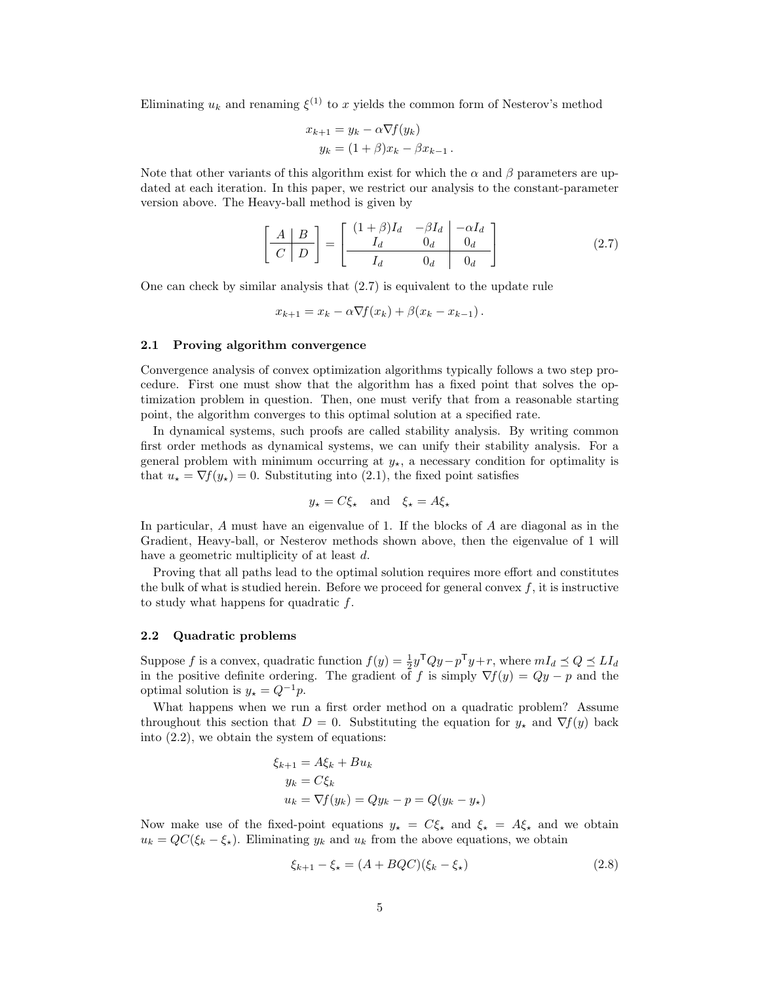Eliminating  $u_k$  and renaming  $\xi^{(1)}$  to x yields the common form of Nesterov's method

$$
x_{k+1} = y_k - \alpha \nabla f(y_k)
$$
  

$$
y_k = (1 + \beta)x_k - \beta x_{k-1}.
$$

Note that other variants of this algorithm exist for which the  $\alpha$  and  $\beta$  parameters are updated at each iteration. In this paper, we restrict our analysis to the constant-parameter version above. The Heavy-ball method is given by

<span id="page-4-0"></span>
$$
\left[\begin{array}{c|c}\nA & B \\
\hline\nC & D\n\end{array}\right] = \left[\begin{array}{cc|c}\n(1+\beta)I_d & -\beta I_d & -\alpha I_d \\
I_d & 0_d & 0_d \\
\hline\nI_d & 0_d & 0_d\n\end{array}\right]
$$
\n(2.7)

One can check by similar analysis that [\(2.7\)](#page-4-0) is equivalent to the update rule

$$
x_{k+1} = x_k - \alpha \nabla f(x_k) + \beta (x_k - x_{k-1}).
$$

#### <span id="page-4-3"></span>2.1 Proving algorithm convergence

Convergence analysis of convex optimization algorithms typically follows a two step procedure. First one must show that the algorithm has a fixed point that solves the optimization problem in question. Then, one must verify that from a reasonable starting point, the algorithm converges to this optimal solution at a specified rate.

In dynamical systems, such proofs are called stability analysis. By writing common first order methods as dynamical systems, we can unify their stability analysis. For a general problem with minimum occurring at  $y_{\star}$ , a necessary condition for optimality is that  $u_* = \nabla f(y_*) = 0$ . Substituting into [\(2.1\)](#page-2-0), the fixed point satisfies

$$
y_{\star} = C\xi_{\star}
$$
 and  $\xi_{\star} = A\xi_{\star}$ 

In particular, A must have an eigenvalue of 1. If the blocks of A are diagonal as in the Gradient, Heavy-ball, or Nesterov methods shown above, then the eigenvalue of 1 will have a geometric multiplicity of at least d.

Proving that all paths lead to the optimal solution requires more effort and constitutes the bulk of what is studied herein. Before we proceed for general convex  $f$ , it is instructive to study what happens for quadratic f.

# <span id="page-4-2"></span>2.2 Quadratic problems

Suppose f is a convex, quadratic function  $f(y) = \frac{1}{2}y^TQy - p^Ty + r$ , where  $mI_d \preceq Q \preceq LI_d$ in the positive definite ordering. The gradient of f is simply  $\nabla f(y) = Qy - p$  and the optimal solution is  $y_{\star} = Q^{-1}p$ .

What happens when we run a first order method on a quadratic problem? Assume throughout this section that  $D = 0$ . Substituting the equation for  $y<sub>*</sub>$  and  $\nabla f(y)$  back into [\(2.2\)](#page-2-1), we obtain the system of equations:

$$
\xi_{k+1} = A\xi_k + Bu_k
$$
  

$$
y_k = C\xi_k
$$
  

$$
u_k = \nabla f(y_k) = Qy_k - p = Q(y_k - y_\star)
$$

Now make use of the fixed-point equations  $y_{\star} = C\xi_{\star}$  and  $\xi_{\star} = A\xi_{\star}$  and we obtain  $u_k = QC(\xi_k - \xi_k)$ . Eliminating  $y_k$  and  $u_k$  from the above equations, we obtain

<span id="page-4-1"></span>
$$
\xi_{k+1} - \xi_{\star} = (A + BQC)(\xi_k - \xi_{\star})
$$
\n(2.8)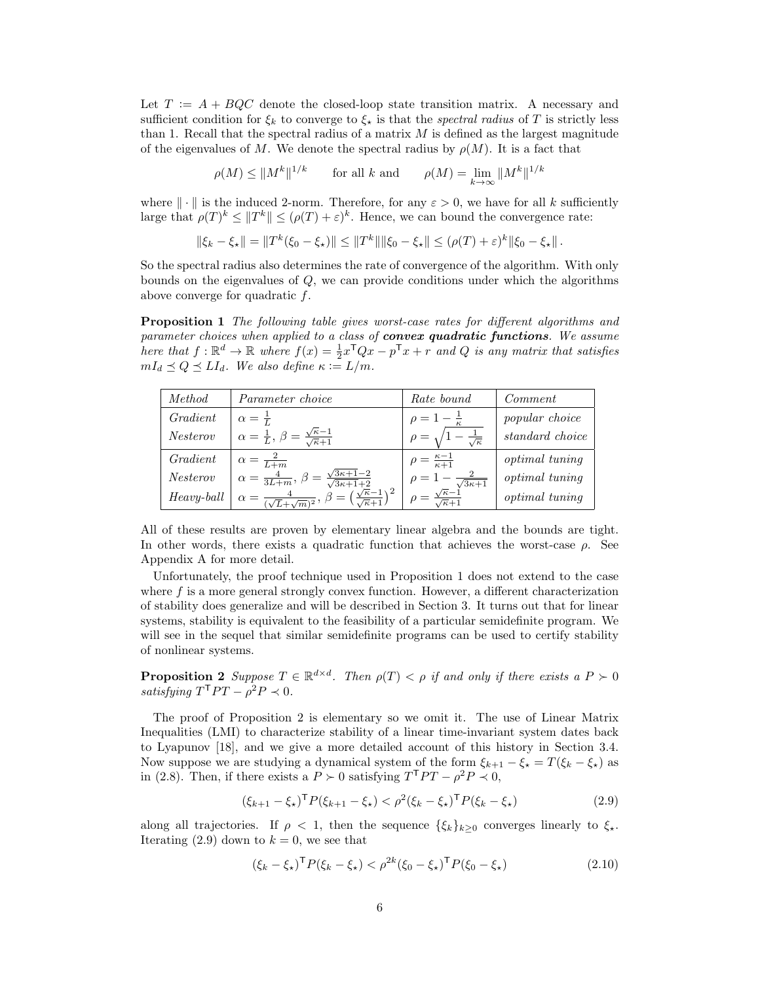Let  $T := A + BQC$  denote the closed-loop state transition matrix. A necessary and sufficient condition for  $\xi_k$  to converge to  $\xi_{\star}$  is that the spectral radius of T is strictly less than 1. Recall that the spectral radius of a matrix  $M$  is defined as the largest magnitude of the eigenvalues of M. We denote the spectral radius by  $\rho(M)$ . It is a fact that

$$
\rho(M) \leq \|M^k\|^{1/k} \qquad \text{for all } k \text{ and } \qquad \rho(M) = \lim_{k \to \infty} \|M^k\|^{1/k}
$$

where  $\|\cdot\|$  is the induced 2-norm. Therefore, for any  $\varepsilon > 0$ , we have for all k sufficiently large that  $\rho(T)^k \leq ||T^k|| \leq (\rho(T) + \varepsilon)^k$ . Hence, we can bound the convergence rate:

$$
\|\xi_k - \xi_\star\| = \|T^k(\xi_0 - \xi_\star)\| \le \|T^k\| \|\xi_0 - \xi_\star\| \le (\rho(T) + \varepsilon)^k \|\xi_0 - \xi_\star\|.
$$

So the spectral radius also determines the rate of convergence of the algorithm. With only bounds on the eigenvalues of  $Q$ , we can provide conditions under which the algorithms above converge for quadratic  $f$ .

<span id="page-5-0"></span>Proposition 1 The following table gives worst-case rates for different algorithms and parameter choices when applied to a class of **convex quadratic functions**. We assume here that  $f: \mathbb{R}^d \to \mathbb{R}$  where  $f(x) = \frac{1}{2}x^{\mathsf{T}}Qx - p^{\mathsf{T}}x + r$  and Q is any matrix that satisfies  $mI_d \preceq Q \preceq LI_d$ . We also define  $\kappa := L/m$ .

| Method     | Parameter choice                                                                    | Rate bound                                       | Comment               |
|------------|-------------------------------------------------------------------------------------|--------------------------------------------------|-----------------------|
| Gradient   | $\alpha = \frac{1}{\tau}$                                                           | $\rho = 1 - \frac{1}{2}$                         | popular choice        |
| Nesterov   | $\alpha = \frac{1}{L}, \beta = \frac{\sqrt{\kappa}-1}{\sqrt{\kappa}+1}$             | $\rho =$                                         | standard choice       |
| Gradient   | $\alpha = \frac{2}{L+m}$                                                            | $\rho = \frac{\kappa - 1}{\kappa + 1}$           | <i>optimal</i> tuning |
| Nesterov   | $\alpha = \frac{4}{3L+m}, \, \beta = \frac{\sqrt{3\kappa+1}-2}{\sqrt{3\kappa+1}+2}$ | $\frac{2}{\sqrt{3\kappa+1}}$<br>$\rho = 1$       | optimal tuning        |
| Heavy-ball | $\alpha = \frac{4}{(\sqrt{L}+\sqrt{m})^2}, \ \beta =$                               | $\rho = \frac{\sqrt{\kappa}-1}{\sqrt{\kappa}+1}$ | <i>optimal</i> tuning |

All of these results are proven by elementary linear algebra and the bounds are tight. In other words, there exists a quadratic function that achieves the worst-case  $\rho$ . See Appendix [A](#page-37-0) for more detail.

Unfortunately, the proof technique used in Proposition [1](#page-5-0) does not extend to the case where  $f$  is a more general strongly convex function. However, a different characterization of stability does generalize and will be described in Section [3.](#page-6-0) It turns out that for linear systems, stability is equivalent to the feasibility of a particular semidefinite program. We will see in the sequel that similar semidefinite programs can be used to certify stability of nonlinear systems.

<span id="page-5-1"></span>**Proposition 2** Suppose  $T \in \mathbb{R}^{d \times d}$ . Then  $\rho(T) < \rho$  if and only if there exists a  $P \succ 0$ satisfying  $T^{\mathsf{T}}PT - \rho^2 P \prec 0$ .

The proof of Proposition [2](#page-5-1) is elementary so we omit it. The use of Linear Matrix Inequalities (LMI) to characterize stability of a linear time-invariant system dates back to Lyapunov [\[18\]](#page-35-5), and we give a more detailed account of this history in Section [3.4.](#page-15-0) Now suppose we are studying a dynamical system of the form  $\xi_{k+1} - \xi_{\star} = T(\xi_k - \xi_{\star})$  as in [\(2.8\)](#page-4-1). Then, if there exists a  $P \succ 0$  satisfying  $T<sup>T</sup>PT - \rho<sup>2</sup>P \prec 0$ ,

<span id="page-5-2"></span>
$$
(\xi_{k+1} - \xi_{\star})^{\mathsf{T}} P(\xi_{k+1} - \xi_{\star}) < \rho^2 (\xi_k - \xi_{\star})^{\mathsf{T}} P(\xi_k - \xi_{\star}) \tag{2.9}
$$

along all trajectories. If  $\rho < 1$ , then the sequence  $\{\xi_k\}_{k>0}$  converges linearly to  $\xi_k$ . Iterating [\(2.9\)](#page-5-2) down to  $k = 0$ , we see that

$$
(\xi_k - \xi_\star)^{\mathsf{T}} P(\xi_k - \xi_\star) < \rho^{2k} (\xi_0 - \xi_\star)^{\mathsf{T}} P(\xi_0 - \xi_\star) \tag{2.10}
$$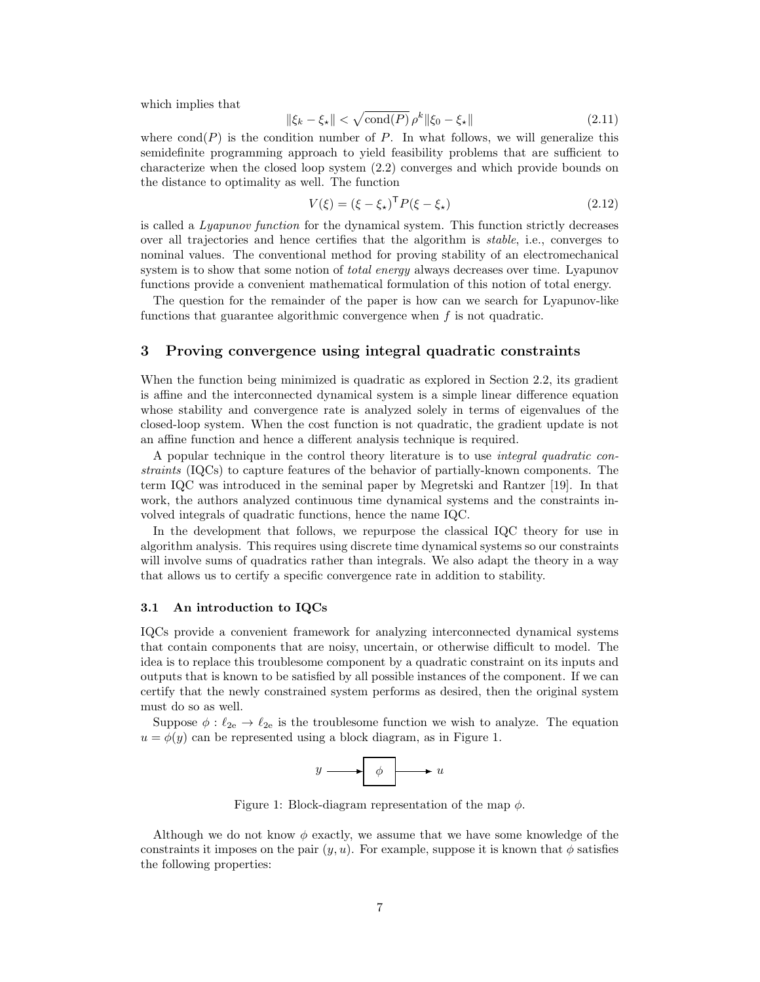which implies that

$$
\|\xi_k - \xi_\star\| < \sqrt{\text{cond}(P)} \,\rho^k \|\xi_0 - \xi_\star\| \tag{2.11}
$$

where  $cond(P)$  is the condition number of P. In what follows, we will generalize this semidefinite programming approach to yield feasibility problems that are sufficient to characterize when the closed loop system [\(2.2\)](#page-2-1) converges and which provide bounds on the distance to optimality as well. The function

<span id="page-6-3"></span>
$$
V(\xi) = (\xi - \xi_{\star})^{\mathsf{T}} P(\xi - \xi_{\star})
$$
\n(2.12)

is called a Lyapunov function for the dynamical system. This function strictly decreases over all trajectories and hence certifies that the algorithm is stable, i.e., converges to nominal values. The conventional method for proving stability of an electromechanical system is to show that some notion of *total energy* always decreases over time. Lyapunov functions provide a convenient mathematical formulation of this notion of total energy.

The question for the remainder of the paper is how can we search for Lyapunov-like functions that guarantee algorithmic convergence when  $f$  is not quadratic.

# <span id="page-6-0"></span>3 Proving convergence using integral quadratic constraints

When the function being minimized is quadratic as explored in Section [2.2,](#page-4-2) its gradient is affine and the interconnected dynamical system is a simple linear difference equation whose stability and convergence rate is analyzed solely in terms of eigenvalues of the closed-loop system. When the cost function is not quadratic, the gradient update is not an affine function and hence a different analysis technique is required.

A popular technique in the control theory literature is to use integral quadratic constraints (IQCs) to capture features of the behavior of partially-known components. The term IQC was introduced in the seminal paper by Megretski and Rantzer [\[19\]](#page-35-4). In that work, the authors analyzed continuous time dynamical systems and the constraints involved integrals of quadratic functions, hence the name IQC.

In the development that follows, we repurpose the classical IQC theory for use in algorithm analysis. This requires using discrete time dynamical systems so our constraints will involve sums of quadratics rather than integrals. We also adapt the theory in a way that allows us to certify a specific convergence rate in addition to stability.

#### <span id="page-6-2"></span>3.1 An introduction to IQCs

IQCs provide a convenient framework for analyzing interconnected dynamical systems that contain components that are noisy, uncertain, or otherwise difficult to model. The idea is to replace this troublesome component by a quadratic constraint on its inputs and outputs that is known to be satisfied by all possible instances of the component. If we can certify that the newly constrained system performs as desired, then the original system must do so as well.

<span id="page-6-1"></span>Suppose  $\phi : \ell_{2e} \to \ell_{2e}$  is the troublesome function we wish to analyze. The equation  $u = \phi(y)$  can be represented using a block diagram, as in Figure [1.](#page-6-1)



Figure 1: Block-diagram representation of the map  $\phi$ .

Although we do not know  $\phi$  exactly, we assume that we have some knowledge of the constraints it imposes on the pair  $(y, u)$ . For example, suppose it is known that  $\phi$  satisfies the following properties: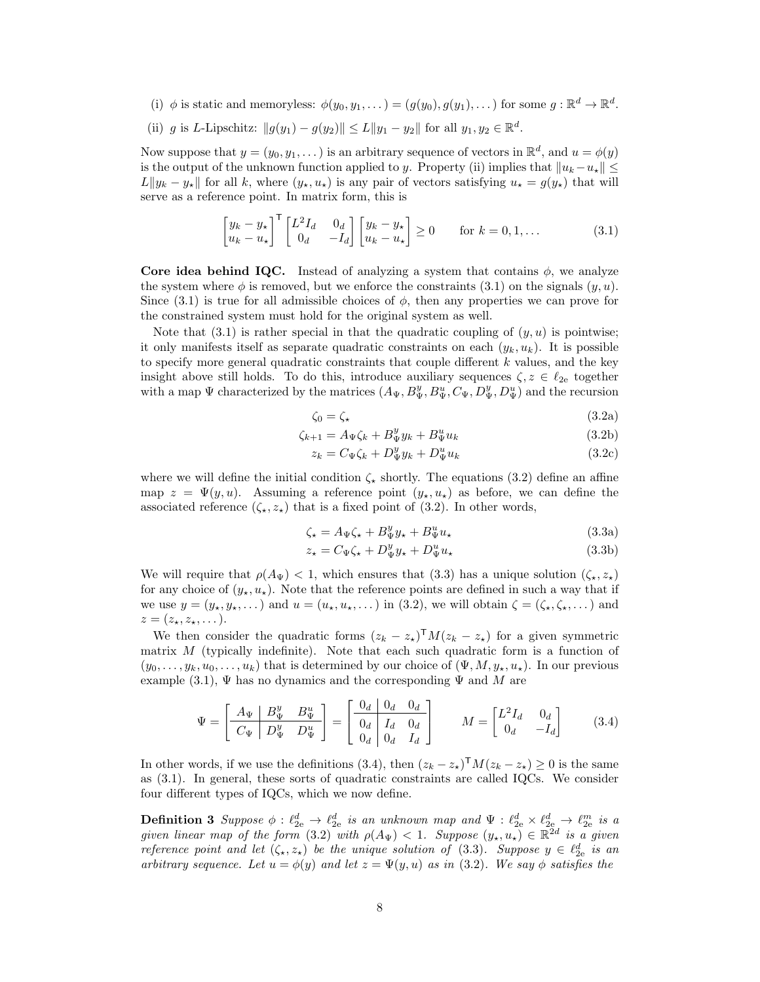- (i)  $\phi$  is static and memoryless:  $\phi(y_0, y_1, ...) = (g(y_0), g(y_1), ...)$  for some  $g : \mathbb{R}^d \to \mathbb{R}^d$ .
- (ii) g is L-Lipschitz:  $||g(y_1) g(y_2)|| \le L||y_1 y_2||$  for all  $y_1, y_2 \in \mathbb{R}^d$ .

Now suppose that  $y = (y_0, y_1, \dots)$  is an arbitrary sequence of vectors in  $\mathbb{R}^d$ , and  $u = \phi(y)$ is the output of the unknown function applied to y. Property (ii) implies that  $||u_k-u_x|| \leq$  $L||y_k - y_*||$  for all k, where  $(y_*, u_*)$  is any pair of vectors satisfying  $u_* = g(y_*)$  that will serve as a reference point. In matrix form, this is

<span id="page-7-0"></span>
$$
\begin{bmatrix} y_k - y_\star \\ u_k - u_\star \end{bmatrix}^\mathsf{T} \begin{bmatrix} L^2 I_d & 0_d \\ 0_d & -I_d \end{bmatrix} \begin{bmatrix} y_k - y_\star \\ u_k - u_\star \end{bmatrix} \ge 0 \qquad \text{for } k = 0, 1, \dots \tag{3.1}
$$

Core idea behind IQC. Instead of analyzing a system that contains  $\phi$ , we analyze the system where  $\phi$  is removed, but we enforce the constraints [\(3.1\)](#page-7-0) on the signals  $(y, u)$ . Since  $(3.1)$  is true for all admissible choices of  $\phi$ , then any properties we can prove for the constrained system must hold for the original system as well.

Note that  $(3.1)$  is rather special in that the quadratic coupling of  $(y, u)$  is pointwise; it only manifests itself as separate quadratic constraints on each  $(y_k, u_k)$ . It is possible to specify more general quadratic constraints that couple different  $k$  values, and the key insight above still holds. To do this, introduce auxiliary sequences  $\zeta, z \in \ell_{2e}$  together with a map  $\Psi$  characterized by the matrices  $(A_{\Psi}, B_{\Psi}^y, B_{\Psi}^u, C_{\Psi}, D_{\Psi}^y, D_{\Psi}^u)$  and the recursion

<span id="page-7-4"></span><span id="page-7-1"></span>
$$
\zeta_0 = \zeta_\star \tag{3.2a}
$$

$$
\zeta_{k+1} = A_{\Psi}\zeta_k + B_{\Psi}^y y_k + B_{\Psi}^u u_k \tag{3.2b}
$$

<span id="page-7-2"></span>
$$
z_k = C_\Psi \zeta_k + D_\Psi^y y_k + D_\Psi^u u_k \tag{3.2c}
$$

where we will define the initial condition  $\zeta_{\star}$  shortly. The equations [\(3.2\)](#page-7-1) define an affine map  $z = \Psi(y, u)$ . Assuming a reference point  $(y_x, u_x)$  as before, we can define the associated reference  $(\zeta_*, z_*)$  that is a fixed point of [\(3.2\)](#page-7-1). In other words,

$$
\zeta_{\star} = A_{\Psi}\zeta_{\star} + B_{\Psi}^{y}y_{\star} + B_{\Psi}^{u}u_{\star}
$$
\n(3.3a)

$$
z_{\star} = C_{\Psi} \zeta_{\star} + D_{\Psi}^{y} y_{\star} + D_{\Psi}^{u} u_{\star}
$$
\n(3.3b)

We will require that  $\rho(A_{\Psi}) < 1$ , which ensures that [\(3.3\)](#page-7-2) has a unique solution  $(\zeta_*, z_*)$ for any choice of  $(y_{\star}, u_{\star})$ . Note that the reference points are defined in such a way that if we use  $y = (y_*, y_*, \dots)$  and  $u = (u_*, u_*, \dots)$  in [\(3.2\)](#page-7-1), we will obtain  $\zeta = (\zeta_*, \zeta_*, \dots)$  and  $z = (z_{\star}, z_{\star}, \dots).$ 

We then consider the quadratic forms  $(z_k - z_*)^{\mathsf{T}} M (z_k - z_*)$  for a given symmetric matrix  $M$  (typically indefinite). Note that each such quadratic form is a function of  $(y_0, \ldots, y_k, u_0, \ldots, u_k)$  that is determined by our choice of  $(\Psi, M, y_\star, u_\star)$ . In our previous example [\(3.1\)](#page-7-0),  $\Psi$  has no dynamics and the corresponding  $\Psi$  and M are

<span id="page-7-3"></span>
$$
\Psi = \begin{bmatrix} A_{\Psi} & B_{\Psi}^{y} & B_{\Psi}^{u} \\ C_{\Psi} & D_{\Psi}^{y} & D_{\Psi}^{u} \end{bmatrix} = \begin{bmatrix} 0_d & 0_d & 0_d \\ 0_d & I_d & 0_d \\ 0_d & 0_d & I_d \end{bmatrix} \qquad M = \begin{bmatrix} L^2 I_d & 0_d \\ 0_d & -I_d \end{bmatrix}
$$
(3.4)

In other words, if we use the definitions [\(3.4\)](#page-7-3), then  $(z_k - z_*)^{\mathsf{T}} M (z_k - z_*) \geq 0$  is the same as [\(3.1\)](#page-7-0). In general, these sorts of quadratic constraints are called IQCs. We consider four different types of IQCs, which we now define.

**Definition 3** Suppose  $\phi : \ell_{2e}^d \to \ell_{2e}^d$  is an unknown map and  $\Psi : \ell_{2e}^d \times \ell_{2e}^d \to \ell_{2e}^m$  is a given linear map of the form  $(3.2)$  with  $\rho(A_{\Psi}) < 1$ . Suppose  $(y_{\star}, u_{\star}) \in \mathbb{R}^{2d}$  is a given reference point and let  $(\zeta_\star, z_\star)$  be the unique solution of [\(3.3\)](#page-7-2). Suppose  $y \in \ell_{2e}^d$  is an arbitrary sequence. Let  $u = \phi(y)$  and let  $z = \Psi(y, u)$  as in [\(3.2\)](#page-7-1). We say  $\phi$  satisfies the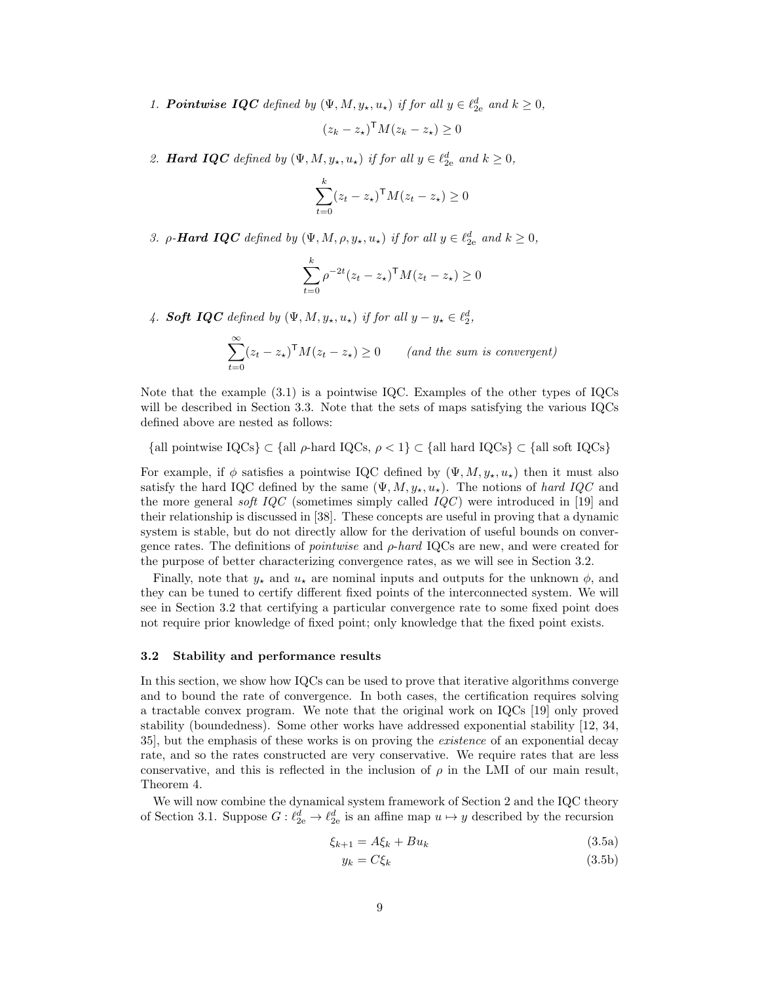1. **Pointwise IQC** defined by  $(\Psi, M, y_\star, u_\star)$  if for all  $y \in \ell_{2e}^d$  and  $k \geq 0$ ,

$$
(z_k - z_\star)^\mathsf{T} M (z_k - z_\star) \ge 0
$$

2. **Hard IQC** defined by  $(\Psi, M, y_*, u_*)$  if for all  $y \in \ell_{2e}^d$  and  $k \geq 0$ ,

$$
\sum_{t=0}^{k} (z_t - z_\star)^{\mathsf{T}} M (z_t - z_\star) \ge 0
$$

3.  $\rho$ -**Hard IQC** defined by  $(\Psi, M, \rho, y_*, u_*)$  if for all  $y \in \ell_{2e}^d$  and  $k \geq 0$ ,

$$
\sum_{t=0}^{k} \rho^{-2t} (z_t - z_\star)^\mathsf{T} M (z_t - z_\star) \ge 0
$$

4. **Soft IQC** defined by  $(\Psi, M, y_\star, u_\star)$  if for all  $y - y_\star \in \ell_2^d$ ,

$$
\sum_{t=0}^{\infty} (z_t - z_{\star})^{\mathsf{T}} M (z_t - z_{\star}) \ge 0 \qquad (and the sum is convergent)
$$

Note that the example [\(3.1\)](#page-7-0) is a pointwise IQC. Examples of the other types of IQCs will be described in Section [3.3.](#page-11-0) Note that the sets of maps satisfying the various IQCs defined above are nested as follows:

{all pointwise  $IQCs$ }  $\subset$  {all  $\rho$ -hard  $IQCs$ ,  $\rho < 1$ }  $\subset$  {all hard  $IQCs$ }  $\subset$  {all soft  $IQCs$ }

For example, if  $\phi$  satisfies a pointwise IQC defined by  $(\Psi, M, y_*, u_*)$  then it must also satisfy the hard IQC defined by the same  $(\Psi, M, y_\star, u_\star)$ . The notions of hard IQC and the more general soft  $IQC$  (sometimes simply called  $IQC$ ) were introduced in [\[19\]](#page-35-4) and their relationship is discussed in [\[38\]](#page-36-1). These concepts are useful in proving that a dynamic system is stable, but do not directly allow for the derivation of useful bounds on convergence rates. The definitions of *pointwise* and  $\rho$ -hard IQCs are new, and were created for the purpose of better characterizing convergence rates, as we will see in Section [3.2.](#page-8-0)

Finally, note that  $y_{\star}$  and  $u_{\star}$  are nominal inputs and outputs for the unknown  $\phi$ , and they can be tuned to certify different fixed points of the interconnected system. We will see in Section [3.2](#page-8-0) that certifying a particular convergence rate to some fixed point does not require prior knowledge of fixed point; only knowledge that the fixed point exists.

## <span id="page-8-0"></span>3.2 Stability and performance results

In this section, we show how IQCs can be used to prove that iterative algorithms converge and to bound the rate of convergence. In both cases, the certification requires solving a tractable convex program. We note that the original work on IQCs [\[19\]](#page-35-4) only proved stability (boundedness). Some other works have addressed exponential stability [\[12,](#page-35-6) [34,](#page-36-2) [35\]](#page-36-3), but the emphasis of these works is on proving the existence of an exponential decay rate, and so the rates constructed are very conservative. We require rates that are less conservative, and this is reflected in the inclusion of  $\rho$  in the LMI of our main result, Theorem [4.](#page-9-0)

We will now combine the dynamical system framework of Section [2](#page-2-2) and the IQC theory of Section [3.1.](#page-6-2) Suppose  $G: \ell_{2e}^d \to \ell_{2e}^d$  is an affine map  $u \mapsto y$  described by the recursion

$$
\xi_{k+1} = A\xi_k + Bu_k \tag{3.5a}
$$

<span id="page-8-1"></span>
$$
y_k = C\xi_k \tag{3.5b}
$$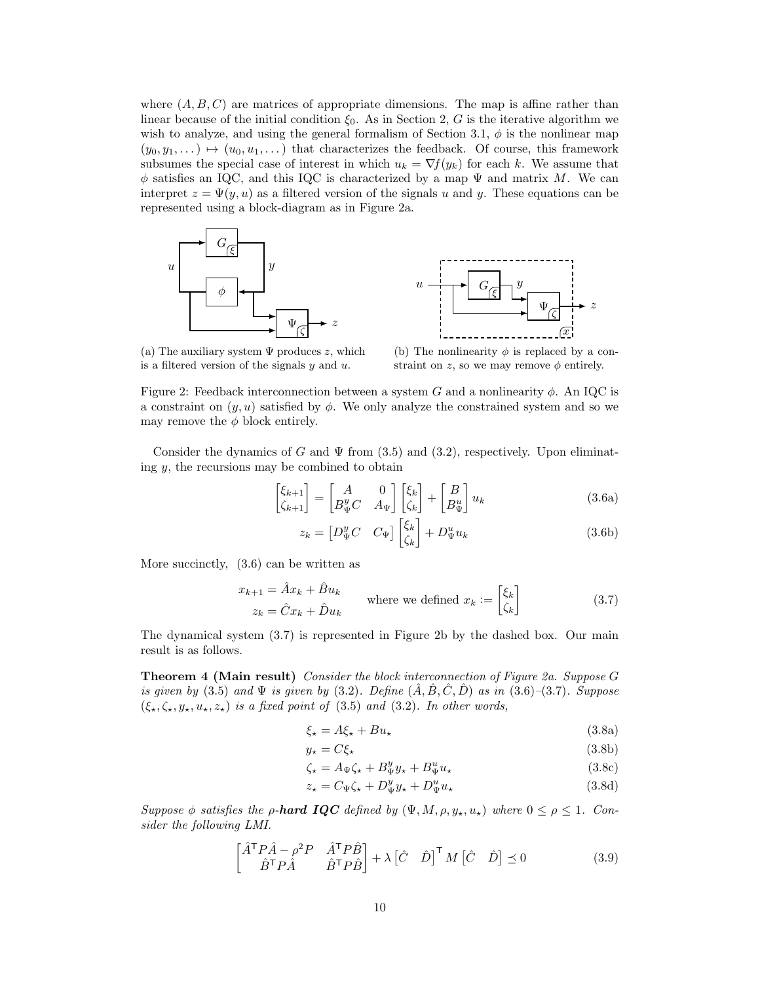where  $(A, B, C)$  are matrices of appropriate dimensions. The map is affine rather than linear because of the initial condition  $\xi_0$ . As in Section [2,](#page-2-2) G is the iterative algorithm we wish to analyze, and using the general formalism of Section [3.1,](#page-6-2)  $\phi$  is the nonlinear map  $(y_0, y_1, \dots) \mapsto (u_0, u_1, \dots)$  that characterizes the feedback. Of course, this framework subsumes the special case of interest in which  $u_k = \nabla f(y_k)$  for each k. We assume that  $\phi$  satisfies an IQC, and this IQC is characterized by a map  $\Psi$  and matrix M. We can interpret  $z = \Psi(y, u)$  as a filtered version of the signals u and y. These equations can be represented using a block-diagram as in Figure [2a.](#page-9-1)

<span id="page-9-1"></span>



(a) The auxiliary system  $\Psi$  produces z, which is a filtered version of the signals  $y$  and  $u$ .

<span id="page-9-2"></span>(b) The nonlinearity  $\phi$  is replaced by a constraint on z, so we may remove  $\phi$  entirely.

Figure 2: Feedback interconnection between a system G and a nonlinearity  $\phi$ . An IQC is a constraint on  $(y, u)$  satisfied by  $\phi$ . We only analyze the constrained system and so we may remove the  $\phi$  block entirely.

Consider the dynamics of G and  $\Psi$  from [\(3.5\)](#page-8-1) and [\(3.2\)](#page-7-1), respectively. Upon eliminating y, the recursions may be combined to obtain

$$
\begin{bmatrix} \xi_{k+1} \\ \zeta_{k+1} \end{bmatrix} = \begin{bmatrix} A & 0 \\ B_{\Psi}^y C & A_{\Psi} \end{bmatrix} \begin{bmatrix} \xi_k \\ \zeta_k \end{bmatrix} + \begin{bmatrix} B \\ B_{\Psi}^u \end{bmatrix} u_k
$$
(3.6a)

$$
z_k = \begin{bmatrix} D^y_{\Psi} C & C_{\Psi} \end{bmatrix} \begin{bmatrix} \xi_k \\ \zeta_k \end{bmatrix} + D^u_{\Psi} u_k \tag{3.6b}
$$

More succinctly, [\(3.6\)](#page-9-2) can be written as

<span id="page-9-3"></span>
$$
x_{k+1} = \hat{A}x_k + \hat{B}u_k
$$
  
\n
$$
z_k = \hat{C}x_k + \hat{D}u_k
$$
 where we defined  $x_k := \begin{bmatrix} \xi_k \\ \zeta_k \end{bmatrix}$  (3.7)

The dynamical system [\(3.7\)](#page-9-3) is represented in Figure [2b](#page-9-1) by the dashed box. Our main result is as follows.

<span id="page-9-0"></span>Theorem 4 (Main result) Consider the block interconnection of Figure [2a.](#page-9-1) Suppose G is given by  $(3.5)$  and  $\Psi$  is given by  $(3.2)$ . Define  $(A, B, C, D)$  as in  $(3.6)-(3.7)$  $(3.6)-(3.7)$  $(3.6)-(3.7)$ . Suppose  $(\xi_{\star}, \zeta_{\star}, y_{\star}, u_{\star}, z_{\star})$  is a fixed point of [\(3.5\)](#page-8-1) and [\(3.2\)](#page-7-1). In other words,

<span id="page-9-5"></span>
$$
\xi_{\star} = A\xi_{\star} + Bu_{\star} \tag{3.8a}
$$

$$
y_{\star} = C\xi_{\star} \tag{3.8b}
$$

$$
\zeta_{\star} = A_{\Psi}\zeta_{\star} + B_{\Psi}^{y}y_{\star} + B_{\Psi}^{u}u_{\star}
$$
\n(3.8c)

$$
z_{\star} = C_{\Psi} \zeta_{\star} + D_{\Psi}^{y} y_{\star} + D_{\Psi}^{u} u_{\star}
$$
\n(3.8d)

Suppose  $\phi$  satisfies the  $\rho$ -hard IQC defined by  $(\Psi, M, \rho, y_*, u_*)$  where  $0 \leq \rho \leq 1$ . Consider the following LMI.

<span id="page-9-4"></span>
$$
\begin{bmatrix} \hat{A}^{\mathsf{T}} P \hat{A} - \rho^2 P & \hat{A}^{\mathsf{T}} P \hat{B} \\ \hat{B}^{\mathsf{T}} P \hat{A} & \hat{B}^{\mathsf{T}} P \hat{B} \end{bmatrix} + \lambda \begin{bmatrix} \hat{C} & \hat{D} \end{bmatrix}^{\mathsf{T}} M \begin{bmatrix} \hat{C} & \hat{D} \end{bmatrix} \preceq 0 \tag{3.9}
$$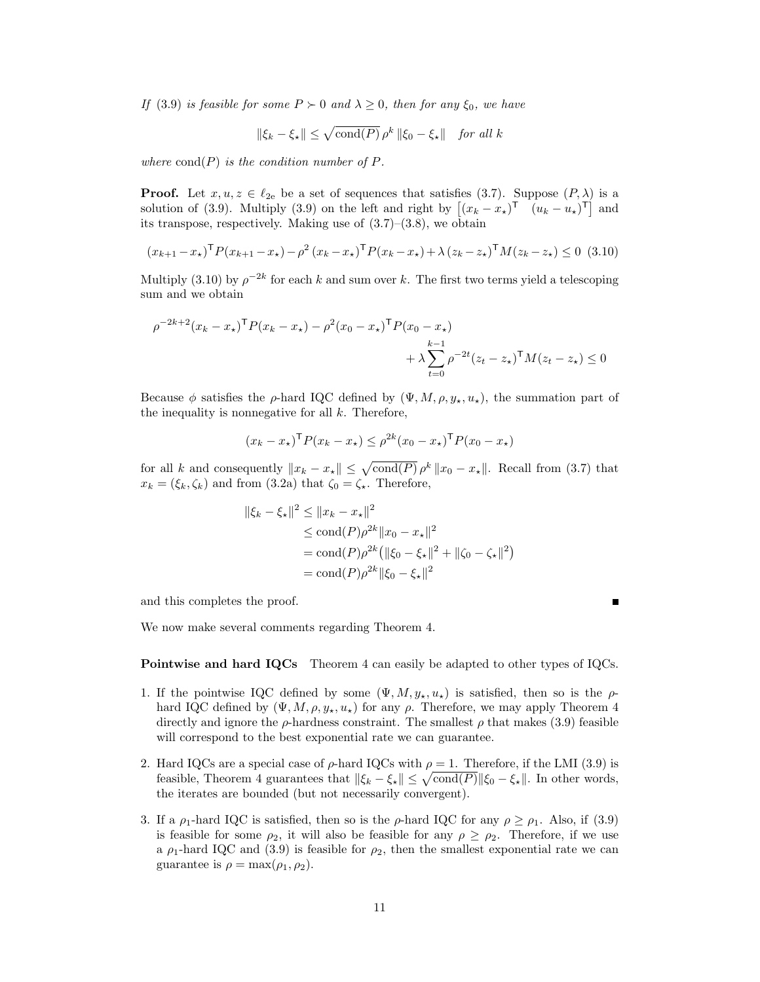If [\(3.9\)](#page-9-4) is feasible for some  $P \succ 0$  and  $\lambda \geq 0$ , then for any  $\xi_0$ , we have

$$
\|\xi_k - \xi_\star\| \le \sqrt{\text{cond}(P)} \, \rho^k \, \|\xi_0 - \xi_\star\| \quad \text{for all } k
$$

where  $cond(P)$  is the condition number of P.

**Proof.** Let  $x, u, z \in \ell_{2e}$  be a set of sequences that satisfies [\(3.7\)](#page-9-3). Suppose  $(P, \lambda)$  is a solution of [\(3.9\)](#page-9-4). Multiply (3.9) on the left and right by  $[(x_k - x_*)^T \ (u_k - u_*)^T]$  and its transpose, respectively. Making use of  $(3.7)$ – $(3.8)$ , we obtain

<span id="page-10-0"></span>
$$
(x_{k+1} - x_{\star})^{\mathsf{T}} P(x_{k+1} - x_{\star}) - \rho^2 (x_k - x_{\star})^{\mathsf{T}} P(x_k - x_{\star}) + \lambda (z_k - z_{\star})^{\mathsf{T}} M(z_k - z_{\star}) \le 0 \tag{3.10}
$$

Multiply [\(3.10\)](#page-10-0) by  $\rho^{-2k}$  for each k and sum over k. The first two terms yield a telescoping sum and we obtain

$$
\rho^{-2k+2} (x_k - x_\star)^{\mathsf{T}} P(x_k - x_\star) - \rho^2 (x_0 - x_\star)^{\mathsf{T}} P(x_0 - x_\star) + \lambda \sum_{t=0}^{k-1} \rho^{-2t} (z_t - z_\star)^{\mathsf{T}} M(z_t - z_\star) \le 0
$$

Because  $\phi$  satisfies the *ρ*-hard IQC defined by  $(\Psi, M, \rho, y_*, u_*)$ , the summation part of the inequality is nonnegative for all  $k$ . Therefore,

$$
(x_k - x_\star)^\mathsf{T} P(x_k - x_\star) \le \rho^{2k} (x_0 - x_\star)^\mathsf{T} P(x_0 - x_\star)
$$

for all k and consequently  $||x_k - x_*|| \leq \sqrt{\text{cond}(P)} \rho^k ||x_0 - x_*||$ . Recall from [\(3.7\)](#page-9-3) that  $x_k = (\xi_k, \zeta_k)$  and from [\(3.2a\)](#page-7-4) that  $\zeta_0 = \zeta_*$ . Therefore,

$$
\begin{aligned} \|\xi_k - \xi_\star\|^2 &\le \|x_k - x_\star\|^2 \\ &\le \text{cond}(P)\rho^{2k} \|x_0 - x_\star\|^2 \\ &= \text{cond}(P)\rho^{2k} \left( \|\xi_0 - \xi_\star\|^2 + \|\zeta_0 - \zeta_\star\|^2 \right) \\ &= \text{cond}(P)\rho^{2k} \|\xi_0 - \xi_\star\|^2 \end{aligned}
$$

г

and this completes the proof.

We now make several comments regarding Theorem [4.](#page-9-0)

Pointwise and hard IQCs Theorem [4](#page-9-0) can easily be adapted to other types of IQCs.

- 1. If the pointwise IQC defined by some  $(\Psi, M, y_*, u_*)$  is satisfied, then so is the  $\rho$ hard IQC defined by  $(\Psi, M, \rho, y_{\star}, u_{\star})$  for any  $\rho$ . Therefore, we may apply Theorem [4](#page-9-0) directly and ignore the  $\rho$ -hardness constraint. The smallest  $\rho$  that makes [\(3.9\)](#page-9-4) feasible will correspond to the best exponential rate we can guarantee.
- 2. Hard IQCs are a special case of  $\rho$ -hard IQCs with  $\rho = 1$ . Therefore, if the LMI [\(3.9\)](#page-9-4) is feasible, Theorem [4](#page-9-0) guarantees that  $\|\xi_k - \xi_{\star}\| \leq \sqrt{\text{cond}(P)} \|\xi_0 - \xi_{\star}\|$ . In other words, the iterates are bounded (but not necessarily convergent).
- 3. If a  $\rho_1$ -hard IQC is satisfied, then so is the  $\rho$ -hard IQC for any  $\rho \ge \rho_1$ . Also, if [\(3.9\)](#page-9-4) is feasible for some  $\rho_2$ , it will also be feasible for any  $\rho \geq \rho_2$ . Therefore, if we use a  $\rho_1$ -hard IQC and [\(3.9\)](#page-9-4) is feasible for  $\rho_2$ , then the smallest exponential rate we can guarantee is  $\rho = \max(\rho_1, \rho_2)$ .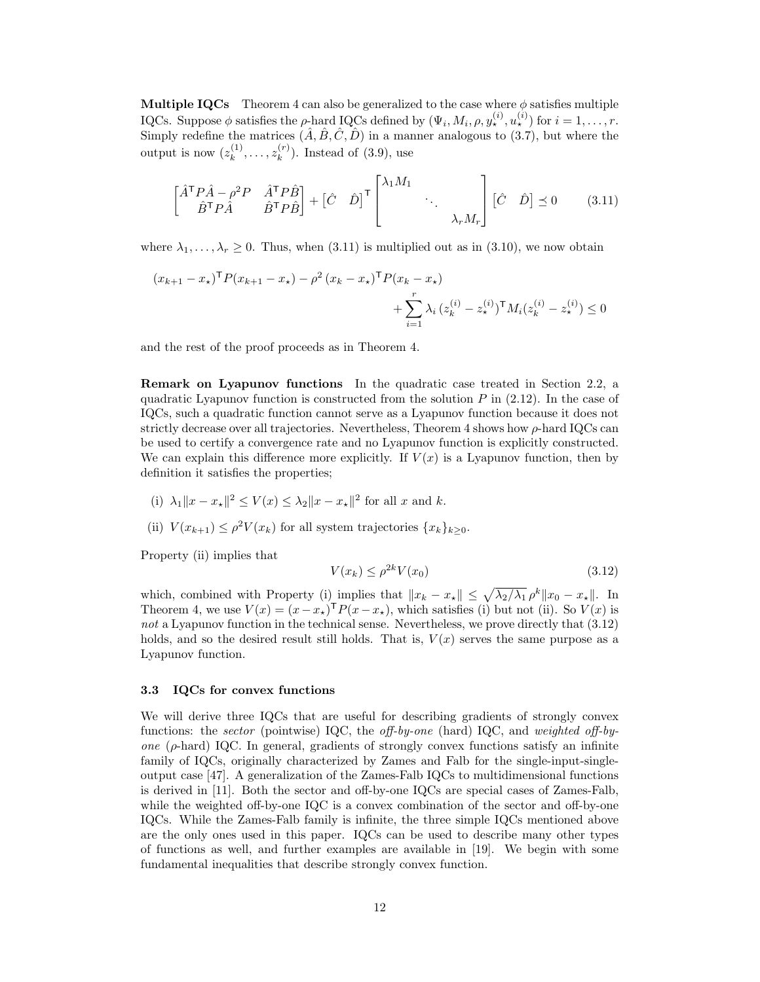Multiple IQCs Theorem [4](#page-9-0) can also be generalized to the case where  $\phi$  satisfies multiple IQCs. Suppose  $\phi$  satisfies the  $\rho$ -hard IQCs defined by  $(\Psi_i, M_i, \rho, y_{\star}^{(i)}, u_{\star}^{(i)})$  for  $i = 1, \ldots, r$ . Simply redefine the matrices  $(\hat{A}, \hat{B}, \hat{C}, \hat{D})$  in a manner analogous to [\(3.7\)](#page-9-3), but where the output is now  $(z_k^{(1)})$  $x_k^{(1)}, \ldots, z_k^{(r)}$  $\binom{r}{k}$ . Instead of [\(3.9\)](#page-9-4), use

<span id="page-11-1"></span>
$$
\begin{bmatrix} \hat{A}^{\mathsf{T}} P \hat{A} - \rho^2 P & \hat{A}^{\mathsf{T}} P \hat{B} \\ \hat{B}^{\mathsf{T}} P \hat{A} & \hat{B}^{\mathsf{T}} P \hat{B} \end{bmatrix} + \begin{bmatrix} \hat{C} & \hat{D} \end{bmatrix}^{\mathsf{T}} \begin{bmatrix} \lambda_1 M_1 & & \\ & \ddots & \\ & & \lambda_r M_r \end{bmatrix} \begin{bmatrix} \hat{C} & \hat{D} \end{bmatrix} \preceq 0 \tag{3.11}
$$

where  $\lambda_1, \ldots, \lambda_r \geq 0$ . Thus, when [\(3.11\)](#page-11-1) is multiplied out as in [\(3.10\)](#page-10-0), we now obtain

$$
(x_{k+1} - x_{\star})^{\mathsf{T}} P(x_{k+1} - x_{\star}) - \rho^2 (x_k - x_{\star})^{\mathsf{T}} P(x_k - x_{\star})
$$
  
+ 
$$
\sum_{i=1}^r \lambda_i (z_k^{(i)} - z_{\star}^{(i)})^{\mathsf{T}} M_i (z_k^{(i)} - z_{\star}^{(i)}) \leq 0
$$

and the rest of the proof proceeds as in Theorem [4.](#page-9-0)

Remark on Lyapunov functions In the quadratic case treated in Section [2.2,](#page-4-2) a quadratic Lyapunov function is constructed from the solution  $P$  in [\(2.12\)](#page-6-3). In the case of IQCs, such a quadratic function cannot serve as a Lyapunov function because it does not strictly decrease over all trajectories. Nevertheless, Theorem [4](#page-9-0) shows how  $\rho$ -hard IQCs can be used to certify a convergence rate and no Lyapunov function is explicitly constructed. We can explain this difference more explicitly. If  $V(x)$  is a Lyapunov function, then by definition it satisfies the properties;

- (i)  $\lambda_1 \|x x_{\star}\|^2 \le V(x) \le \lambda_2 \|x x_{\star}\|^2$  for all x and k.
- (ii)  $V(x_{k+1}) \leq \rho^2 V(x_k)$  for all system trajectories  $\{x_k\}_{k \geq 0}$ .

Property (ii) implies that

<span id="page-11-2"></span>
$$
V(x_k) \le \rho^{2k} V(x_0) \tag{3.12}
$$

which, combined with Property (i) implies that  $||x_k - x_{\star}|| \leq \sqrt{\lambda_2/\lambda_1} \rho^k ||x_0 - x_{\star}||$ . In Theorem [4,](#page-9-0) we use  $V(x) = (x - x_{\star})^{\mathsf{T}} P(x - x_{\star})$ , which satisfies (i) but not (ii). So  $V(x)$  is not a Lyapunov function in the technical sense. Nevertheless, we prove directly that  $(3.12)$ holds, and so the desired result still holds. That is,  $V(x)$  serves the same purpose as a Lyapunov function.

## <span id="page-11-0"></span>3.3 IQCs for convex functions

<span id="page-11-3"></span>We will derive three IQCs that are useful for describing gradients of strongly convex functions: the sector (pointwise) IQC, the off-by-one (hard) IQC, and weighted off-byone ( $\rho$ -hard) IQC. In general, gradients of strongly convex functions satisfy an infinite family of IQCs, originally characterized by Zames and Falb for the single-input-singleoutput case [\[47\]](#page-36-4). A generalization of the Zames-Falb IQCs to multidimensional functions is derived in [\[11\]](#page-35-7). Both the sector and off-by-one IQCs are special cases of Zames-Falb, while the weighted off-by-one IQC is a convex combination of the sector and off-by-one IQCs. While the Zames-Falb family is infinite, the three simple IQCs mentioned above are the only ones used in this paper. IQCs can be used to describe many other types of functions as well, and further examples are available in [\[19\]](#page-35-4). We begin with some fundamental inequalities that describe strongly convex function.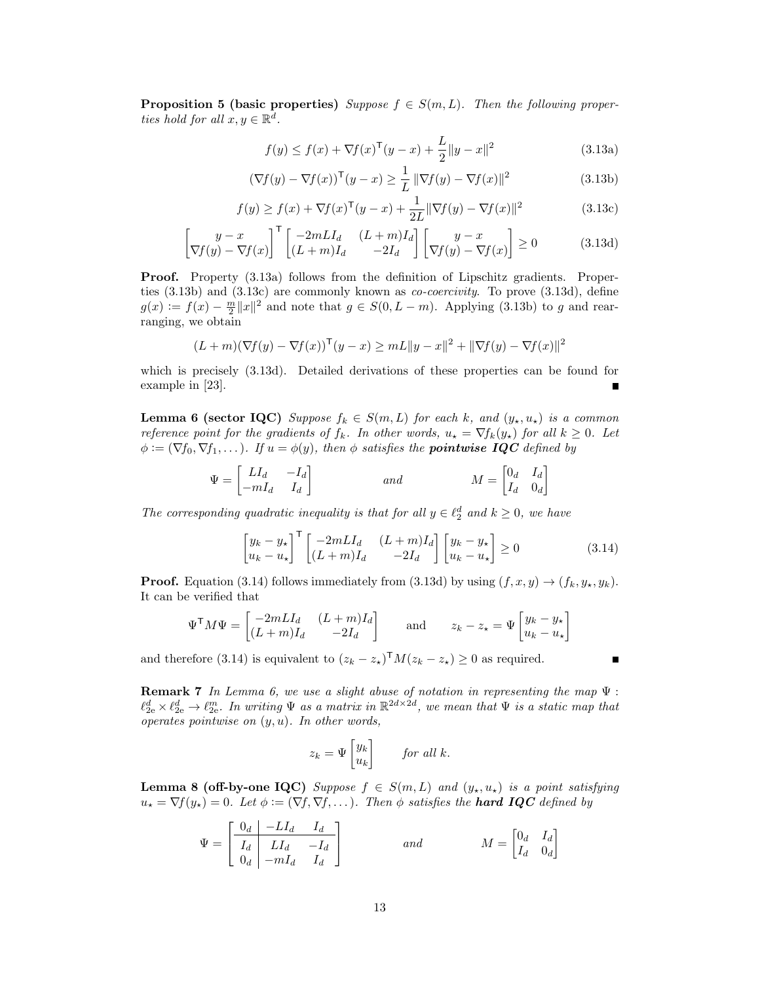**Proposition 5 (basic properties)** Suppose  $f \in S(m, L)$ . Then the following properties hold for all  $x, y \in \mathbb{R}^d$ .

<span id="page-12-3"></span><span id="page-12-2"></span><span id="page-12-1"></span><span id="page-12-0"></span>
$$
f(y) \le f(x) + \nabla f(x)^{\mathsf{T}}(y - x) + \frac{L}{2} \|y - x\|^2
$$
\n(3.13a)

$$
(\nabla f(y) - \nabla f(x))^\mathsf{T} (y - x) \ge \frac{1}{L} \|\nabla f(y) - \nabla f(x)\|^2 \tag{3.13b}
$$

$$
f(y) \ge f(x) + \nabla f(x)^{\mathsf{T}}(y - x) + \frac{1}{2L} \|\nabla f(y) - \nabla f(x)\|^2
$$
 (3.13c)

$$
\begin{bmatrix} y - x \ \nabla f(y) - \nabla f(x) \end{bmatrix}^{\mathsf{T}} \begin{bmatrix} -2mLI_d & (L+m)I_d \\ (L+m)I_d & -2I_d \end{bmatrix} \begin{bmatrix} y - x \\ \nabla f(y) - \nabla f(x) \end{bmatrix} \ge 0 \tag{3.13d}
$$

Proof. Property [\(3.13a\)](#page-12-0) follows from the definition of Lipschitz gradients. Properties [\(3.13b\)](#page-12-1) and [\(3.13c\)](#page-12-2) are commonly known as co-coercivity. To prove [\(3.13d\)](#page-12-3), define  $g(x) := f(x) - \frac{m}{2} ||x||^2$  and note that  $g \in S(0, L - m)$ . Applying [\(3.13b\)](#page-12-1) to g and rearranging, we obtain

$$
(L+m)(\nabla f(y) - \nabla f(x))^{\mathsf{T}}(y-x) \geq mL||y-x||^2 + ||\nabla f(y) - \nabla f(x)||^2
$$

which is precisely  $(3.13d)$ . Detailed derivations of these properties can be found for example in [\[23\]](#page-35-0).

<span id="page-12-5"></span>**Lemma 6 (sector IQC)** Suppose  $f_k \in S(m, L)$  for each k, and  $(y_\star, u_\star)$  is a common reference point for the gradients of  $f_k$ . In other words,  $u_* = \nabla f_k(y_*)$  for all  $k \geq 0$ . Let  $\phi := (\nabla f_0, \nabla f_1, \dots)$ . If  $u = \phi(y)$ , then  $\phi$  satisfies the **pointwise IQC** defined by

$$
\Psi = \begin{bmatrix} L I_d & -I_d \\ -m I_d & I_d \end{bmatrix} \qquad \text{and} \qquad \qquad M = \begin{bmatrix} 0_d & I_d \\ I_d & 0_d \end{bmatrix}
$$

The corresponding quadratic inequality is that for all  $y \in \ell_2^d$  and  $k \geq 0$ , we have

<span id="page-12-4"></span>
$$
\begin{bmatrix} y_k - y_\star \\ u_k - u_\star \end{bmatrix}^\mathsf{T} \begin{bmatrix} -2mLI_d & (L+m)I_d \\ (L+m)I_d & -2I_d \end{bmatrix} \begin{bmatrix} y_k - y_\star \\ u_k - u_\star \end{bmatrix} \ge 0 \tag{3.14}
$$

 $\blacksquare$ 

**Proof.** Equation [\(3.14\)](#page-12-4) follows immediately from [\(3.13d\)](#page-12-3) by using  $(f, x, y) \rightarrow (f_k, y_k, y_k)$ . It can be verified that

$$
\Psi^{\mathsf{T}} M \Psi = \begin{bmatrix} -2mLI_d & (L+m)I_d \\ (L+m)I_d & -2I_d \end{bmatrix} \quad \text{and} \quad z_k - z_\star = \Psi \begin{bmatrix} y_k - y_\star \\ u_k - u_\star \end{bmatrix}
$$

and therefore [\(3.14\)](#page-12-4) is equivalent to  $(z_k - z_*)^{\mathsf{T}} M (z_k - z_*) \geq 0$  as required.

**Remark 7** In Lemma [6,](#page-12-5) we use a slight abuse of notation in representing the map  $\Psi$  :  $\ell_{2e}^d \times \ell_{2e}^d \to \ell_{2e}^m$ . In writing  $\Psi$  as a matrix in  $\mathbb{R}^{2d \times 2d}$ , we mean that  $\Psi$  is a static map that operates pointwise on  $(y, u)$ . In other words,

$$
z_k = \Psi \begin{bmatrix} y_k \\ u_k \end{bmatrix} \qquad \text{for all } k.
$$

<span id="page-12-6"></span>**Lemma 8 (off-by-one IQC)** Suppose  $f \in S(m, L)$  and  $(y_x, u_x)$  is a point satisfying  $u_{\star} = \nabla f(y_{\star}) = 0$ . Let  $\phi := (\nabla f, \nabla f, \dots)$ . Then  $\phi$  satisfies the **hard IQC** defined by

$$
\Psi = \begin{bmatrix} 0_d & -LI_d & I_d \\ I_d & LI_d & -I_d \\ 0_d & -mI_d & I_d \end{bmatrix} \qquad \text{and} \qquad \qquad M = \begin{bmatrix} 0_d & I_d \\ I_d & 0_d \end{bmatrix}
$$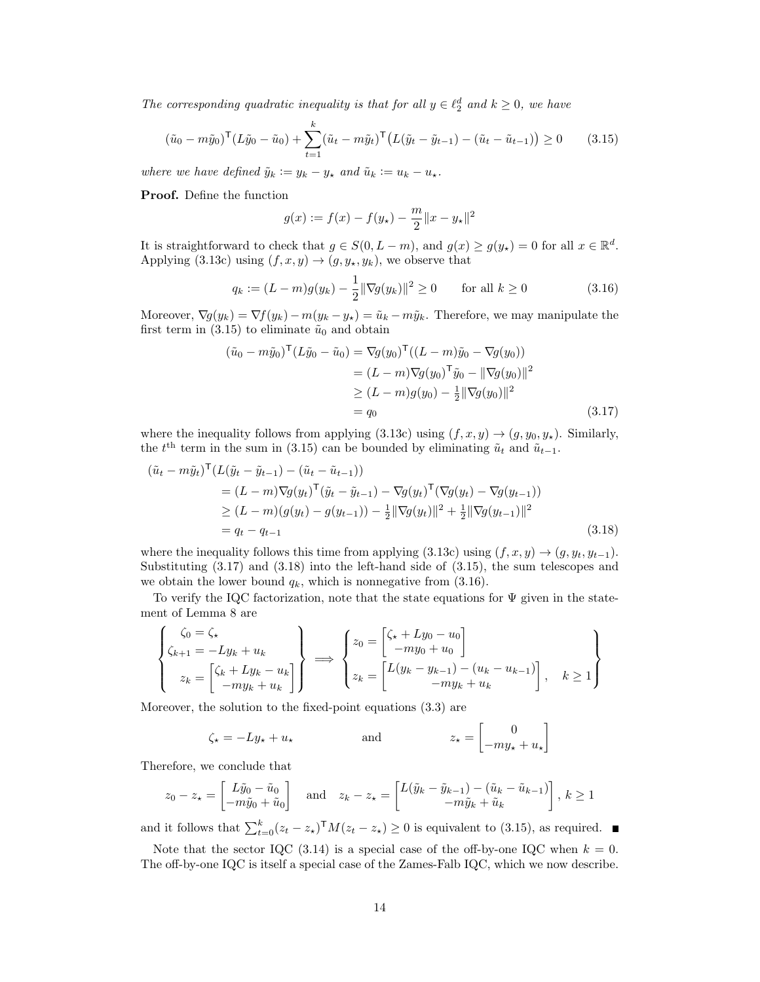The corresponding quadratic inequality is that for all  $y \in \ell_2^d$  and  $k \geq 0$ , we have

<span id="page-13-0"></span>
$$
(\tilde{u}_0 - m\tilde{y}_0)^{\mathsf{T}} (L\tilde{y}_0 - \tilde{u}_0) + \sum_{t=1}^{k} (\tilde{u}_t - m\tilde{y}_t)^{\mathsf{T}} \left( L(\tilde{y}_t - \tilde{y}_{t-1}) - (\tilde{u}_t - \tilde{u}_{t-1}) \right) \ge 0 \tag{3.15}
$$

where we have defined  $\tilde{y}_k := y_k - y_\star$  and  $\tilde{u}_k := u_k - u_\star$ .

Proof. Define the function

<span id="page-13-1"></span>
$$
g(x) := f(x) - f(y_*) - \frac{m}{2} ||x - y_*||^2
$$

It is straightforward to check that  $g \in S(0, L - m)$ , and  $g(x) \ge g(y_*) = 0$  for all  $x \in \mathbb{R}^d$ . Applying [\(3.13c\)](#page-12-2) using  $(f, x, y) \rightarrow (g, y_\star, y_k)$ , we observe that

<span id="page-13-3"></span>
$$
q_k := (L - m)g(y_k) - \frac{1}{2} \|\nabla g(y_k)\|^2 \ge 0 \qquad \text{for all } k \ge 0
$$
 (3.16)

Moreover,  $\nabla g(y_k) = \nabla f(y_k) - m(y_k - y_\star) = \tilde{u}_k - m\tilde{y}_k$ . Therefore, we may manipulate the first term in [\(3.15\)](#page-13-0) to eliminate  $\tilde{u}_0$  and obtain

<span id="page-13-2"></span>
$$
(\tilde{u}_0 - m\tilde{y}_0)^{\mathsf{T}}(L\tilde{y}_0 - \tilde{u}_0) = \nabla g(y_0)^{\mathsf{T}}((L - m)\tilde{y}_0 - \nabla g(y_0))
$$
  
\n
$$
= (L - m)\nabla g(y_0)^{\mathsf{T}}\tilde{y}_0 - ||\nabla g(y_0)||^2
$$
  
\n
$$
\geq (L - m)g(y_0) - \frac{1}{2}||\nabla g(y_0)||^2
$$
  
\n
$$
= q_0
$$
\n(3.17)

where the inequality follows from applying [\(3.13c\)](#page-12-2) using  $(f, x, y) \rightarrow (g, y_0, y_*)$ . Similarly, the  $t<sup>th</sup>$  term in the sum in [\(3.15\)](#page-13-0) can be bounded by eliminating  $\tilde{u}_t$  and  $\tilde{u}_{t-1}$ .

$$
(\tilde{u}_t - m\tilde{y}_t)^{\mathsf{T}} (L(\tilde{y}_t - \tilde{y}_{t-1}) - (\tilde{u}_t - \tilde{u}_{t-1}))
$$
  
\n
$$
= (L - m)\nabla g(y_t)^{\mathsf{T}} (\tilde{y}_t - \tilde{y}_{t-1}) - \nabla g(y_t)^{\mathsf{T}} (\nabla g(y_t) - \nabla g(y_{t-1}))
$$
  
\n
$$
\geq (L - m)(g(y_t) - g(y_{t-1})) - \frac{1}{2} ||\nabla g(y_t)||^2 + \frac{1}{2} ||\nabla g(y_{t-1})||^2
$$
  
\n
$$
= q_t - q_{t-1}
$$
\n(3.18)

where the inequality follows this time from applying  $(3.13c)$  using  $(f, x, y) \rightarrow (g, y_t, y_{t-1})$ . Substituting [\(3.17\)](#page-13-1) and [\(3.18\)](#page-13-2) into the left-hand side of [\(3.15\)](#page-13-0), the sum telescopes and we obtain the lower bound  $q_k$ , which is nonnegative from  $(3.16)$ .

To verify the IQC factorization, note that the state equations for  $\Psi$  given in the statement of Lemma [8](#page-12-6) are

$$
\begin{Bmatrix}\n\zeta_0 = \zeta_\star \\
\zeta_{k+1} = -Ly_k + u_k \\
z_k = \begin{bmatrix}\n\zeta_k + Ly_k - u_k \\
-my_k + u_k\n\end{bmatrix}\n\end{Bmatrix} \implies \begin{Bmatrix}\nz_0 = \begin{bmatrix}\n\zeta_\star + Ly_0 - u_0 \\
-my_0 + u_0\n\end{bmatrix} \\
z_k = \begin{bmatrix}\nL(y_k - y_{k-1}) - (u_k - u_{k-1}) \\
-my_k + u_k\n\end{bmatrix}, \quad k \ge 1\n\end{Bmatrix}
$$

Moreover, the solution to the fixed-point equations [\(3.3\)](#page-7-2) are

$$
\zeta_{\star} = -Ly_{\star} + u_{\star} \qquad \text{and} \qquad z_{\star} = \begin{bmatrix} 0 \\ -my_{\star} + u_{\star} \end{bmatrix}
$$

Therefore, we conclude that

$$
z_0 - z_{\star} = \begin{bmatrix} L\tilde{y}_0 - \tilde{u}_0 \\ -m\tilde{y}_0 + \tilde{u}_0 \end{bmatrix} \text{ and } z_k - z_{\star} = \begin{bmatrix} L(\tilde{y}_k - \tilde{y}_{k-1}) - (\tilde{u}_k - \tilde{u}_{k-1}) \\ -m\tilde{y}_k + \tilde{u}_k \end{bmatrix}, k \ge 1
$$

and it follows that  $\sum_{t=0}^{k} (z_t - z_{\star})^{\mathsf{T}} M (z_t - z_{\star}) \geq 0$  is equivalent to [\(3.15\)](#page-13-0), as required.

<span id="page-13-4"></span>Note that the sector IQC [\(3.14\)](#page-12-4) is a special case of the off-by-one IQC when  $k = 0$ . The off-by-one IQC is itself a special case of the Zames-Falb IQC, which we now describe.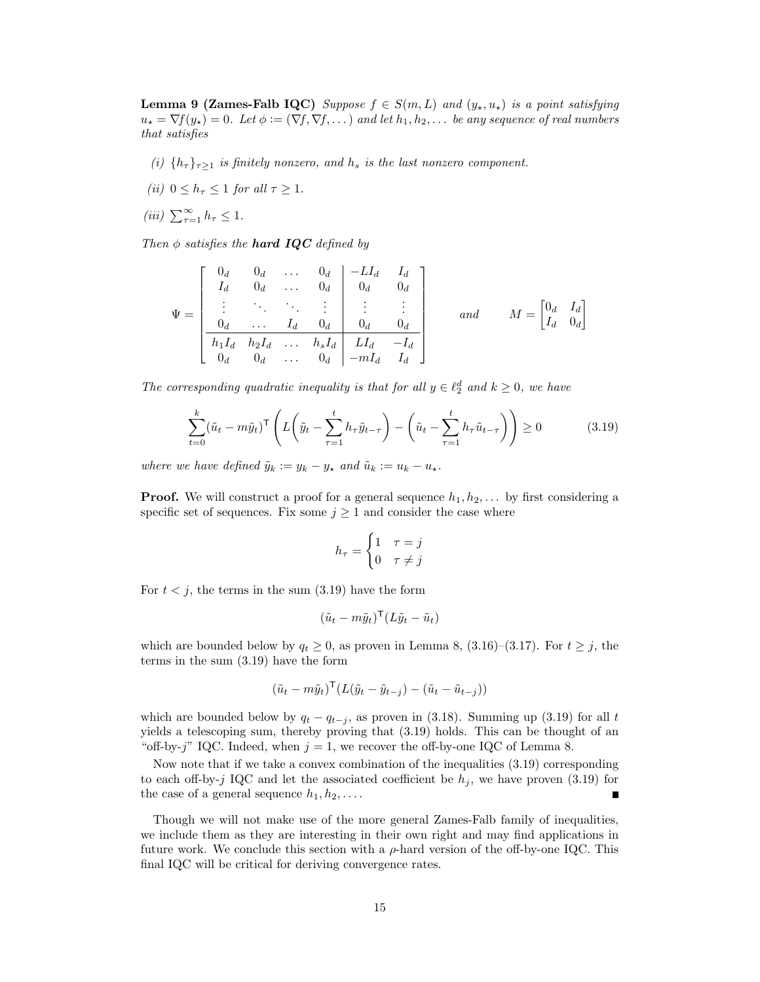**Lemma 9 (Zames-Falb IQC)** Suppose  $f \in S(m, L)$  and  $(y_{\star}, u_{\star})$  is a point satisfying  $u_* = \nabla f(y_*) = 0$ . Let  $\phi := (\nabla f, \nabla f, \dots)$  and let  $h_1, h_2, \dots$  be any sequence of real numbers that satisfies

- (i)  $\{h_{\tau}\}_{\tau>1}$  is finitely nonzero, and  $h_s$  is the last nonzero component.
- (ii)  $0 \le h_{\tau} \le 1$  for all  $\tau \ge 1$ .
- (iii)  $\sum_{\tau=1}^{\infty} h_{\tau} \leq 1$ .

Then  $\phi$  satisfies the **hard IQC** defined by

$$
\Psi = \begin{bmatrix}\n0_d & 0_d & \dots & 0_d & -LI_d & I_d \\
I_d & 0_d & \dots & 0_d & 0_d & 0_d \\
\vdots & \ddots & \ddots & \vdots & \vdots & \vdots & \vdots \\
0_d & \dots & I_d & 0_d & 0_d & 0_d \\
\hline h_1 I_d & h_2 I_d & \dots & h_s I_d & LI_d & -I_d \\
0_d & 0_d & \dots & 0_d & -m I_d & I_d\n\end{bmatrix} \quad and \quad M = \begin{bmatrix} 0_d & I_d \\ I_d & 0_d \end{bmatrix}
$$

The corresponding quadratic inequality is that for all  $y \in \ell_2^d$  and  $k \geq 0$ , we have

<span id="page-14-0"></span>
$$
\sum_{t=0}^{k} (\tilde{u}_t - m\tilde{y}_t)^{\mathsf{T}} \left( L \left( \tilde{y}_t - \sum_{\tau=1}^{t} h_{\tau} \tilde{y}_{t-\tau} \right) - \left( \tilde{u}_t - \sum_{\tau=1}^{t} h_{\tau} \tilde{u}_{t-\tau} \right) \right) \ge 0 \tag{3.19}
$$

where we have defined  $\tilde{y}_k := y_k - y_{\star}$  and  $\tilde{u}_k := u_k - u_{\star}$ .

**Proof.** We will construct a proof for a general sequence  $h_1, h_2, \ldots$  by first considering a specific set of sequences. Fix some  $j \geq 1$  and consider the case where

$$
h_{\tau} = \begin{cases} 1 & \tau = j \\ 0 & \tau \neq j \end{cases}
$$

For  $t < j$ , the terms in the sum  $(3.19)$  have the form

$$
(\tilde{u}_t - m\tilde{y}_t)^\mathsf{T} (L\tilde{y}_t - \tilde{u}_t)
$$

which are bounded below by  $q_t \ge 0$ , as proven in Lemma [8,](#page-12-6) [\(3.16\)](#page-13-3)–[\(3.17\)](#page-13-1). For  $t \ge j$ , the terms in the sum [\(3.19\)](#page-14-0) have the form

$$
(\tilde{u}_t - m\tilde{y}_t)^{\mathsf{T}} (L(\tilde{y}_t - \tilde{y}_{t-j}) - (\tilde{u}_t - \tilde{u}_{t-j}))
$$

which are bounded below by  $q_t - q_{t-j}$ , as proven in [\(3.18\)](#page-13-2). Summing up [\(3.19\)](#page-14-0) for all t yields a telescoping sum, thereby proving that [\(3.19\)](#page-14-0) holds. This can be thought of an "off-by-j" IQC. Indeed, when  $j = 1$ , we recover the off-by-one IQC of Lemma [8.](#page-12-6)

Now note that if we take a convex combination of the inequalities [\(3.19\)](#page-14-0) corresponding to each off-by-j IQC and let the associated coefficient be  $h_j$ , we have proven [\(3.19\)](#page-14-0) for the case of a general sequence  $h_1, h_2, \ldots$ .

<span id="page-14-1"></span>Though we will not make use of the more general Zames-Falb family of inequalities, we include them as they are interesting in their own right and may find applications in future work. We conclude this section with a  $\rho$ -hard version of the off-by-one IQC. This final IQC will be critical for deriving convergence rates.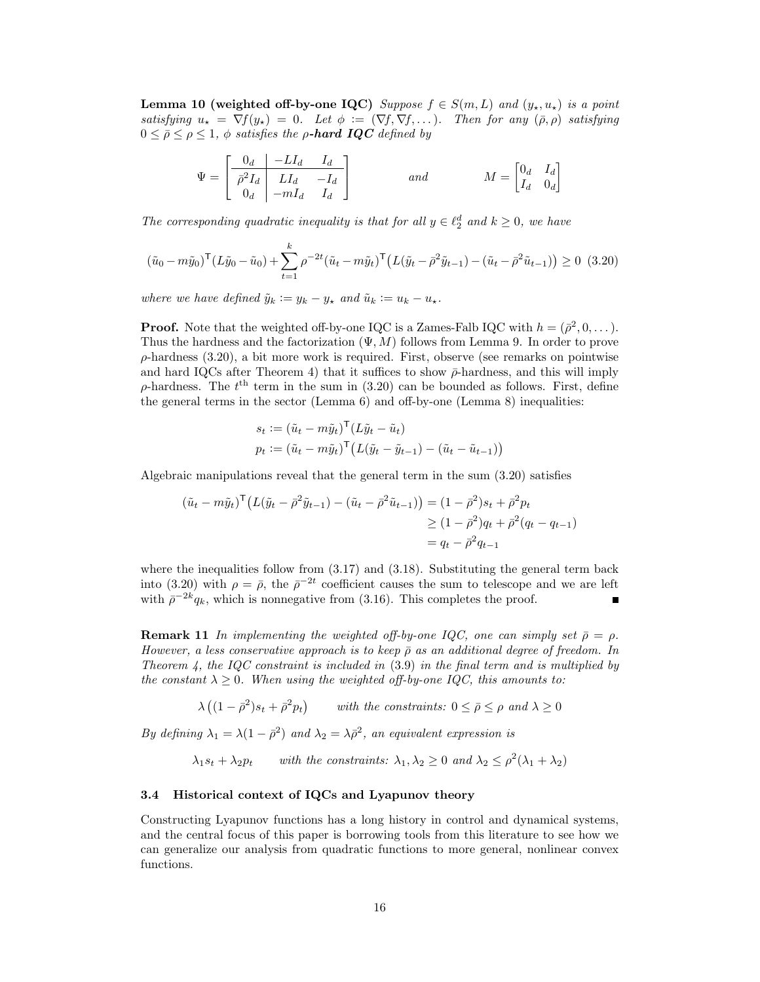**Lemma 10 (weighted off-by-one IQC)** Suppose  $f \in S(m, L)$  and  $(u_x, u_x)$  is a point satisfying  $u_* = \nabla f(y_*) = 0$ . Let  $\phi := (\nabla f, \nabla f, \dots)$ . Then for any  $(\bar{\rho}, \rho)$  satisfying  $0 \leq \bar{\rho} \leq \rho \leq 1$ ,  $\phi$  satisfies the  $\rho$ -hard IQC defined by

$$
\Psi = \begin{bmatrix} 0_d & -LI_d & I_d \\ \bar{\rho}^2 I_d & LI_d & -I_d \\ 0_d & -mI_d & I_d \end{bmatrix} \quad \text{and} \quad M = \begin{bmatrix} 0_d & I_d \\ I_d & 0_d \end{bmatrix}
$$

The corresponding quadratic inequality is that for all  $y \in \ell_2^d$  and  $k \geq 0$ , we have

<span id="page-15-1"></span>
$$
(\tilde{u}_0 - m\tilde{y}_0)^{\mathsf{T}} (L\tilde{y}_0 - \tilde{u}_0) + \sum_{t=1}^{k} \rho^{-2t} (\tilde{u}_t - m\tilde{y}_t)^{\mathsf{T}} \left( L(\tilde{y}_t - \bar{\rho}^2 \tilde{y}_{t-1}) - (\tilde{u}_t - \bar{\rho}^2 \tilde{u}_{t-1}) \right) \ge 0 \tag{3.20}
$$

where we have defined  $\tilde{y}_k := y_k - y_{\star}$  and  $\tilde{u}_k := u_k - u_{\star}$ .

**Proof.** Note that the weighted off-by-one IQC is a Zames-Falb IQC with  $h = (\bar{\rho}^2, 0, \dots)$ . Thus the hardness and the factorization  $(\Psi, M)$  follows from Lemma [9.](#page-13-4) In order to prove  $\rho$ -hardness [\(3.20\)](#page-15-1), a bit more work is required. First, observe (see remarks on pointwise and hard IQCs after Theorem [4\)](#page-9-0) that it suffices to show  $\bar{\rho}$ -hardness, and this will imply  $\rho$ -hardness. The  $t<sup>th</sup>$  term in the sum in [\(3.20\)](#page-15-1) can be bounded as follows. First, define the general terms in the sector (Lemma [6\)](#page-12-5) and off-by-one (Lemma [8\)](#page-12-6) inequalities:

$$
s_t := (\tilde{u}_t - m\tilde{y}_t)^{\mathsf{T}} (L\tilde{y}_t - \tilde{u}_t)
$$
  

$$
p_t := (\tilde{u}_t - m\tilde{y}_t)^{\mathsf{T}} (L(\tilde{y}_t - \tilde{y}_{t-1}) - (\tilde{u}_t - \tilde{u}_{t-1}))
$$

Algebraic manipulations reveal that the general term in the sum [\(3.20\)](#page-15-1) satisfies

$$
(\tilde{u}_t - m\tilde{y}_t)^{\mathsf{T}} \left( L(\tilde{y}_t - \bar{\rho}^2 \tilde{y}_{t-1}) - (\tilde{u}_t - \bar{\rho}^2 \tilde{u}_{t-1}) \right) = (1 - \bar{\rho}^2) s_t + \bar{\rho}^2 p_t
$$
  
\n
$$
\geq (1 - \bar{\rho}^2) q_t + \bar{\rho}^2 (q_t - q_{t-1})
$$
  
\n
$$
= q_t - \bar{\rho}^2 q_{t-1}
$$

where the inequalities follow from  $(3.17)$  and  $(3.18)$ . Substituting the general term back into [\(3.20\)](#page-15-1) with  $\rho = \bar{\rho}$ , the  $\bar{\rho}^{-2t}$  coefficient causes the sum to telescope and we are left with  $\bar{\rho}^{-2k}q_k$ , which is nonnegative from [\(3.16\)](#page-13-3). This completes the proof.

<span id="page-15-2"></span>**Remark 11** In implementing the weighted off-by-one IQC, one can simply set  $\bar{\rho} = \rho$ . However, a less conservative approach is to keep  $\bar{\rho}$  as an additional degree of freedom. In Theorem [4,](#page-9-0) the IQC constraint is included in  $(3.9)$  in the final term and is multiplied by the constant  $\lambda \geq 0$ . When using the weighted off-by-one IQC, this amounts to:

$$
\lambda ((1 - \bar{\rho}^2)s_t + \bar{\rho}^2 p_t) \qquad \text{with the constraints: } 0 \le \bar{\rho} \le \rho \text{ and } \lambda \ge 0
$$

By defining  $\lambda_1 = \lambda(1 - \bar{\rho}^2)$  and  $\lambda_2 = \lambda \bar{\rho}^2$ , an equivalent expression is

$$
\lambda_1 s_t + \lambda_2 p_t
$$
 with the constraints:  $\lambda_1, \lambda_2 \ge 0$  and  $\lambda_2 \le \rho^2(\lambda_1 + \lambda_2)$ 

#### <span id="page-15-0"></span>3.4 Historical context of IQCs and Lyapunov theory

Constructing Lyapunov functions has a long history in control and dynamical systems, and the central focus of this paper is borrowing tools from this literature to see how we can generalize our analysis from quadratic functions to more general, nonlinear convex functions.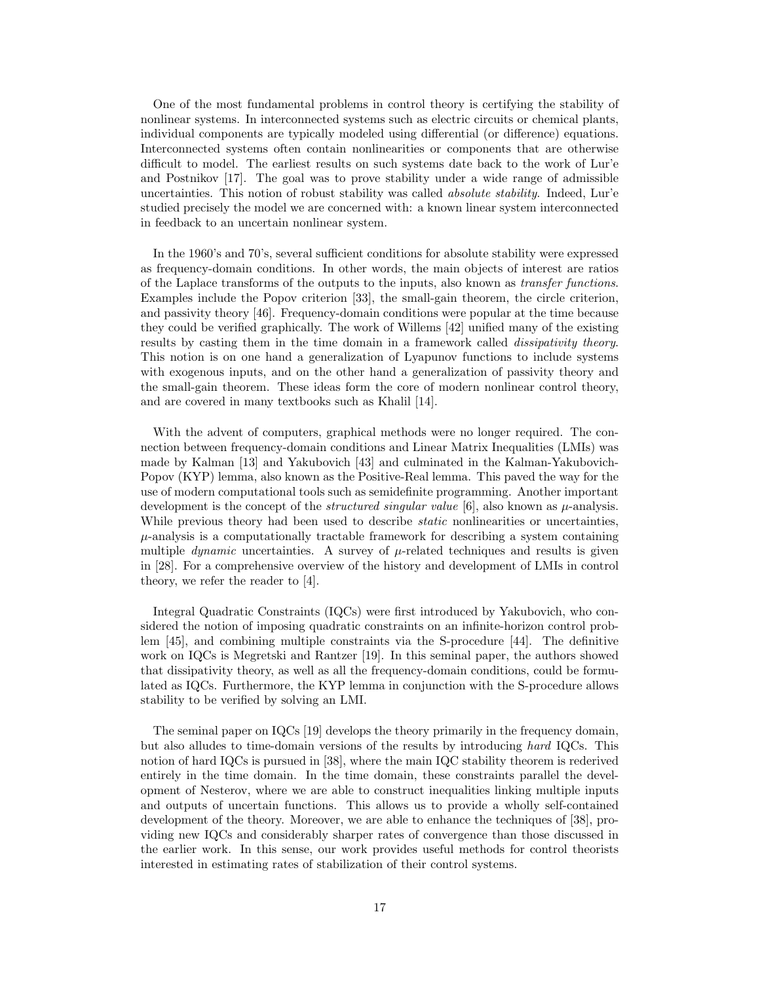One of the most fundamental problems in control theory is certifying the stability of nonlinear systems. In interconnected systems such as electric circuits or chemical plants, individual components are typically modeled using differential (or difference) equations. Interconnected systems often contain nonlinearities or components that are otherwise difficult to model. The earliest results on such systems date back to the work of Lur'e and Postnikov [\[17\]](#page-35-8). The goal was to prove stability under a wide range of admissible uncertainties. This notion of robust stability was called absolute stability. Indeed, Lur'e studied precisely the model we are concerned with: a known linear system interconnected in feedback to an uncertain nonlinear system.

In the 1960's and 70's, several sufficient conditions for absolute stability were expressed as frequency-domain conditions. In other words, the main objects of interest are ratios of the Laplace transforms of the outputs to the inputs, also known as transfer functions. Examples include the Popov criterion [\[33\]](#page-36-5), the small-gain theorem, the circle criterion, and passivity theory [\[46\]](#page-36-6). Frequency-domain conditions were popular at the time because they could be verified graphically. The work of Willems [\[42\]](#page-36-7) unified many of the existing results by casting them in the time domain in a framework called dissipativity theory. This notion is on one hand a generalization of Lyapunov functions to include systems with exogenous inputs, and on the other hand a generalization of passivity theory and the small-gain theorem. These ideas form the core of modern nonlinear control theory, and are covered in many textbooks such as Khalil [\[14\]](#page-35-9).

With the advent of computers, graphical methods were no longer required. The connection between frequency-domain conditions and Linear Matrix Inequalities (LMIs) was made by Kalman [\[13\]](#page-35-10) and Yakubovich [\[43\]](#page-36-8) and culminated in the Kalman-Yakubovich-Popov (KYP) lemma, also known as the Positive-Real lemma. This paved the way for the use of modern computational tools such as semidefinite programming. Another important development is the concept of the *structured singular value* [\[6\]](#page-34-3), also known as  $\mu$ -analysis. While previous theory had been used to describe *static* nonlinearities or uncertainties,  $\mu$ -analysis is a computationally tractable framework for describing a system containing multiple *dynamic* uncertainties. A survey of  $\mu$ -related techniques and results is given in [\[28\]](#page-35-11). For a comprehensive overview of the history and development of LMIs in control theory, we refer the reader to [\[4\]](#page-34-4).

Integral Quadratic Constraints (IQCs) were first introduced by Yakubovich, who considered the notion of imposing quadratic constraints on an infinite-horizon control problem [\[45\]](#page-36-9), and combining multiple constraints via the S-procedure [\[44\]](#page-36-10). The definitive work on IQCs is Megretski and Rantzer [\[19\]](#page-35-4). In this seminal paper, the authors showed that dissipativity theory, as well as all the frequency-domain conditions, could be formulated as IQCs. Furthermore, the KYP lemma in conjunction with the S-procedure allows stability to be verified by solving an LMI.

The seminal paper on IQCs [\[19\]](#page-35-4) develops the theory primarily in the frequency domain, but also alludes to time-domain versions of the results by introducing hard IQCs. This notion of hard IQCs is pursued in [\[38\]](#page-36-1), where the main IQC stability theorem is rederived entirely in the time domain. In the time domain, these constraints parallel the development of Nesterov, where we are able to construct inequalities linking multiple inputs and outputs of uncertain functions. This allows us to provide a wholly self-contained development of the theory. Moreover, we are able to enhance the techniques of [\[38\]](#page-36-1), providing new IQCs and considerably sharper rates of convergence than those discussed in the earlier work. In this sense, our work provides useful methods for control theorists interested in estimating rates of stabilization of their control systems.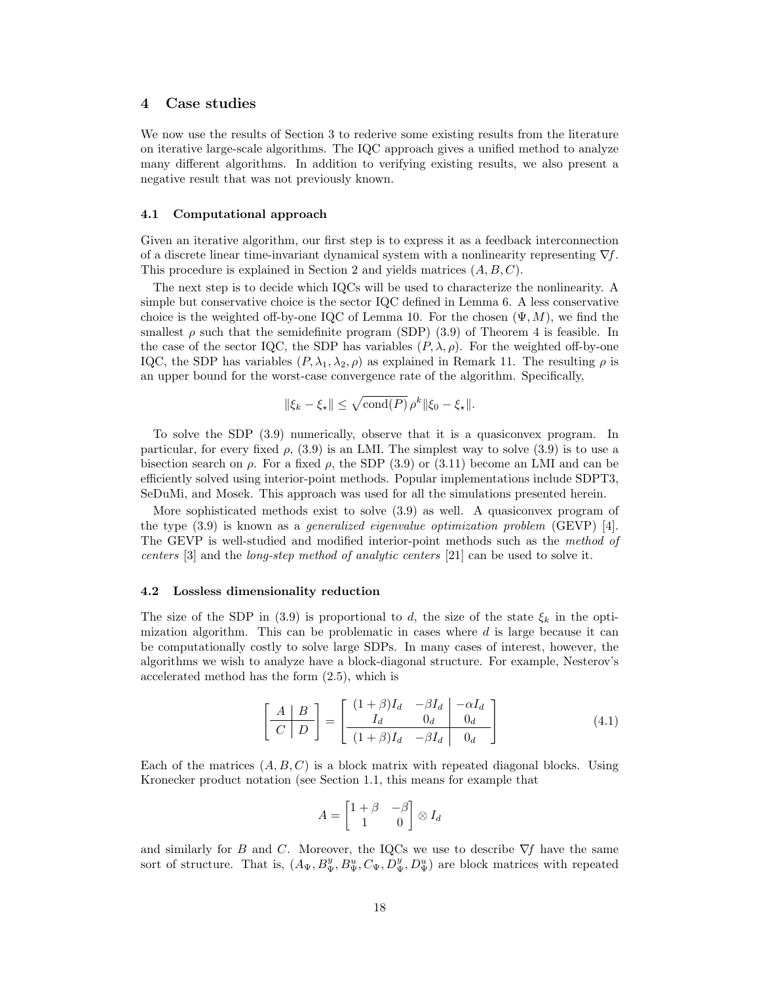## 4 Case studies

We now use the results of Section [3](#page-6-0) to rederive some existing results from the literature on iterative large-scale algorithms. The IQC approach gives a unified method to analyze many different algorithms. In addition to verifying existing results, we also present a negative result that was not previously known.

#### 4.1 Computational approach

Given an iterative algorithm, our first step is to express it as a feedback interconnection of a discrete linear time-invariant dynamical system with a nonlinearity representing  $\nabla f$ . This procedure is explained in Section [2](#page-2-2) and yields matrices  $(A, B, C)$ .

The next step is to decide which IQCs will be used to characterize the nonlinearity. A simple but conservative choice is the sector IQC defined in Lemma [6.](#page-12-5) A less conservative choice is the weighted off-by-one IQC of Lemma [10.](#page-14-1) For the chosen  $(\Psi, M)$ , we find the smallest  $\rho$  such that the semidefinite program (SDP) [\(3.9\)](#page-9-4) of Theorem [4](#page-9-0) is feasible. In the case of the sector IQC, the SDP has variables  $(P, \lambda, \rho)$ . For the weighted off-by-one IQC, the SDP has variables  $(P, \lambda_1, \lambda_2, \rho)$  as explained in Remark [11.](#page-15-2) The resulting  $\rho$  is an upper bound for the worst-case convergence rate of the algorithm. Specifically,

$$
\|\xi_k - \xi_\star\| \leq \sqrt{\text{cond}(P)} \,\rho^k \|\xi_0 - \xi_\star\|.
$$

To solve the SDP [\(3.9\)](#page-9-4) numerically, observe that it is a quasiconvex program. In particular, for every fixed  $\rho$ , [\(3.9\)](#page-9-4) is an LMI. The simplest way to solve (3.9) is to use a bisection search on  $\rho$ . For a fixed  $\rho$ , the SDP [\(3.9\)](#page-9-4) or [\(3.11\)](#page-11-1) become an LMI and can be efficiently solved using interior-point methods. Popular implementations include SDPT3, SeDuMi, and Mosek. This approach was used for all the simulations presented herein.

More sophisticated methods exist to solve [\(3.9\)](#page-9-4) as well. A quasiconvex program of the type  $(3.9)$  is known as a *generalized eigenvalue optimization problem*  $(GEVP)$  [\[4\]](#page-34-4). The GEVP is well-studied and modified interior-point methods such as the method of centers [\[3\]](#page-34-5) and the long-step method of analytic centers [\[21\]](#page-35-12) can be used to solve it.

## <span id="page-17-0"></span>4.2 Lossless dimensionality reduction

The size of the SDP in [\(3.9\)](#page-9-4) is proportional to d, the size of the state  $\xi_k$  in the optimization algorithm. This can be problematic in cases where  $d$  is large because it can be computationally costly to solve large SDPs. In many cases of interest, however, the algorithms we wish to analyze have a block-diagonal structure. For example, Nesterov's accelerated method has the form [\(2.5\)](#page-3-2), which is

$$
\left[\begin{array}{c|c}\nA & B \\
\hline\nC & D\n\end{array}\right] = \left[\begin{array}{cc|c}\n(1+\beta)I_d & -\beta I_d & -\alpha I_d \\
I_d & 0_d & 0_d \\
(1+\beta)I_d & -\beta I_d & 0_d\n\end{array}\right]
$$
\n(4.1)

Each of the matrices  $(A, B, C)$  is a block matrix with repeated diagonal blocks. Using Kronecker product notation (see Section [1.1,](#page-2-3) this means for example that

$$
A = \begin{bmatrix} 1+\beta & -\beta \\ 1 & 0 \end{bmatrix} \otimes I_d
$$

and similarly for B and C. Moreover, the IQCs we use to describe  $\nabla f$  have the same sort of structure. That is,  $(A_{\Psi}, B_{\Psi}^y, B_{\Psi}^u, C_{\Psi}, D_{\Psi}^y, D_{\Psi}^u)$  are block matrices with repeated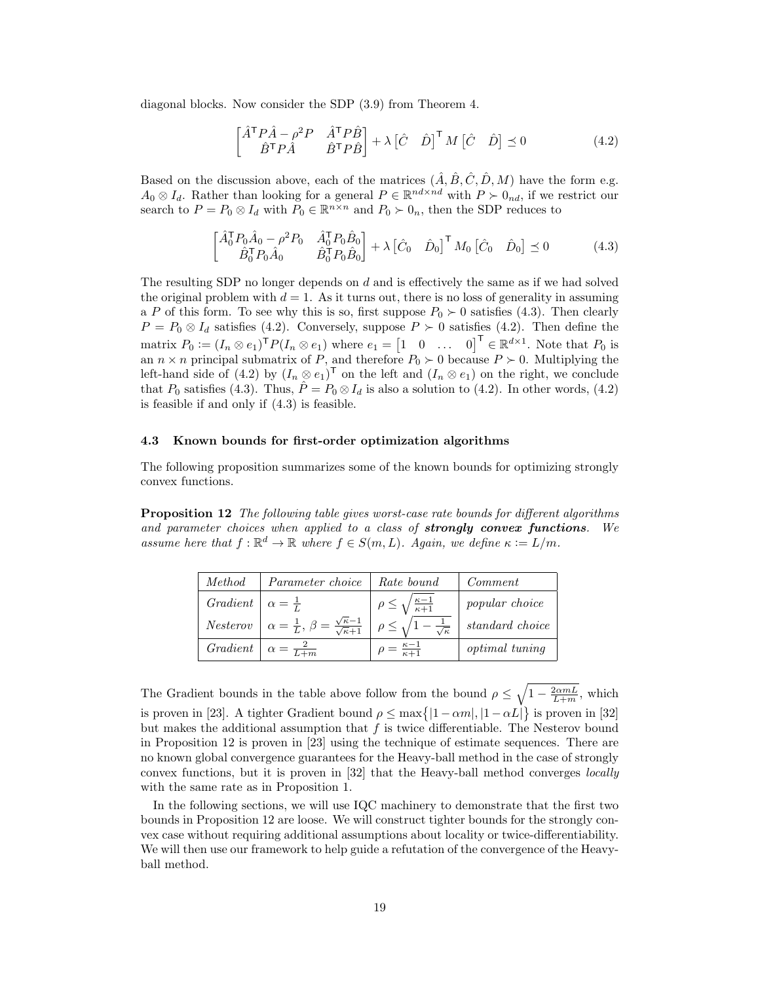diagonal blocks. Now consider the SDP [\(3.9\)](#page-9-4) from Theorem [4.](#page-9-0)

<span id="page-18-1"></span>
$$
\begin{bmatrix} \hat{A}^{\mathsf{T}} P \hat{A} - \rho^2 P & \hat{A}^{\mathsf{T}} P \hat{B} \\ \hat{B}^{\mathsf{T}} P \hat{A} & \hat{B}^{\mathsf{T}} P \hat{B} \end{bmatrix} + \lambda \begin{bmatrix} \hat{C} & \hat{D} \end{bmatrix}^{\mathsf{T}} M \begin{bmatrix} \hat{C} & \hat{D} \end{bmatrix} \preceq 0 \tag{4.2}
$$

Based on the discussion above, each of the matrices  $(\hat{A}, \hat{B}, \hat{C}, \hat{D}, M)$  have the form e.g.  $A_0 \otimes I_d$ . Rather than looking for a general  $P \in \mathbb{R}^{nd \times nd}$  with  $P \succ 0_{nd}$ , if we restrict our search to  $P = P_0 \otimes I_d$  with  $P_0 \in \mathbb{R}^{n \times n}$  and  $P_0 \succ 0_n$ , then the SDP reduces to

<span id="page-18-0"></span>
$$
\begin{bmatrix} \hat{A}_0^{\mathsf{T}} P_0 \hat{A}_0 - \rho^2 P_0 & \hat{A}_0^{\mathsf{T}} P_0 \hat{B}_0 \\ \hat{B}_0^{\mathsf{T}} P_0 \hat{A}_0 & \hat{B}_0^{\mathsf{T}} P_0 \hat{B}_0 \end{bmatrix} + \lambda \begin{bmatrix} \hat{C}_0 & \hat{D}_0 \end{bmatrix}^{\mathsf{T}} M_0 \begin{bmatrix} \hat{C}_0 & \hat{D}_0 \end{bmatrix} \preceq 0 \tag{4.3}
$$

The resulting SDP no longer depends on  $d$  and is effectively the same as if we had solved the original problem with  $d = 1$ . As it turns out, there is no loss of generality in assuming a P of this form. To see why this is so, first suppose  $P_0 \succ 0$  satisfies [\(4.3\)](#page-18-0). Then clearly  $P = P_0 \otimes I_d$  satisfies [\(4.2\)](#page-18-1). Conversely, suppose  $P \succ 0$  satisfies (4.2). Then define the matrix  $P_0 := (I_n \otimes e_1)^\mathsf{T} P (I_n \otimes e_1)$  where  $e_1 = \begin{bmatrix} 1 & 0 & \dots & 0 \end{bmatrix}^\mathsf{T} \in \mathbb{R}^{d \times 1}$ . Note that  $P_0$  is an  $n \times n$  principal submatrix of P, and therefore  $P_0 \succ 0$  because  $P \succ 0$ . Multiplying the left-hand side of [\(4.2\)](#page-18-1) by  $(I_n \otimes e_1)$ <sup>T</sup> on the left and  $(I_n \otimes e_1)$  on the right, we conclude that  $P_0$  satisfies [\(4.3\)](#page-18-0). Thus,  $\hat{P} = P_0 \otimes I_d$  is also a solution to [\(4.2\)](#page-18-1). In other words, (4.2) is feasible if and only if [\(4.3\)](#page-18-0) is feasible.

#### 4.3 Known bounds for first-order optimization algorithms

The following proposition summarizes some of the known bounds for optimizing strongly convex functions.

<span id="page-18-2"></span>Proposition 12 The following table gives worst-case rate bounds for different algorithms and parameter choices when applied to a class of **strongly convex functions**. We assume here that  $f : \mathbb{R}^d \to \mathbb{R}$  where  $f \in S(m, L)$ . Again, we define  $\kappa := L/m$ .

| Method                             | <i>Parameter choice</i>                                                                 | Rate bound                                                    | Comment               |
|------------------------------------|-----------------------------------------------------------------------------------------|---------------------------------------------------------------|-----------------------|
| Gradient $\alpha = \frac{1}{\tau}$ |                                                                                         | $\rho \leq \sqrt{\frac{\kappa-1}{\kappa+1}}$                  | popular choice        |
|                                    | <i>Nesterov</i> $\alpha = \frac{1}{L}, \beta = \frac{\sqrt{\kappa}-1}{\sqrt{\kappa}+1}$ | $\left  \rho \leq \sqrt{1 - \frac{1}{\sqrt{\kappa}}} \right $ | standard choice       |
|                                    | Gradient $\alpha = \frac{2}{L+m}$                                                       | $\rho = \frac{\kappa - 1}{\kappa + 1}$                        | <i>optimal</i> tuning |

The Gradient bounds in the table above follow from the bound  $\rho \leq \sqrt{1 - \frac{2 \alpha m L}{L+m}}$ , which is proven in [\[23\]](#page-35-0). A tighter Gradient bound  $\rho \leq \max\{|1-\alpha m|, |1-\alpha L|\}$  is proven in [\[32\]](#page-36-11) but makes the additional assumption that  $f$  is twice differentiable. The Nesterov bound in Proposition [12](#page-18-2) is proven in [\[23\]](#page-35-0) using the technique of estimate sequences. There are no known global convergence guarantees for the Heavy-ball method in the case of strongly convex functions, but it is proven in [\[32\]](#page-36-11) that the Heavy-ball method converges locally with the same rate as in Proposition [1.](#page-5-0)

In the following sections, we will use IQC machinery to demonstrate that the first two bounds in Proposition [12](#page-18-2) are loose. We will construct tighter bounds for the strongly convex case without requiring additional assumptions about locality or twice-differentiability. We will then use our framework to help guide a refutation of the convergence of the Heavyball method.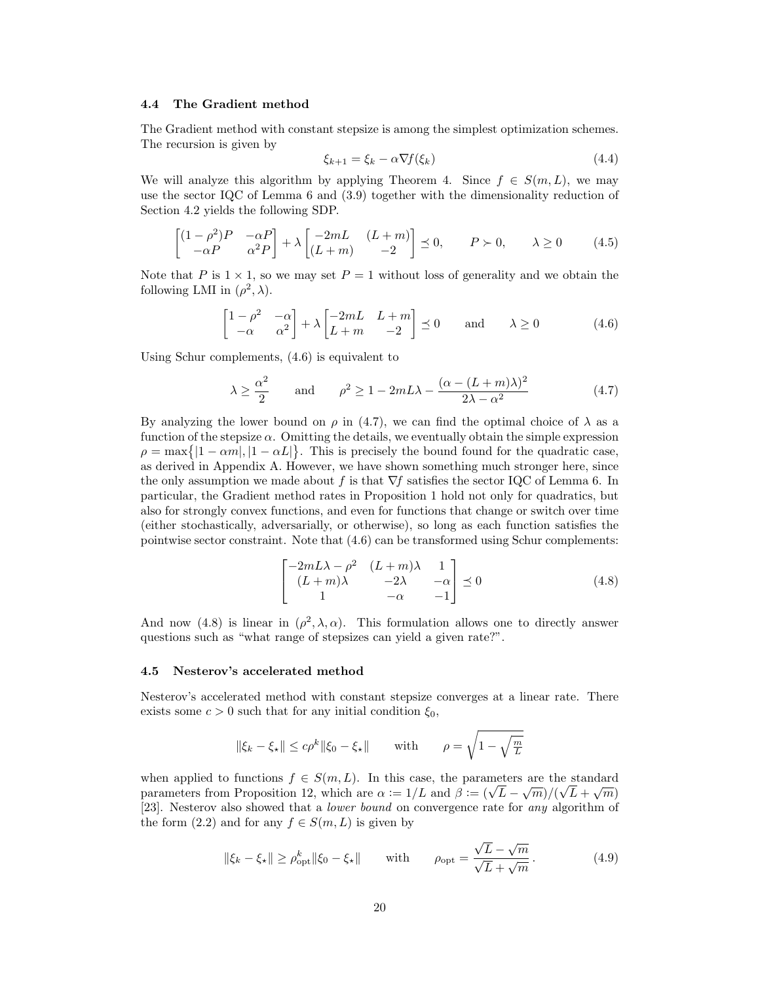#### <span id="page-19-4"></span>4.4 The Gradient method

The Gradient method with constant stepsize is among the simplest optimization schemes. The recursion is given by

$$
\xi_{k+1} = \xi_k - \alpha \nabla f(\xi_k) \tag{4.4}
$$

We will analyze this algorithm by applying Theorem [4.](#page-9-0) Since  $f \in S(m, L)$ , we may use the sector IQC of Lemma [6](#page-12-5) and [\(3.9\)](#page-9-4) together with the dimensionality reduction of Section [4.2](#page-17-0) yields the following SDP.

$$
\begin{bmatrix} (1 - \rho^2)P & -\alpha P \\ -\alpha P & \alpha^2 P \end{bmatrix} + \lambda \begin{bmatrix} -2mL & (L+m) \\ (L+m) & -2 \end{bmatrix} \preceq 0, \qquad P \succ 0, \qquad \lambda \ge 0 \tag{4.5}
$$

Note that P is  $1 \times 1$ , so we may set  $P = 1$  without loss of generality and we obtain the following LMI in  $(\rho^2, \lambda)$ .

<span id="page-19-0"></span>
$$
\begin{bmatrix} 1 - \rho^2 & -\alpha \\ -\alpha & \alpha^2 \end{bmatrix} + \lambda \begin{bmatrix} -2mL & L+m \\ L+m & -2 \end{bmatrix} \preceq 0 \quad \text{and} \quad \lambda \ge 0 \tag{4.6}
$$

Using Schur complements, [\(4.6\)](#page-19-0) is equivalent to

<span id="page-19-1"></span>
$$
\lambda \ge \frac{\alpha^2}{2}
$$
 and  $\rho^2 \ge 1 - 2mL\lambda - \frac{(\alpha - (L + m)\lambda)^2}{2\lambda - \alpha^2}$  (4.7)

By analyzing the lower bound on  $\rho$  in [\(4.7\)](#page-19-1), we can find the optimal choice of  $\lambda$  as a function of the stepsize  $\alpha$ . Omitting the details, we eventually obtain the simple expression  $\rho = \max\{|1 - \alpha m|, |1 - \alpha L|\}.$  This is precisely the bound found for the quadratic case, as derived in Appendix [A.](#page-37-0) However, we have shown something much stronger here, since the only assumption we made about f is that  $\nabla f$  satisfies the sector IQC of Lemma [6.](#page-12-5) In particular, the Gradient method rates in Proposition [1](#page-5-0) hold not only for quadratics, but also for strongly convex functions, and even for functions that change or switch over time (either stochastically, adversarially, or otherwise), so long as each function satisfies the pointwise sector constraint. Note that  $(4.6)$  can be transformed using Schur complements:

<span id="page-19-2"></span>
$$
\begin{bmatrix} -2mL\lambda - \rho^2 & (L+m)\lambda & 1\\ (L+m)\lambda & -2\lambda & -\alpha\\ 1 & -\alpha & -1 \end{bmatrix} \preceq 0
$$
 (4.8)

And now [\(4.8\)](#page-19-2) is linear in  $(\rho^2, \lambda, \alpha)$ . This formulation allows one to directly answer questions such as "what range of stepsizes can yield a given rate?".

## <span id="page-19-5"></span>4.5 Nesterov's accelerated method

Nesterov's accelerated method with constant stepsize converges at a linear rate. There exists some  $c > 0$  such that for any initial condition  $\xi_0$ ,

$$
\|\xi_k - \xi_\star\| \le c\rho^k \|\xi_0 - \xi_\star\| \quad \text{with} \quad \rho = \sqrt{1 - \sqrt{\frac{m}{L}}}
$$

when applied to functions  $f \in S(m, L)$ . In this case, the parameters are the standard parameters from Proposition [12,](#page-18-2) which are  $\alpha := 1/L$  and  $\beta := (\sqrt{L} - \sqrt{m})/(\sqrt{L} + \sqrt{m})$ [\[23\]](#page-35-0). Nesterov also showed that a lower bound on convergence rate for any algorithm of the form  $(2.2)$  and for any  $f \in S(m, L)$  is given by

<span id="page-19-3"></span>
$$
\|\xi_k - \xi_\star\| \ge \rho_{\text{opt}}^k \|\xi_0 - \xi_\star\| \quad \text{with} \quad \rho_{\text{opt}} = \frac{\sqrt{L} - \sqrt{m}}{\sqrt{L} + \sqrt{m}}. \tag{4.9}
$$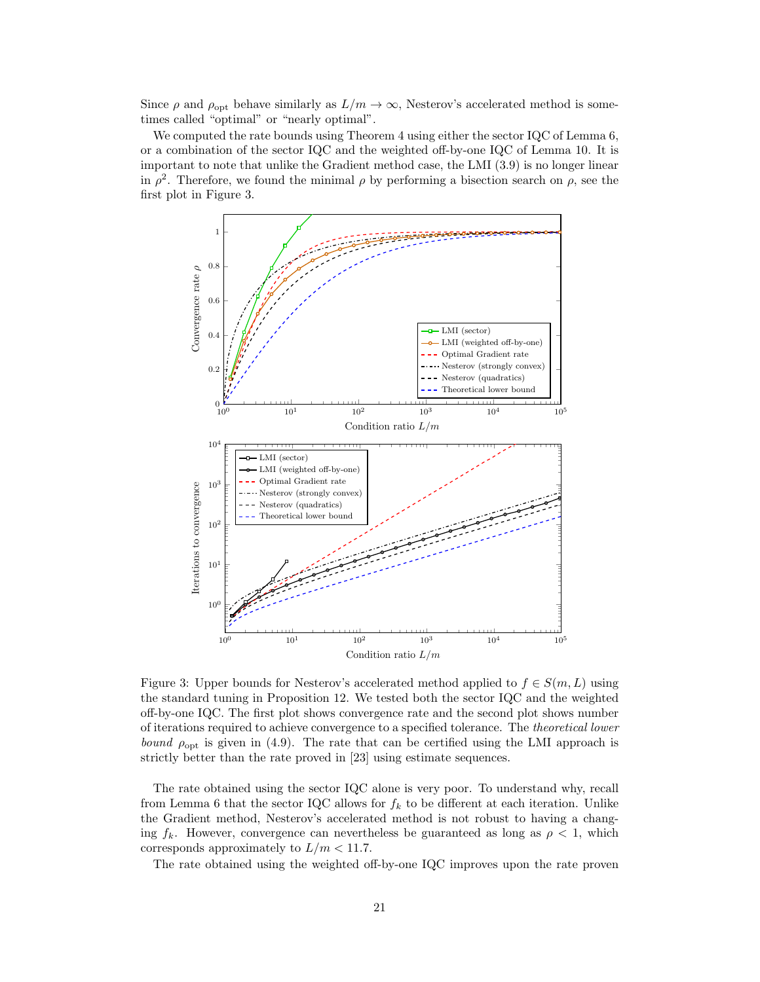Since  $\rho$  and  $\rho_{\text{opt}}$  behave similarly as  $L/m \to \infty$ , Nesterov's accelerated method is sometimes called "optimal" or "nearly optimal".

We computed the rate bounds using Theorem [4](#page-9-0) using either the sector IQC of Lemma [6,](#page-12-5) or a combination of the sector IQC and the weighted off-by-one IQC of Lemma [10.](#page-14-1) It is important to note that unlike the Gradient method case, the LMI [\(3.9\)](#page-9-4) is no longer linear in  $\rho^2$ . Therefore, we found the minimal  $\rho$  by performing a bisection search on  $\rho$ , see the first plot in Figure [3.](#page-20-0)

<span id="page-20-0"></span>

Figure 3: Upper bounds for Nesterov's accelerated method applied to  $f \in S(m, L)$  using the standard tuning in Proposition [12.](#page-18-2) We tested both the sector IQC and the weighted off-by-one IQC. The first plot shows convergence rate and the second plot shows number of iterations required to achieve convergence to a specified tolerance. The theoretical lower bound  $\rho_{\text{opt}}$  is given in [\(4.9\)](#page-19-3). The rate that can be certified using the LMI approach is strictly better than the rate proved in [\[23\]](#page-35-0) using estimate sequences.

The rate obtained using the sector IQC alone is very poor. To understand why, recall from Lemma [6](#page-12-5) that the sector IQC allows for  $f_k$  to be different at each iteration. Unlike the Gradient method, Nesterov's accelerated method is not robust to having a changing  $f_k$ . However, convergence can nevertheless be guaranteed as long as  $\rho < 1$ , which corresponds approximately to  $L/m < 11.7$ .

The rate obtained using the weighted off-by-one IQC improves upon the rate proven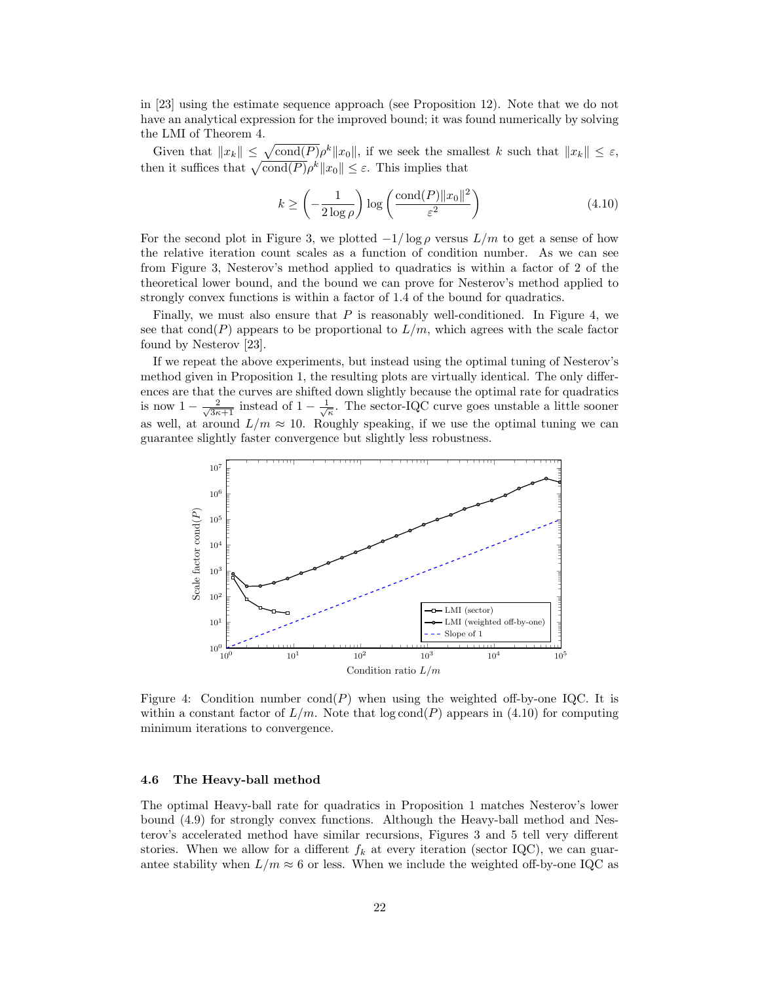in [\[23\]](#page-35-0) using the estimate sequence approach (see Proposition [12\)](#page-18-2). Note that we do not have an analytical expression for the improved bound; it was found numerically by solving the LMI of Theorem [4.](#page-9-0)

Given that  $||x_k|| \leq \sqrt{\text{cond}(P)}\rho^k ||x_0||$ , if we seek the smallest k such that  $||x_k|| \leq \varepsilon$ , then it suffices that  $\sqrt{\text{cond}(P)}\rho^k ||x_0|| \leq \varepsilon$ . This implies that

<span id="page-21-1"></span>
$$
k \ge \left(-\frac{1}{2\log\rho}\right) \log\left(\frac{\text{cond}(P)\|x_0\|^2}{\varepsilon^2}\right) \tag{4.10}
$$

For the second plot in Figure [3,](#page-20-0) we plotted  $-1/\log \rho$  versus  $L/m$  to get a sense of how the relative iteration count scales as a function of condition number. As we can see from Figure [3,](#page-20-0) Nesterov's method applied to quadratics is within a factor of 2 of the theoretical lower bound, and the bound we can prove for Nesterov's method applied to strongly convex functions is within a factor of 1.4 of the bound for quadratics.

Finally, we must also ensure that  $P$  is reasonably well-conditioned. In Figure [4,](#page-21-0) we see that cond(P) appears to be proportional to  $L/m$ , which agrees with the scale factor found by Nesterov [\[23\]](#page-35-0).

If we repeat the above experiments, but instead using the optimal tuning of Nesterov's method given in Proposition [1,](#page-5-0) the resulting plots are virtually identical. The only differences are that the curves are shifted down slightly because the optimal rate for quadratics is now  $1 - \frac{2}{\sqrt{3\kappa+1}}$  instead of  $1 - \frac{1}{\sqrt{\kappa}}$ . The sector-IQC curve goes unstable a little sooner as well, at around  $L/m \approx 10$ . Roughly speaking, if we use the optimal tuning we can guarantee slightly faster convergence but slightly less robustness.

<span id="page-21-0"></span>

Figure 4: Condition number  $cond(P)$  when using the weighted off-by-one IQC. It is within a constant factor of  $L/m$ . Note that  $log cond(P)$  appears in [\(4.10\)](#page-21-1) for computing minimum iterations to convergence.

## <span id="page-21-2"></span>4.6 The Heavy-ball method

The optimal Heavy-ball rate for quadratics in Proposition [1](#page-5-0) matches Nesterov's lower bound [\(4.9\)](#page-19-3) for strongly convex functions. Although the Heavy-ball method and Nesterov's accelerated method have similar recursions, Figures [3](#page-20-0) and [5](#page-22-0) tell very different stories. When we allow for a different  $f_k$  at every iteration (sector IQC), we can guarantee stability when  $L/m \approx 6$  or less. When we include the weighted off-by-one IQC as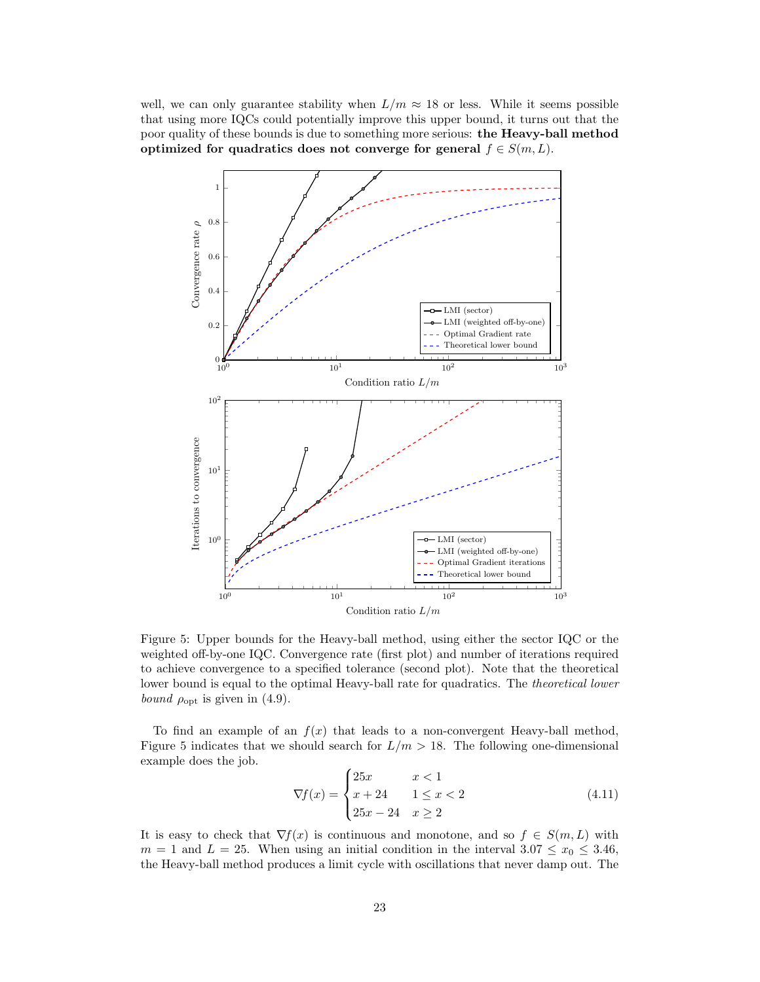well, we can only guarantee stability when  $L/m \approx 18$  or less. While it seems possible that using more IQCs could potentially improve this upper bound, it turns out that the poor quality of these bounds is due to something more serious: the Heavy-ball method optimized for quadratics does not converge for general  $f \in S(m, L)$ .

<span id="page-22-0"></span>

Figure 5: Upper bounds for the Heavy-ball method, using either the sector IQC or the weighted off-by-one IQC. Convergence rate (first plot) and number of iterations required to achieve convergence to a specified tolerance (second plot). Note that the theoretical lower bound is equal to the optimal Heavy-ball rate for quadratics. The *theoretical lower* bound  $\rho_{\rm opt}$  is given in [\(4.9\)](#page-19-3).

To find an example of an  $f(x)$  that leads to a non-convergent Heavy-ball method, Figure [5](#page-22-0) indicates that we should search for  $L/m > 18$ . The following one-dimensional example does the job.

<span id="page-22-1"></span>
$$
\nabla f(x) = \begin{cases} 25x & x < 1 \\ x + 24 & 1 \le x < 2 \\ 25x - 24 & x \ge 2 \end{cases}
$$
(4.11)

It is easy to check that  $\nabla f(x)$  is continuous and monotone, and so  $f \in S(m, L)$  with  $m = 1$  and  $L = 25$ . When using an initial condition in the interval  $3.07 \le x_0 \le 3.46$ , the Heavy-ball method produces a limit cycle with oscillations that never damp out. The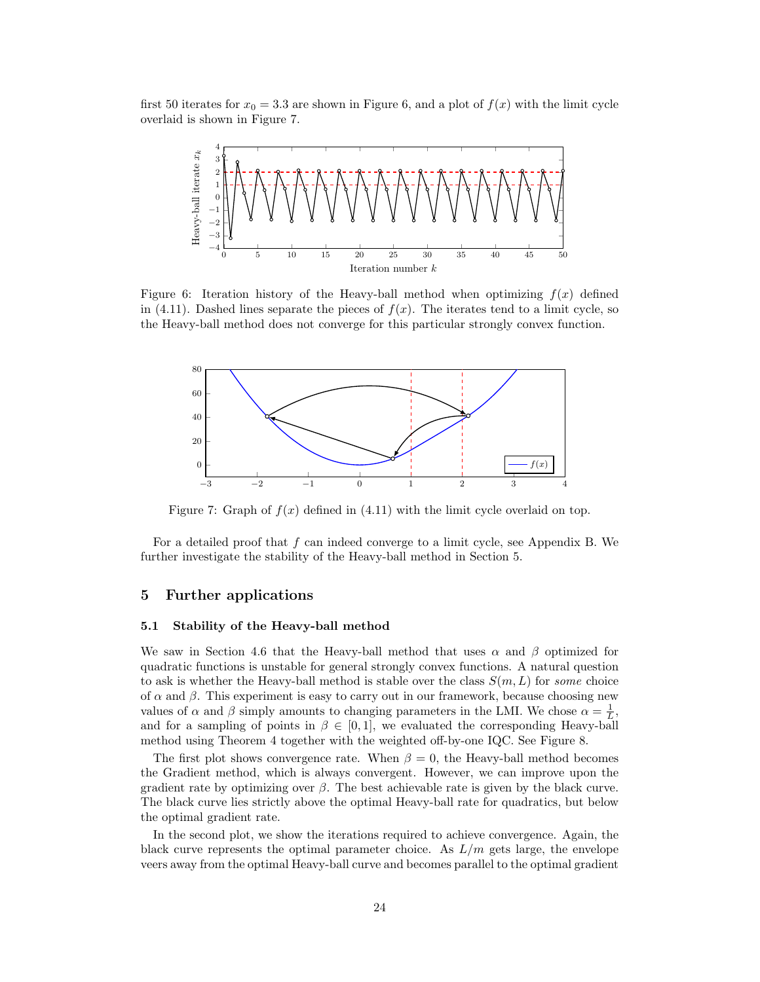first 50 iterates for  $x_0 = 3.3$  are shown in Figure [6,](#page-23-0) and a plot of  $f(x)$  with the limit cycle overlaid is shown in Figure [7.](#page-23-1)

<span id="page-23-0"></span>

Figure 6: Iteration history of the Heavy-ball method when optimizing  $f(x)$  defined in [\(4.11\)](#page-22-1). Dashed lines separate the pieces of  $f(x)$ . The iterates tend to a limit cycle, so the Heavy-ball method does not converge for this particular strongly convex function.

<span id="page-23-1"></span>

Figure 7: Graph of  $f(x)$  defined in [\(4.11\)](#page-22-1) with the limit cycle overlaid on top.

For a detailed proof that f can indeed converge to a limit cycle, see Appendix [B.](#page-38-0) We further investigate the stability of the Heavy-ball method in Section [5.](#page-23-2)

## <span id="page-23-2"></span>5 Further applications

#### 5.1 Stability of the Heavy-ball method

We saw in Section [4.6](#page-21-2) that the Heavy-ball method that uses  $\alpha$  and  $\beta$  optimized for quadratic functions is unstable for general strongly convex functions. A natural question to ask is whether the Heavy-ball method is stable over the class  $S(m, L)$  for some choice of  $\alpha$  and  $\beta$ . This experiment is easy to carry out in our framework, because choosing new values of  $\alpha$  and  $\beta$  simply amounts to changing parameters in the LMI. We chose  $\alpha = \frac{1}{L}$ , and for a sampling of points in  $\beta \in [0,1]$ , we evaluated the corresponding Heavy-ball method using Theorem [4](#page-9-0) together with the weighted off-by-one IQC. See Figure [8.](#page-24-0)

The first plot shows convergence rate. When  $\beta = 0$ , the Heavy-ball method becomes the Gradient method, which is always convergent. However, we can improve upon the gradient rate by optimizing over  $\beta$ . The best achievable rate is given by the black curve. The black curve lies strictly above the optimal Heavy-ball rate for quadratics, but below the optimal gradient rate.

In the second plot, we show the iterations required to achieve convergence. Again, the black curve represents the optimal parameter choice. As  $L/m$  gets large, the envelope veers away from the optimal Heavy-ball curve and becomes parallel to the optimal gradient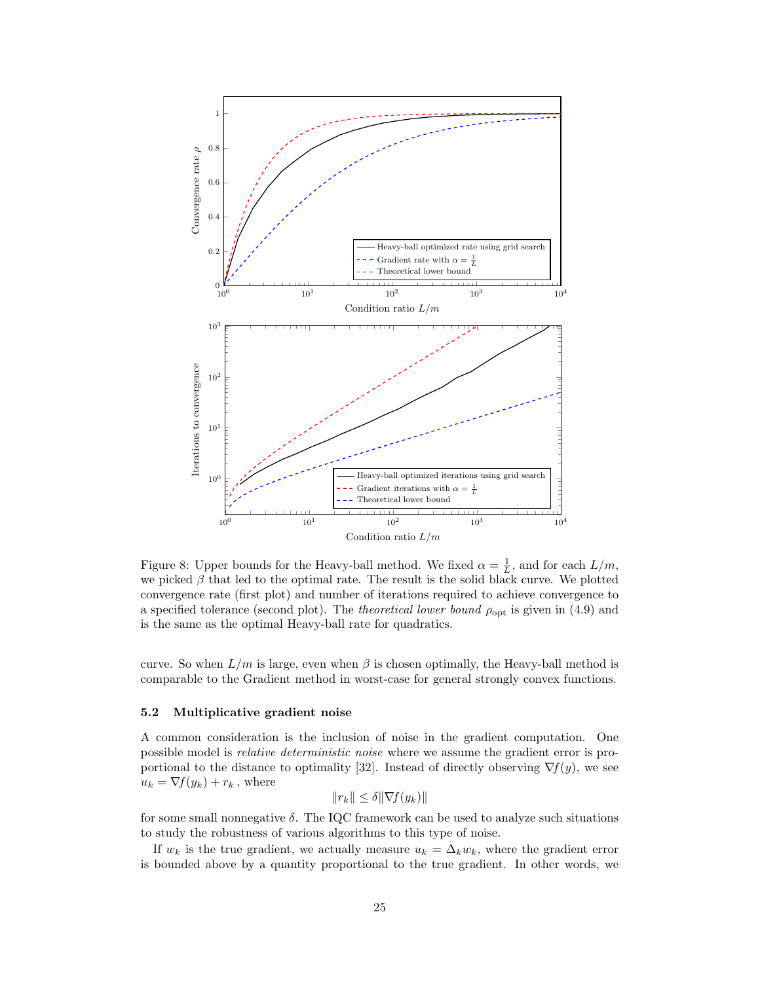<span id="page-24-0"></span>

Figure 8: Upper bounds for the Heavy-ball method. We fixed  $\alpha = \frac{1}{L}$ , and for each  $L/m$ , we picked  $\beta$  that led to the optimal rate. The result is the solid black curve. We plotted convergence rate (first plot) and number of iterations required to achieve convergence to a specified tolerance (second plot). The theoretical lower bound  $\rho_{\text{opt}}$  is given in [\(4.9\)](#page-19-3) and is the same as the optimal Heavy-ball rate for quadratics.

curve. So when  $L/m$  is large, even when  $\beta$  is chosen optimally, the Heavy-ball method is comparable to the Gradient method in worst-case for general strongly convex functions.

#### <span id="page-24-1"></span>5.2 Multiplicative gradient noise

A common consideration is the inclusion of noise in the gradient computation. One possible model is relative deterministic noise where we assume the gradient error is pro-portional to the distance to optimality [\[32\]](#page-36-11). Instead of directly observing  $\nabla f(y)$ , we see  $u_k = \nabla f(y_k) + r_k$ , where

$$
||r_k|| \le \delta ||\nabla f(y_k)||
$$

for some small nonnegative  $\delta$ . The IQC framework can be used to analyze such situations to study the robustness of various algorithms to this type of noise.

If  $w_k$  is the true gradient, we actually measure  $u_k = \Delta_k w_k$ , where the gradient error is bounded above by a quantity proportional to the true gradient. In other words, we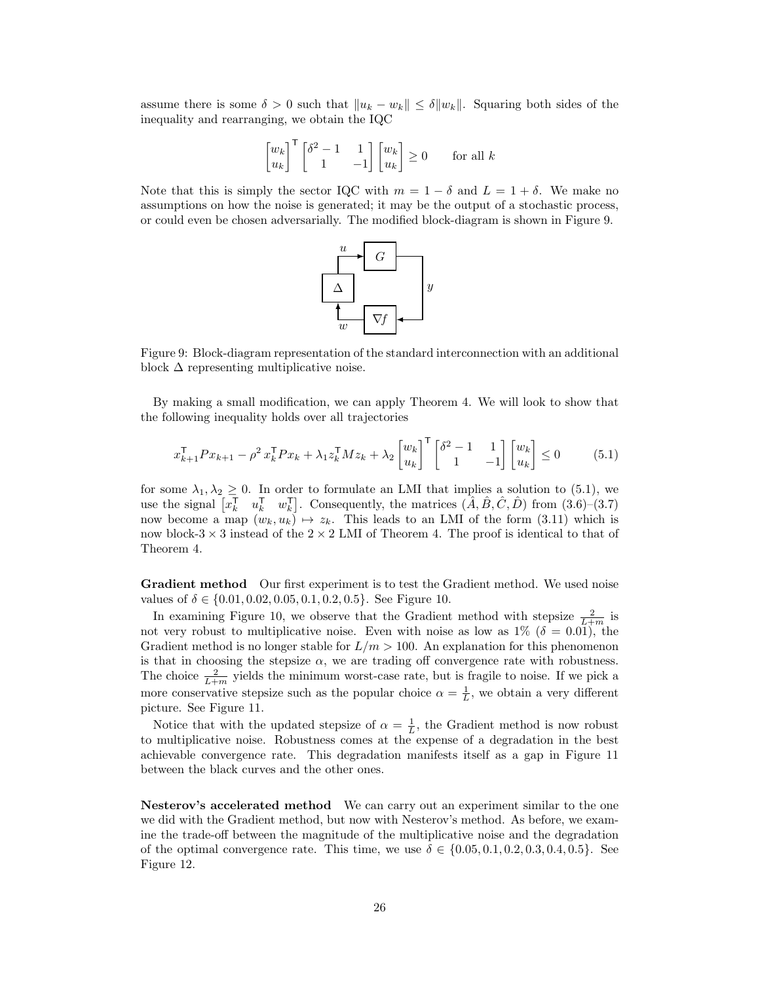assume there is some  $\delta > 0$  such that  $||u_k - w_k|| \leq \delta ||w_k||$ . Squaring both sides of the inequality and rearranging, we obtain the IQC

$$
\begin{bmatrix} w_k \\ u_k \end{bmatrix}^{\mathsf{T}} \begin{bmatrix} \delta^2 - 1 & 1 \\ 1 & -1 \end{bmatrix} \begin{bmatrix} w_k \\ u_k \end{bmatrix} \ge 0 \quad \text{for all } k
$$

<span id="page-25-0"></span>Note that this is simply the sector IQC with  $m = 1 - \delta$  and  $L = 1 + \delta$ . We make no assumptions on how the noise is generated; it may be the output of a stochastic process, or could even be chosen adversarially. The modified block-diagram is shown in Figure [9.](#page-25-0)



Figure 9: Block-diagram representation of the standard interconnection with an additional block  $\Delta$  representing multiplicative noise.

By making a small modification, we can apply Theorem [4.](#page-9-0) We will look to show that the following inequality holds over all trajectories

<span id="page-25-1"></span>
$$
x_{k+1}^{\mathsf{T}} P x_{k+1} - \rho^2 x_k^{\mathsf{T}} P x_k + \lambda_1 z_k^{\mathsf{T}} M z_k + \lambda_2 \begin{bmatrix} w_k \\ u_k \end{bmatrix}^{\mathsf{T}} \begin{bmatrix} \delta^2 - 1 & 1 \\ 1 & -1 \end{bmatrix} \begin{bmatrix} w_k \\ u_k \end{bmatrix} \le 0 \tag{5.1}
$$

for some  $\lambda_1, \lambda_2 \geq 0$ . In order to formulate an LMI that implies a solution to [\(5.1\)](#page-25-1), we use the signal  $\begin{bmatrix} x_k^{\mathsf{T}} & u_k^{\mathsf{T}} & w_k^{\mathsf{T}} \end{bmatrix}$ . Consequently, the matrices  $(\hat{A}, \hat{B}, \hat{C}, \hat{D})$  from  $(3.6)$ - $(3.7)$ now become a map  $(w_k, u_k) \mapsto z_k$ . This leads to an LMI of the form [\(3.11\)](#page-11-1) which is now block-3  $\times$  3 instead of the 2  $\times$  2 LMI of Theorem [4.](#page-9-0) The proof is identical to that of Theorem [4.](#page-9-0)

Gradient method Our first experiment is to test the Gradient method. We used noise values of  $\delta \in \{0.01, 0.02, 0.05, 0.1, 0.2, 0.5\}$ . See Figure [10.](#page-26-1)

In examining Figure [10,](#page-26-1) we observe that the Gradient method with stepsize  $\frac{2}{L+m}$  is not very robust to multiplicative noise. Even with noise as low as  $1\%$  ( $\delta = 0.01$ ), the Gradient method is no longer stable for  $L/m > 100$ . An explanation for this phenomenon is that in choosing the stepsize  $\alpha$ , we are trading off convergence rate with robustness. The choice  $\frac{2}{L+m}$  yields the minimum worst-case rate, but is fragile to noise. If we pick a more conservative stepsize such as the popular choice  $\alpha = \frac{1}{L}$ , we obtain a very different picture. See Figure [11.](#page-27-0)

Notice that with the updated stepsize of  $\alpha = \frac{1}{L}$ , the Gradient method is now robust to multiplicative noise. Robustness comes at the expense of a degradation in the best achievable convergence rate. This degradation manifests itself as a gap in Figure [11](#page-27-0) between the black curves and the other ones.

Nesterov's accelerated method We can carry out an experiment similar to the one we did with the Gradient method, but now with Nesterov's method. As before, we examine the trade-off between the magnitude of the multiplicative noise and the degradation of the optimal convergence rate. This time, we use  $\delta \in \{0.05, 0.1, 0.2, 0.3, 0.4, 0.5\}$ . See Figure [12.](#page-28-0)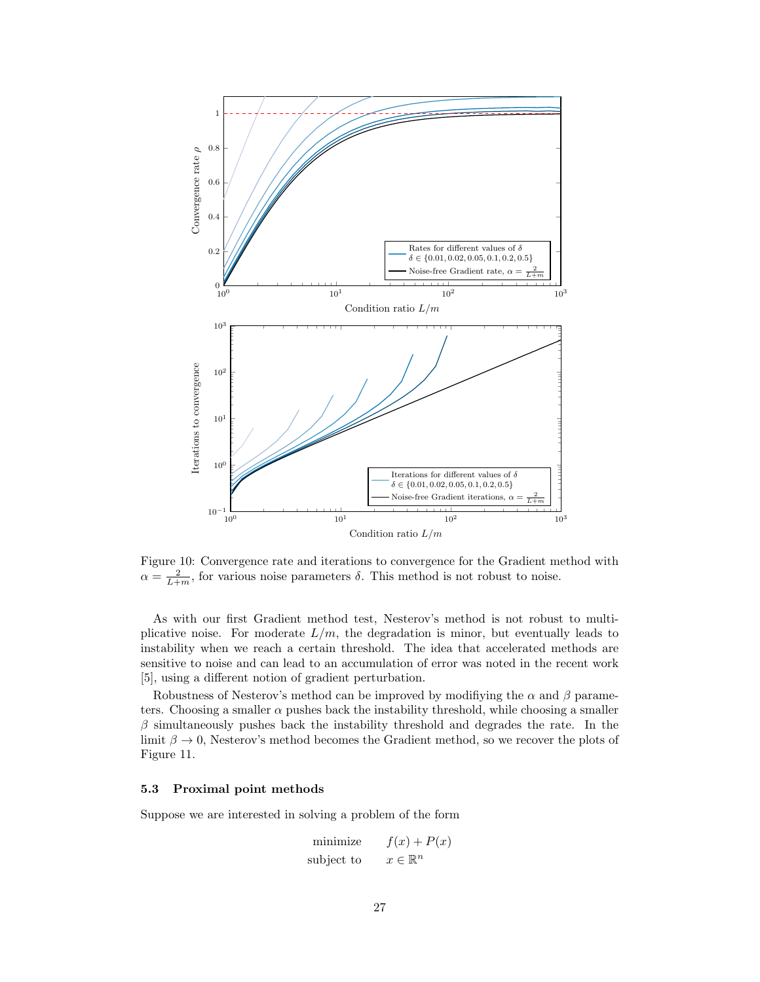<span id="page-26-1"></span>

Figure 10: Convergence rate and iterations to convergence for the Gradient method with  $\alpha = \frac{2}{L+m}$ , for various noise parameters  $\delta$ . This method is not robust to noise.

As with our first Gradient method test, Nesterov's method is not robust to multiplicative noise. For moderate  $L/m$ , the degradation is minor, but eventually leads to instability when we reach a certain threshold. The idea that accelerated methods are sensitive to noise and can lead to an accumulation of error was noted in the recent work [\[5\]](#page-34-6), using a different notion of gradient perturbation.

Robustness of Nesterov's method can be improved by modifiying the  $\alpha$  and  $\beta$  parameters. Choosing a smaller  $\alpha$  pushes back the instability threshold, while choosing a smaller  $\beta$  simultaneously pushes back the instability threshold and degrades the rate. In the limit  $\beta \to 0$ , Nesterov's method becomes the Gradient method, so we recover the plots of Figure [11.](#page-27-0)

# <span id="page-26-0"></span>5.3 Proximal point methods

Suppose we are interested in solving a problem of the form

minimize  $f(x) + P(x)$ subject to  $x \in \mathbb{R}^n$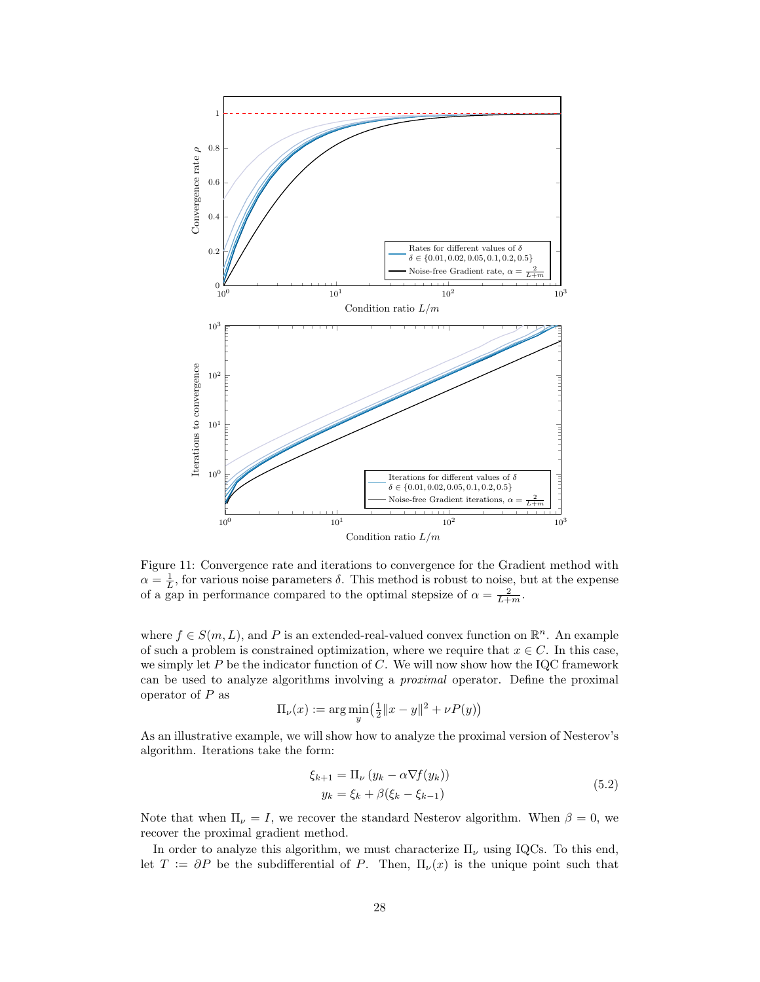<span id="page-27-0"></span>

Figure 11: Convergence rate and iterations to convergence for the Gradient method with  $\alpha = \frac{1}{L}$ , for various noise parameters  $\delta$ . This method is robust to noise, but at the expense of a gap in performance compared to the optimal stepsize of  $\alpha = \frac{2}{L+m}$ .

where  $f \in S(m, L)$ , and P is an extended-real-valued convex function on  $\mathbb{R}^n$ . An example of such a problem is constrained optimization, where we require that  $x \in C$ . In this case, we simply let  $P$  be the indicator function of  $C$ . We will now show how the IQC framework can be used to analyze algorithms involving a proximal operator. Define the proximal operator of  $P$  as

$$
\Pi_{\nu}(x) := \arg\min_{y} \left(\frac{1}{2} \|x - y\|^2 + \nu P(y)\right)
$$

As an illustrative example, we will show how to analyze the proximal version of Nesterov's algorithm. Iterations take the form:

<span id="page-27-1"></span>
$$
\xi_{k+1} = \Pi_{\nu} \left( y_k - \alpha \nabla f(y_k) \right)
$$
  
\n
$$
y_k = \xi_k + \beta(\xi_k - \xi_{k-1})
$$
\n(5.2)

Note that when  $\Pi_{\nu} = I$ , we recover the standard Nesterov algorithm. When  $\beta = 0$ , we recover the proximal gradient method.

In order to analyze this algorithm, we must characterize  $\Pi_{\nu}$  using IQCs. To this end, let  $T := \partial P$  be the subdifferential of P. Then,  $\Pi_{\nu}(x)$  is the unique point such that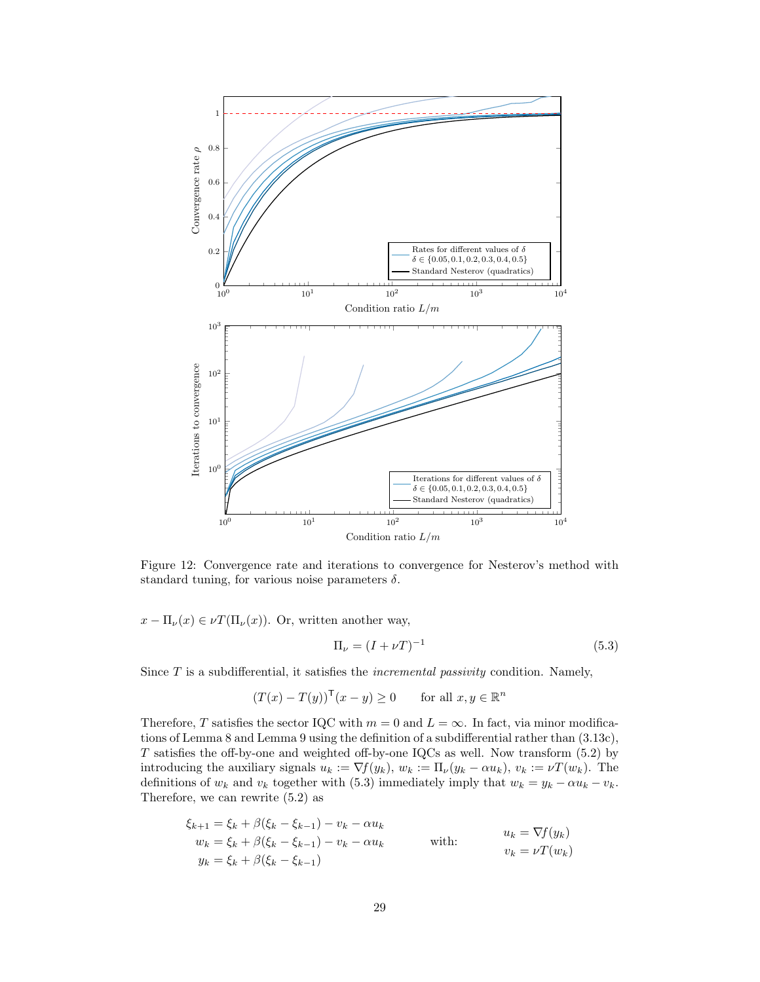<span id="page-28-0"></span>

Figure 12: Convergence rate and iterations to convergence for Nesterov's method with standard tuning, for various noise parameters  $\delta$ .

 $x - \Pi_{\nu}(x) \in \nu T(\Pi_{\nu}(x))$ . Or, written another way,

<span id="page-28-1"></span>
$$
\Pi_{\nu} = (I + \nu T)^{-1}
$$
\n(5.3)

Since  $T$  is a subdifferential, it satisfies the *incremental passivity* condition. Namely,

$$
(T(x) - T(y))^\mathsf{T} (x - y) \ge 0 \quad \text{for all } x, y \in \mathbb{R}^n
$$

Therefore, T satisfies the sector IQC with  $m = 0$  and  $L = \infty$ . In fact, via minor modifications of Lemma [8](#page-12-6) and Lemma [9](#page-13-4) using the definition of a subdifferential rather than [\(3.13c\)](#page-12-2), T satisfies the off-by-one and weighted off-by-one IQCs as well. Now transform [\(5.2\)](#page-27-1) by introducing the auxiliary signals  $u_k := \nabla f(y_k)$ ,  $w_k := \Pi_{\nu}(y_k - \alpha u_k)$ ,  $v_k := \nu T(w_k)$ . The definitions of  $w_k$  and  $v_k$  together with [\(5.3\)](#page-28-1) immediately imply that  $w_k = y_k - \alpha u_k - v_k$ . Therefore, we can rewrite [\(5.2\)](#page-27-1) as

$$
\xi_{k+1} = \xi_k + \beta(\xi_k - \xi_{k-1}) - v_k - \alpha u_k
$$
  
\n
$$
w_k = \xi_k + \beta(\xi_k - \xi_{k-1}) - v_k - \alpha u_k
$$
  
\n
$$
y_k = \xi_k + \beta(\xi_k - \xi_{k-1})
$$
  
\n
$$
w_k = \nu T(w_k)
$$
  
\n
$$
v_k = \nu T(w_k)
$$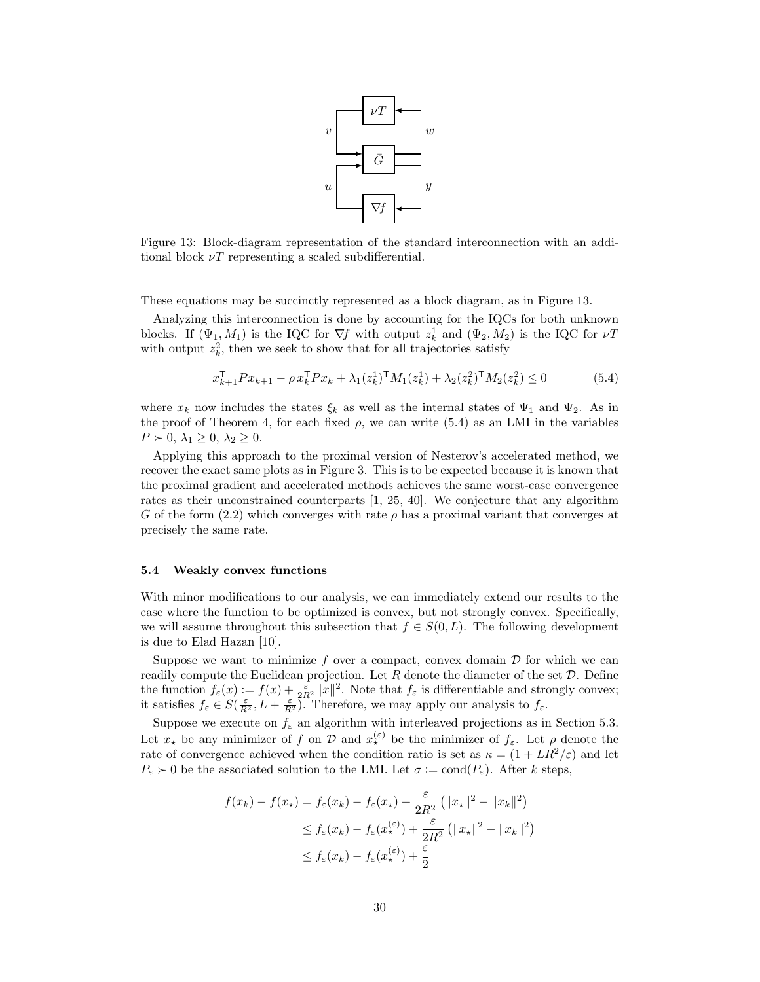

<span id="page-29-0"></span>Figure 13: Block-diagram representation of the standard interconnection with an additional block  $\nu T$  representing a scaled subdifferential.

These equations may be succinctly represented as a block diagram, as in Figure [13.](#page-29-0)

Analyzing this interconnection is done by accounting for the IQCs for both unknown blocks. If  $(\Psi_1, M_1)$  is the IQC for  $\nabla f$  with output  $z_k^1$  and  $(\Psi_2, M_2)$  is the IQC for  $\nu T$ with output  $z_k^2$ , then we seek to show that for all trajectories satisfy

<span id="page-29-1"></span>
$$
x_{k+1}^{\mathsf{T}} P x_{k+1} - \rho x_k^{\mathsf{T}} P x_k + \lambda_1 (z_k^1)^{\mathsf{T}} M_1(z_k^1) + \lambda_2 (z_k^2)^{\mathsf{T}} M_2(z_k^2) \le 0 \tag{5.4}
$$

where  $x_k$  now includes the states  $\xi_k$  as well as the internal states of  $\Psi_1$  and  $\Psi_2$ . As in the proof of Theorem [4,](#page-9-0) for each fixed  $\rho$ , we can write [\(5.4\)](#page-29-1) as an LMI in the variables  $P \succ 0, \lambda_1 \geq 0, \lambda_2 \geq 0.$ 

Applying this approach to the proximal version of Nesterov's accelerated method, we recover the exact same plots as in Figure [3.](#page-20-0) This is to be expected because it is known that the proximal gradient and accelerated methods achieves the same worst-case convergence rates as their unconstrained counterparts [\[1,](#page-34-7) [25,](#page-35-13) [40\]](#page-36-12). We conjecture that any algorithm G of the form [\(2.2\)](#page-2-1) which converges with rate  $\rho$  has a proximal variant that converges at precisely the same rate.

## 5.4 Weakly convex functions

With minor modifications to our analysis, we can immediately extend our results to the case where the function to be optimized is convex, but not strongly convex. Specifically, we will assume throughout this subsection that  $f \in S(0,L)$ . The following development is due to Elad Hazan [\[10\]](#page-34-8).

Suppose we want to minimize f over a compact, convex domain  $D$  for which we can readily compute the Euclidean projection. Let  $R$  denote the diameter of the set  $D$ . Define the function  $f_{\varepsilon}(x) := f(x) + \frac{\varepsilon}{2R^2} ||x||^2$ . Note that  $f_{\varepsilon}$  is differentiable and strongly convex; it satisfies  $f_{\varepsilon} \in S(\frac{\varepsilon}{R^2}, L + \frac{\varepsilon}{R^2})$ . Therefore, we may apply our analysis to  $f_{\varepsilon}$ .

Suppose we execute on  $f_{\varepsilon}$  an algorithm with interleaved projections as in Section [5.3.](#page-26-0) Let  $x_{\star}$  be any minimizer of f on D and  $x_{\star}^{(\varepsilon)}$  be the minimizer of  $f_{\varepsilon}$ . Let  $\rho$  denote the rate of convergence achieved when the condition ratio is set as  $\kappa = (1 + LR^2/\varepsilon)$  and let  $P_{\varepsilon} \succ 0$  be the associated solution to the LMI. Let  $\sigma := \text{cond}(P_{\varepsilon})$ . After k steps,

$$
f(x_k) - f(x_\star) = f_\varepsilon(x_k) - f_\varepsilon(x_\star) + \frac{\varepsilon}{2R^2} \left( \|x_\star\|^2 - \|x_k\|^2 \right)
$$
  

$$
\leq f_\varepsilon(x_k) - f_\varepsilon(x_\star^{(\varepsilon)}) + \frac{\varepsilon}{2R^2} \left( \|x_\star\|^2 - \|x_k\|^2 \right)
$$
  

$$
\leq f_\varepsilon(x_k) - f_\varepsilon(x_\star^{(\varepsilon)}) + \frac{\varepsilon}{2}
$$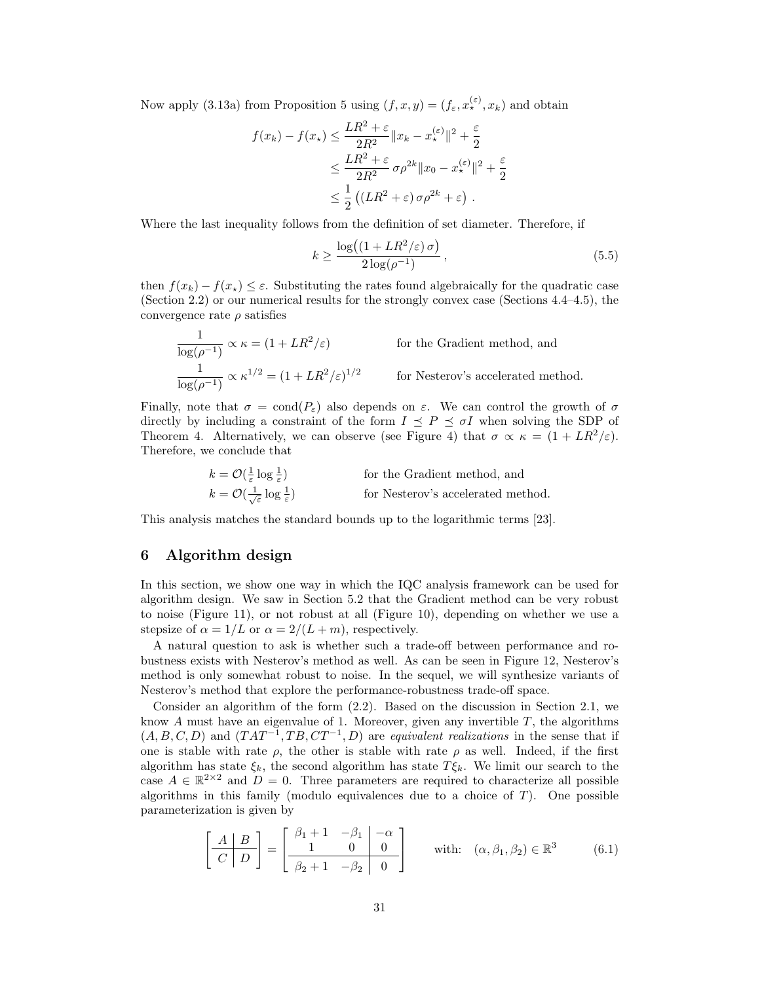Now apply [\(3.13a\)](#page-12-0) from Proposition [5](#page-11-3) using  $(f, x, y) = (f_{\varepsilon}, x_{\star}^{(\varepsilon)}, x_k)$  and obtain

$$
f(x_k) - f(x_\star) \le \frac{LR^2 + \varepsilon}{2R^2} \|x_k - x_\star^{(\varepsilon)}\|^2 + \frac{\varepsilon}{2}
$$
  

$$
\le \frac{LR^2 + \varepsilon}{2R^2} \sigma \rho^{2k} \|x_0 - x_\star^{(\varepsilon)}\|^2 + \frac{\varepsilon}{2}
$$
  

$$
\le \frac{1}{2} \left( (LR^2 + \varepsilon) \sigma \rho^{2k} + \varepsilon \right).
$$

Where the last inequality follows from the definition of set diameter. Therefore, if

$$
k \ge \frac{\log\left(\left(1 + LR^2/\varepsilon\right)\sigma\right)}{2\log(\rho^{-1})},\tag{5.5}
$$

then  $f(x_k) - f(x_\star) \leq \varepsilon$ . Substituting the rates found algebraically for the quadratic case (Section [2.2\)](#page-4-2) or our numerical results for the strongly convex case (Sections [4.4–](#page-19-4)[4.5\)](#page-19-5), the convergence rate  $\rho$  satisfies

$$
\frac{1}{\log(\rho^{-1})} \propto \kappa = (1 + LR^2/\varepsilon)
$$
 for the Gradient method, and  

$$
\frac{1}{\log(\rho^{-1})} \propto \kappa^{1/2} = (1 + LR^2/\varepsilon)^{1/2}
$$
 for Nesterov's accelerated method.

Finally, note that  $\sigma = \text{cond}(P_{\varepsilon})$  also depends on  $\varepsilon$ . We can control the growth of  $\sigma$ directly by including a constraint of the form  $I \preceq P \preceq \sigma I$  when solving the SDP of Theorem [4.](#page-9-0) Alternatively, we can observe (see Figure [4\)](#page-21-0) that  $\sigma \propto \kappa = (1 + LR^2/\varepsilon)$ . Therefore, we conclude that

$$
k = \mathcal{O}(\frac{1}{\varepsilon} \log \frac{1}{\varepsilon})
$$
 for the Gradient method, and  
\n
$$
k = \mathcal{O}(\frac{1}{\sqrt{\varepsilon}} \log \frac{1}{\varepsilon})
$$
 for Nesterov's accelerated method.

This analysis matches the standard bounds up to the logarithmic terms [\[23\]](#page-35-0).

## 6 Algorithm design

In this section, we show one way in which the IQC analysis framework can be used for algorithm design. We saw in Section [5.2](#page-24-1) that the Gradient method can be very robust to noise (Figure [11\)](#page-27-0), or not robust at all (Figure [10\)](#page-26-1), depending on whether we use a stepsize of  $\alpha = 1/L$  or  $\alpha = 2/(L+m)$ , respectively.

A natural question to ask is whether such a trade-off between performance and robustness exists with Nesterov's method as well. As can be seen in Figure [12,](#page-28-0) Nesterov's method is only somewhat robust to noise. In the sequel, we will synthesize variants of Nesterov's method that explore the performance-robustness trade-off space.

Consider an algorithm of the form [\(2.2\)](#page-2-1). Based on the discussion in Section [2.1,](#page-4-3) we know  $A$  must have an eigenvalue of 1. Moreover, given any invertible  $T$ , the algorithms  $(A, B, C, D)$  and  $(TAT^{-1}, TB, CT^{-1}, D)$  are equivalent realizations in the sense that if one is stable with rate  $\rho$ , the other is stable with rate  $\rho$  as well. Indeed, if the first algorithm has state  $\xi_k$ , the second algorithm has state  $T\xi_k$ . We limit our search to the case  $A \in \mathbb{R}^{2 \times 2}$  and  $D = 0$ . Three parameters are required to characterize all possible algorithms in this family (modulo equivalences due to a choice of  $T$ ). One possible parameterization is given by

<span id="page-30-0"></span>
$$
\left[\begin{array}{c|c}\nA & B \\
\hline\nC & D\n\end{array}\right] = \left[\begin{array}{cc|c}\n\beta_1 + 1 & -\beta_1 & -\alpha \\
1 & 0 & 0 \\
\hline\n\beta_2 + 1 & -\beta_2 & 0\n\end{array}\right] \quad \text{with:} \quad (\alpha, \beta_1, \beta_2) \in \mathbb{R}^3 \quad (6.1)
$$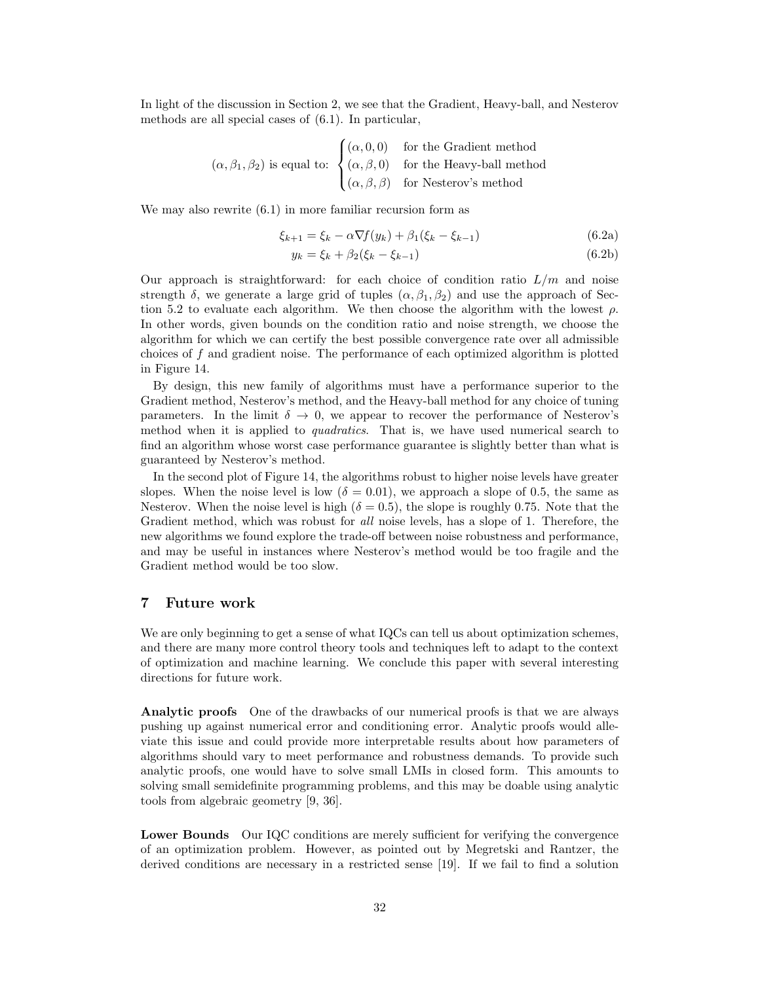In light of the discussion in Section [2,](#page-2-2) we see that the Gradient, Heavy-ball, and Nesterov methods are all special cases of [\(6.1\)](#page-30-0). In particular,

$$
(\alpha, \beta_1, \beta_2)
$$
 is equal to: 
$$
\begin{cases} (\alpha, 0, 0) & \text{for the Gradient method} \\ (\alpha, \beta, 0) & \text{for the Heavy-ball method} \\ (\alpha, \beta, \beta) & \text{for Nesterov's method} \end{cases}
$$

We may also rewrite [\(6.1\)](#page-30-0) in more familiar recursion form as

$$
\xi_{k+1} = \xi_k - \alpha \nabla f(y_k) + \beta_1(\xi_k - \xi_{k-1})
$$
\n(6.2a)

<span id="page-31-0"></span>
$$
y_k = \xi_k + \beta_2(\xi_k - \xi_{k-1})
$$
\n(6.2b)

Our approach is straightforward: for each choice of condition ratio  $L/m$  and noise strength  $\delta$ , we generate a large grid of tuples  $(\alpha, \beta_1, \beta_2)$  and use the approach of Sec-tion [5.2](#page-24-1) to evaluate each algorithm. We then choose the algorithm with the lowest  $\rho$ . In other words, given bounds on the condition ratio and noise strength, we choose the algorithm for which we can certify the best possible convergence rate over all admissible choices of f and gradient noise. The performance of each optimized algorithm is plotted in Figure [14.](#page-32-0)

By design, this new family of algorithms must have a performance superior to the Gradient method, Nesterov's method, and the Heavy-ball method for any choice of tuning parameters. In the limit  $\delta \to 0$ , we appear to recover the performance of Nesterov's method when it is applied to *quadratics*. That is, we have used numerical search to find an algorithm whose worst case performance guarantee is slightly better than what is guaranteed by Nesterov's method.

In the second plot of Figure [14,](#page-32-0) the algorithms robust to higher noise levels have greater slopes. When the noise level is low ( $\delta = 0.01$ ), we approach a slope of 0.5, the same as Nesterov. When the noise level is high ( $\delta = 0.5$ ), the slope is roughly 0.75. Note that the Gradient method, which was robust for all noise levels, has a slope of 1. Therefore, the new algorithms we found explore the trade-off between noise robustness and performance, and may be useful in instances where Nesterov's method would be too fragile and the Gradient method would be too slow.

# 7 Future work

We are only beginning to get a sense of what IQCs can tell us about optimization schemes, and there are many more control theory tools and techniques left to adapt to the context of optimization and machine learning. We conclude this paper with several interesting directions for future work.

Analytic proofs One of the drawbacks of our numerical proofs is that we are always pushing up against numerical error and conditioning error. Analytic proofs would alleviate this issue and could provide more interpretable results about how parameters of algorithms should vary to meet performance and robustness demands. To provide such analytic proofs, one would have to solve small LMIs in closed form. This amounts to solving small semidefinite programming problems, and this may be doable using analytic tools from algebraic geometry [\[9,](#page-34-9) [36\]](#page-36-13).

Lower Bounds Our IQC conditions are merely sufficient for verifying the convergence of an optimization problem. However, as pointed out by Megretski and Rantzer, the derived conditions are necessary in a restricted sense [\[19\]](#page-35-4). If we fail to find a solution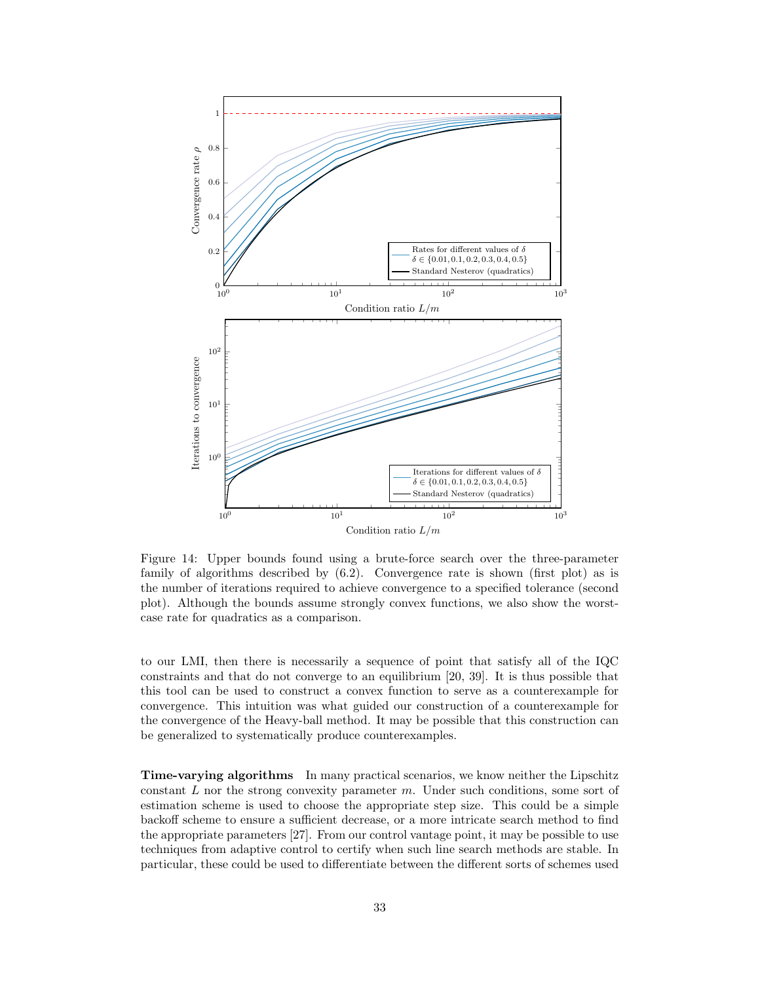<span id="page-32-0"></span>

Figure 14: Upper bounds found using a brute-force search over the three-parameter family of algorithms described by [\(6.2\)](#page-31-0). Convergence rate is shown (first plot) as is the number of iterations required to achieve convergence to a specified tolerance (second plot). Although the bounds assume strongly convex functions, we also show the worstcase rate for quadratics as a comparison.

to our LMI, then there is necessarily a sequence of point that satisfy all of the IQC constraints and that do not converge to an equilibrium [\[20,](#page-35-14) [39\]](#page-36-14). It is thus possible that this tool can be used to construct a convex function to serve as a counterexample for convergence. This intuition was what guided our construction of a counterexample for the convergence of the Heavy-ball method. It may be possible that this construction can be generalized to systematically produce counterexamples.

Time-varying algorithms In many practical scenarios, we know neither the Lipschitz constant  $L$  nor the strong convexity parameter  $m$ . Under such conditions, some sort of estimation scheme is used to choose the appropriate step size. This could be a simple backoff scheme to ensure a sufficient decrease, or a more intricate search method to find the appropriate parameters [\[27\]](#page-35-15). From our control vantage point, it may be possible to use techniques from adaptive control to certify when such line search methods are stable. In particular, these could be used to differentiate between the different sorts of schemes used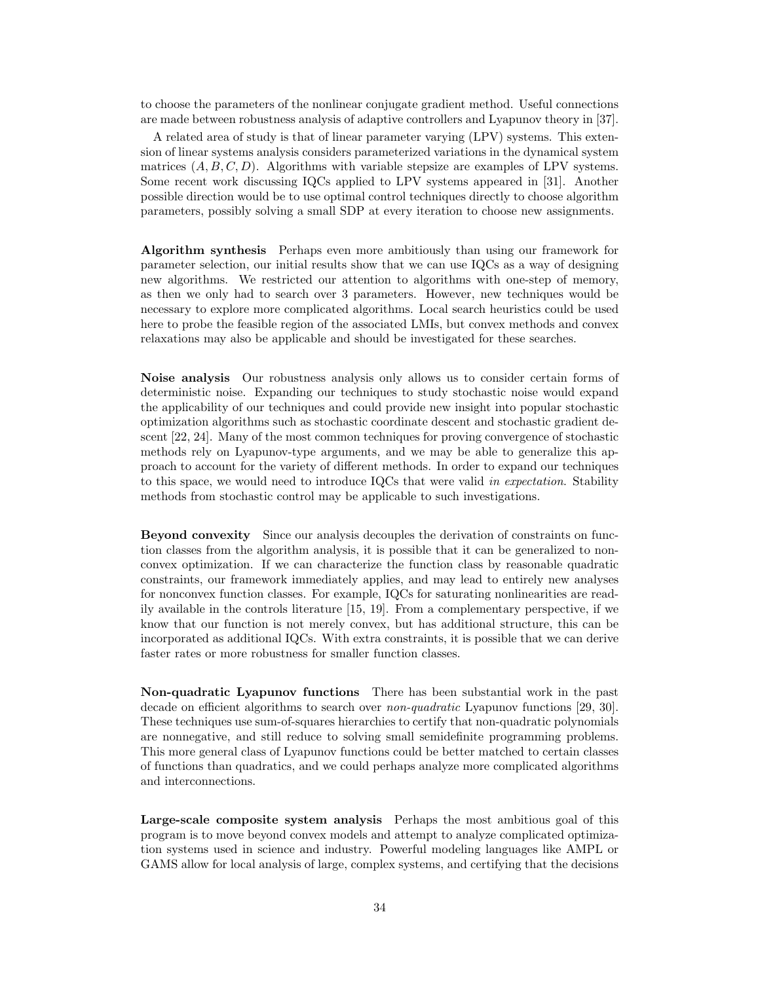to choose the parameters of the nonlinear conjugate gradient method. Useful connections are made between robustness analysis of adaptive controllers and Lyapunov theory in [\[37\]](#page-36-15).

A related area of study is that of linear parameter varying (LPV) systems. This extension of linear systems analysis considers parameterized variations in the dynamical system matrices  $(A, B, C, D)$ . Algorithms with variable stepsize are examples of LPV systems. Some recent work discussing IQCs applied to LPV systems appeared in [\[31\]](#page-36-16). Another possible direction would be to use optimal control techniques directly to choose algorithm parameters, possibly solving a small SDP at every iteration to choose new assignments.

Algorithm synthesis Perhaps even more ambitiously than using our framework for parameter selection, our initial results show that we can use IQCs as a way of designing new algorithms. We restricted our attention to algorithms with one-step of memory, as then we only had to search over 3 parameters. However, new techniques would be necessary to explore more complicated algorithms. Local search heuristics could be used here to probe the feasible region of the associated LMIs, but convex methods and convex relaxations may also be applicable and should be investigated for these searches.

Noise analysis Our robustness analysis only allows us to consider certain forms of deterministic noise. Expanding our techniques to study stochastic noise would expand the applicability of our techniques and could provide new insight into popular stochastic optimization algorithms such as stochastic coordinate descent and stochastic gradient descent [\[22,](#page-35-2) [24\]](#page-35-16). Many of the most common techniques for proving convergence of stochastic methods rely on Lyapunov-type arguments, and we may be able to generalize this approach to account for the variety of different methods. In order to expand our techniques to this space, we would need to introduce IQCs that were valid in expectation. Stability methods from stochastic control may be applicable to such investigations.

Beyond convexity Since our analysis decouples the derivation of constraints on function classes from the algorithm analysis, it is possible that it can be generalized to nonconvex optimization. If we can characterize the function class by reasonable quadratic constraints, our framework immediately applies, and may lead to entirely new analyses for nonconvex function classes. For example, IQCs for saturating nonlinearities are readily available in the controls literature [\[15,](#page-35-17) [19\]](#page-35-4). From a complementary perspective, if we know that our function is not merely convex, but has additional structure, this can be incorporated as additional IQCs. With extra constraints, it is possible that we can derive faster rates or more robustness for smaller function classes.

Non-quadratic Lyapunov functions There has been substantial work in the past decade on efficient algorithms to search over *non-quadratic* Lyapunov functions [\[29,](#page-35-18) [30\]](#page-35-19). These techniques use sum-of-squares hierarchies to certify that non-quadratic polynomials are nonnegative, and still reduce to solving small semidefinite programming problems. This more general class of Lyapunov functions could be better matched to certain classes of functions than quadratics, and we could perhaps analyze more complicated algorithms and interconnections.

Large-scale composite system analysis Perhaps the most ambitious goal of this program is to move beyond convex models and attempt to analyze complicated optimization systems used in science and industry. Powerful modeling languages like AMPL or GAMS allow for local analysis of large, complex systems, and certifying that the decisions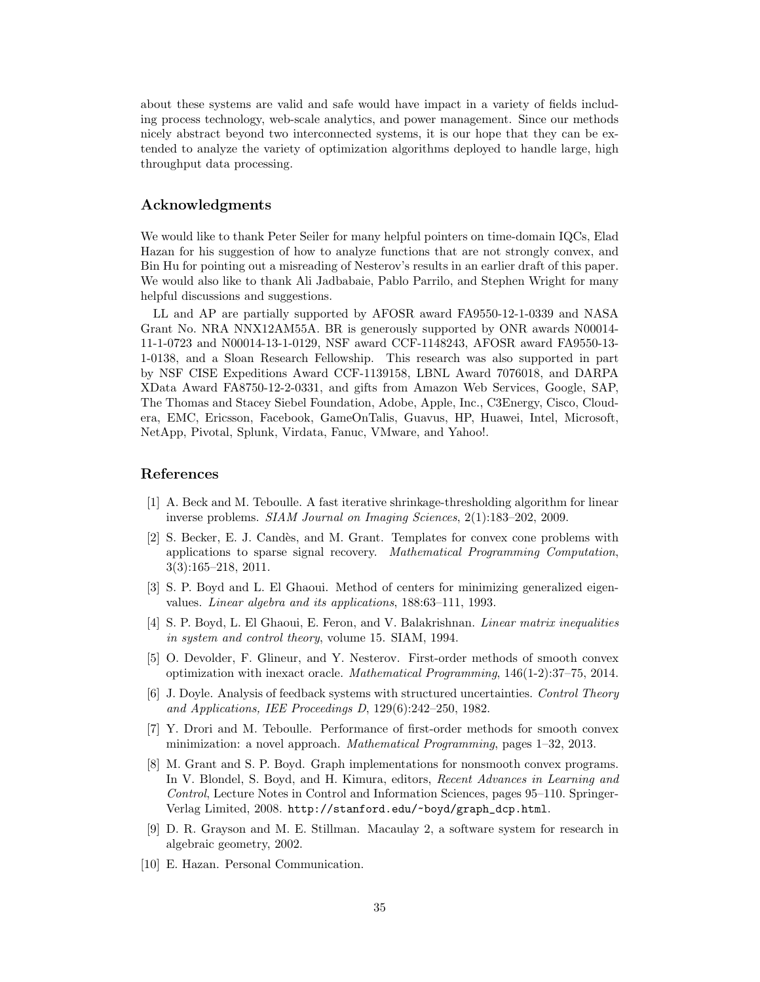about these systems are valid and safe would have impact in a variety of fields including process technology, web-scale analytics, and power management. Since our methods nicely abstract beyond two interconnected systems, it is our hope that they can be extended to analyze the variety of optimization algorithms deployed to handle large, high throughput data processing.

# Acknowledgments

We would like to thank Peter Seiler for many helpful pointers on time-domain IQCs, Elad Hazan for his suggestion of how to analyze functions that are not strongly convex, and Bin Hu for pointing out a misreading of Nesterov's results in an earlier draft of this paper. We would also like to thank Ali Jadbabaie, Pablo Parrilo, and Stephen Wright for many helpful discussions and suggestions.

LL and AP are partially supported by AFOSR award FA9550-12-1-0339 and NASA Grant No. NRA NNX12AM55A. BR is generously supported by ONR awards N00014- 11-1-0723 and N00014-13-1-0129, NSF award CCF-1148243, AFOSR award FA9550-13- 1-0138, and a Sloan Research Fellowship. This research was also supported in part by NSF CISE Expeditions Award CCF-1139158, LBNL Award 7076018, and DARPA XData Award FA8750-12-2-0331, and gifts from Amazon Web Services, Google, SAP, The Thomas and Stacey Siebel Foundation, Adobe, Apple, Inc., C3Energy, Cisco, Cloudera, EMC, Ericsson, Facebook, GameOnTalis, Guavus, HP, Huawei, Intel, Microsoft, NetApp, Pivotal, Splunk, Virdata, Fanuc, VMware, and Yahoo!.

## References

- <span id="page-34-7"></span>[1] A. Beck and M. Teboulle. A fast iterative shrinkage-thresholding algorithm for linear inverse problems. SIAM Journal on Imaging Sciences, 2(1):183–202, 2009.
- <span id="page-34-0"></span>[2] S. Becker, E. J. Candès, and M. Grant. Templates for convex cone problems with applications to sparse signal recovery. Mathematical Programming Computation, 3(3):165–218, 2011.
- <span id="page-34-5"></span>[3] S. P. Boyd and L. El Ghaoui. Method of centers for minimizing generalized eigenvalues. Linear algebra and its applications, 188:63–111, 1993.
- <span id="page-34-4"></span>[4] S. P. Boyd, L. El Ghaoui, E. Feron, and V. Balakrishnan. Linear matrix inequalities in system and control theory, volume 15. SIAM, 1994.
- <span id="page-34-6"></span>[5] O. Devolder, F. Glineur, and Y. Nesterov. First-order methods of smooth convex optimization with inexact oracle. Mathematical Programming, 146(1-2):37–75, 2014.
- <span id="page-34-3"></span>[6] J. Doyle. Analysis of feedback systems with structured uncertainties. Control Theory and Applications, IEE Proceedings D, 129(6):242–250, 1982.
- <span id="page-34-2"></span>[7] Y. Drori and M. Teboulle. Performance of first-order methods for smooth convex minimization: a novel approach. Mathematical Programming, pages 1–32, 2013.
- <span id="page-34-1"></span>[8] M. Grant and S. P. Boyd. Graph implementations for nonsmooth convex programs. In V. Blondel, S. Boyd, and H. Kimura, editors, Recent Advances in Learning and Control, Lecture Notes in Control and Information Sciences, pages 95–110. Springer-Verlag Limited, 2008. [http://stanford.edu/~boyd/graph\\_dcp.html](http://stanford.edu/~boyd/graph_dcp.html).
- <span id="page-34-9"></span>[9] D. R. Grayson and M. E. Stillman. Macaulay 2, a software system for research in algebraic geometry, 2002.
- <span id="page-34-8"></span>[10] E. Hazan. Personal Communication.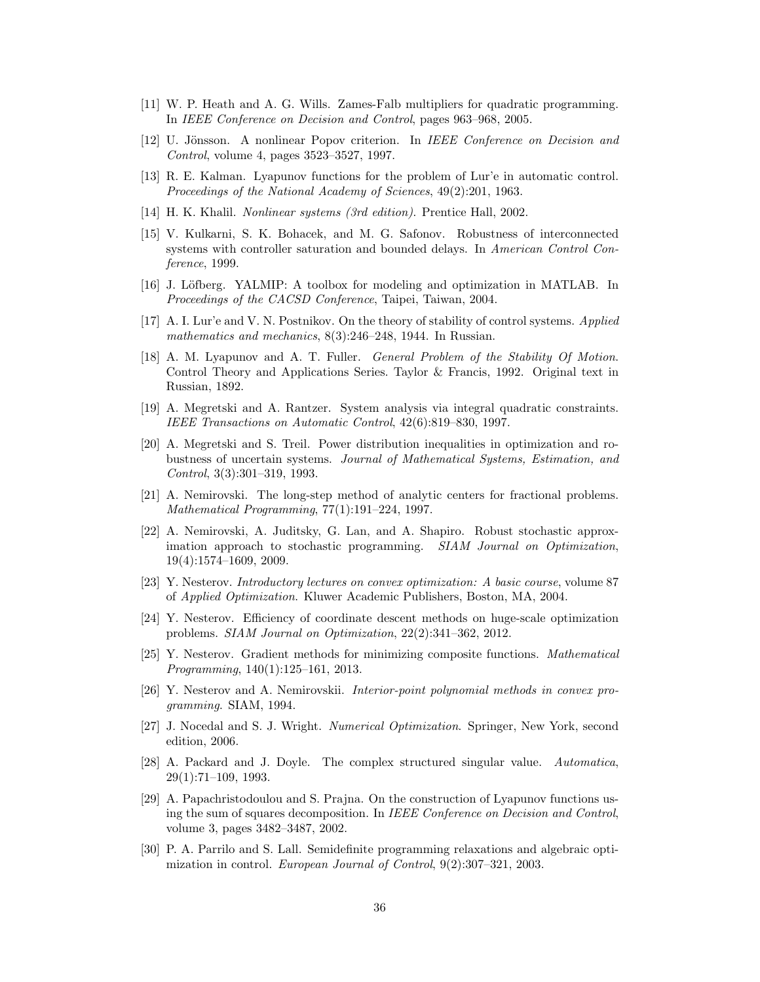- <span id="page-35-7"></span>[11] W. P. Heath and A. G. Wills. Zames-Falb multipliers for quadratic programming. In IEEE Conference on Decision and Control, pages 963–968, 2005.
- <span id="page-35-6"></span>[12] U. Jönsson. A nonlinear Popov criterion. In IEEE Conference on Decision and Control, volume 4, pages 3523–3527, 1997.
- <span id="page-35-10"></span>[13] R. E. Kalman. Lyapunov functions for the problem of Lur'e in automatic control. Proceedings of the National Academy of Sciences, 49(2):201, 1963.
- <span id="page-35-9"></span>[14] H. K. Khalil. Nonlinear systems (3rd edition). Prentice Hall, 2002.
- <span id="page-35-17"></span>[15] V. Kulkarni, S. K. Bohacek, and M. G. Safonov. Robustness of interconnected systems with controller saturation and bounded delays. In American Control Conference, 1999.
- <span id="page-35-3"></span>[16] J. Löfberg. YALMIP: A toolbox for modeling and optimization in MATLAB. In Proceedings of the CACSD Conference, Taipei, Taiwan, 2004.
- <span id="page-35-8"></span>[17] A. I. Lur'e and V. N. Postnikov. On the theory of stability of control systems. Applied mathematics and mechanics,  $8(3):246-248$ , 1944. In Russian.
- <span id="page-35-5"></span>[18] A. M. Lyapunov and A. T. Fuller. General Problem of the Stability Of Motion. Control Theory and Applications Series. Taylor & Francis, 1992. Original text in Russian, 1892.
- <span id="page-35-4"></span>[19] A. Megretski and A. Rantzer. System analysis via integral quadratic constraints. IEEE Transactions on Automatic Control, 42(6):819–830, 1997.
- <span id="page-35-14"></span>[20] A. Megretski and S. Treil. Power distribution inequalities in optimization and robustness of uncertain systems. Journal of Mathematical Systems, Estimation, and Control, 3(3):301–319, 1993.
- <span id="page-35-12"></span>[21] A. Nemirovski. The long-step method of analytic centers for fractional problems. Mathematical Programming, 77(1):191–224, 1997.
- <span id="page-35-2"></span>[22] A. Nemirovski, A. Juditsky, G. Lan, and A. Shapiro. Robust stochastic approximation approach to stochastic programming. SIAM Journal on Optimization, 19(4):1574–1609, 2009.
- <span id="page-35-0"></span>[23] Y. Nesterov. Introductory lectures on convex optimization: A basic course, volume 87 of Applied Optimization. Kluwer Academic Publishers, Boston, MA, 2004.
- <span id="page-35-16"></span>[24] Y. Nesterov. Efficiency of coordinate descent methods on huge-scale optimization problems. SIAM Journal on Optimization, 22(2):341–362, 2012.
- <span id="page-35-13"></span>[25] Y. Nesterov. Gradient methods for minimizing composite functions. Mathematical Programming, 140(1):125–161, 2013.
- <span id="page-35-1"></span>[26] Y. Nesterov and A. Nemirovskii. Interior-point polynomial methods in convex programming. SIAM, 1994.
- <span id="page-35-15"></span>[27] J. Nocedal and S. J. Wright. Numerical Optimization. Springer, New York, second edition, 2006.
- <span id="page-35-11"></span>[28] A. Packard and J. Doyle. The complex structured singular value. Automatica, 29(1):71–109, 1993.
- <span id="page-35-18"></span>[29] A. Papachristodoulou and S. Prajna. On the construction of Lyapunov functions using the sum of squares decomposition. In IEEE Conference on Decision and Control, volume 3, pages 3482–3487, 2002.
- <span id="page-35-19"></span>[30] P. A. Parrilo and S. Lall. Semidefinite programming relaxations and algebraic optimization in control. European Journal of Control, 9(2):307–321, 2003.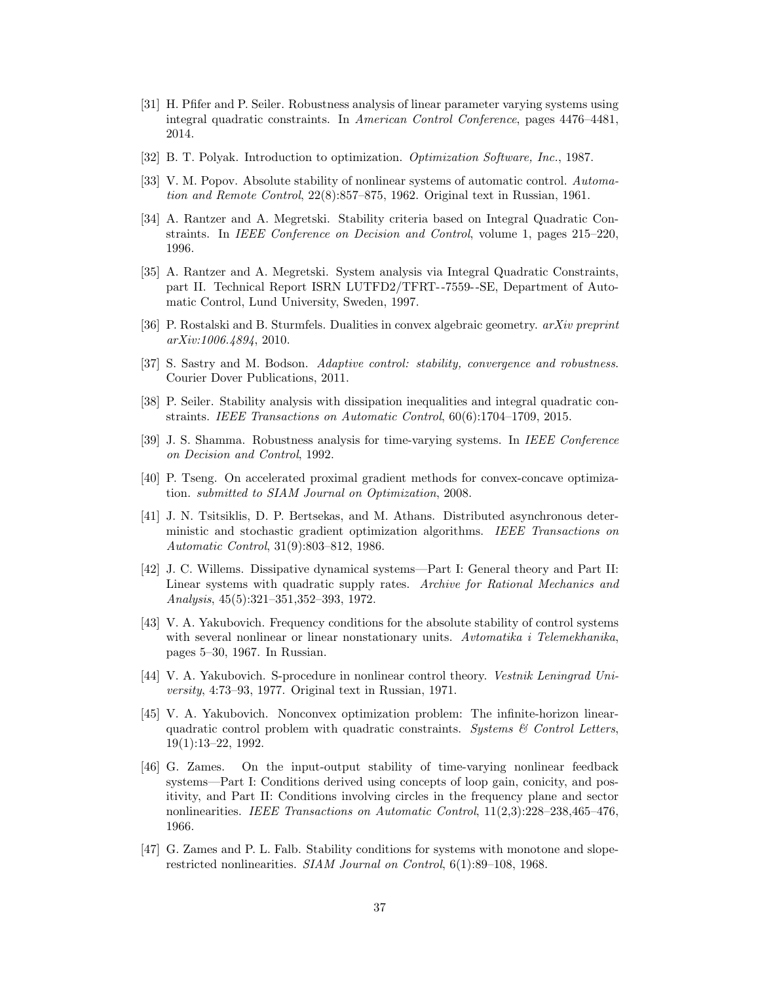- <span id="page-36-16"></span>[31] H. Pfifer and P. Seiler. Robustness analysis of linear parameter varying systems using integral quadratic constraints. In American Control Conference, pages 4476–4481, 2014.
- <span id="page-36-11"></span>[32] B. T. Polyak. Introduction to optimization. Optimization Software, Inc., 1987.
- <span id="page-36-5"></span>[33] V. M. Popov. Absolute stability of nonlinear systems of automatic control. Automation and Remote Control, 22(8):857–875, 1962. Original text in Russian, 1961.
- <span id="page-36-2"></span>[34] A. Rantzer and A. Megretski. Stability criteria based on Integral Quadratic Constraints. In IEEE Conference on Decision and Control, volume 1, pages 215–220, 1996.
- <span id="page-36-3"></span>[35] A. Rantzer and A. Megretski. System analysis via Integral Quadratic Constraints, part II. Technical Report ISRN LUTFD2/TFRT- -7559- -SE, Department of Automatic Control, Lund University, Sweden, 1997.
- <span id="page-36-13"></span>[36] P. Rostalski and B. Sturmfels. Dualities in convex algebraic geometry. arXiv preprint arXiv:1006.4894, 2010.
- <span id="page-36-15"></span>[37] S. Sastry and M. Bodson. Adaptive control: stability, convergence and robustness. Courier Dover Publications, 2011.
- <span id="page-36-1"></span>[38] P. Seiler. Stability analysis with dissipation inequalities and integral quadratic constraints. IEEE Transactions on Automatic Control, 60(6):1704–1709, 2015.
- <span id="page-36-14"></span>[39] J. S. Shamma. Robustness analysis for time-varying systems. In IEEE Conference on Decision and Control, 1992.
- <span id="page-36-12"></span>[40] P. Tseng. On accelerated proximal gradient methods for convex-concave optimization. submitted to SIAM Journal on Optimization, 2008.
- <span id="page-36-0"></span>[41] J. N. Tsitsiklis, D. P. Bertsekas, and M. Athans. Distributed asynchronous deterministic and stochastic gradient optimization algorithms. IEEE Transactions on Automatic Control, 31(9):803–812, 1986.
- <span id="page-36-7"></span>[42] J. C. Willems. Dissipative dynamical systems—Part I: General theory and Part II: Linear systems with quadratic supply rates. Archive for Rational Mechanics and Analysis, 45(5):321–351,352–393, 1972.
- <span id="page-36-8"></span>[43] V. A. Yakubovich. Frequency conditions for the absolute stability of control systems with several nonlinear or linear nonstationary units. Avtomatika i Telemekhanika, pages 5–30, 1967. In Russian.
- <span id="page-36-10"></span>[44] V. A. Yakubovich. S-procedure in nonlinear control theory. Vestnik Leningrad University, 4:73–93, 1977. Original text in Russian, 1971.
- <span id="page-36-9"></span>[45] V. A. Yakubovich. Nonconvex optimization problem: The infinite-horizon linearquadratic control problem with quadratic constraints. Systems  $\mathcal C$  Control Letters, 19(1):13–22, 1992.
- <span id="page-36-6"></span>[46] G. Zames. On the input-output stability of time-varying nonlinear feedback systems—Part I: Conditions derived using concepts of loop gain, conicity, and positivity, and Part II: Conditions involving circles in the frequency plane and sector nonlinearities. IEEE Transactions on Automatic Control, 11(2,3):228–238,465–476, 1966.
- <span id="page-36-4"></span>[47] G. Zames and P. L. Falb. Stability conditions for systems with monotone and sloperestricted nonlinearities. SIAM Journal on Control, 6(1):89–108, 1968.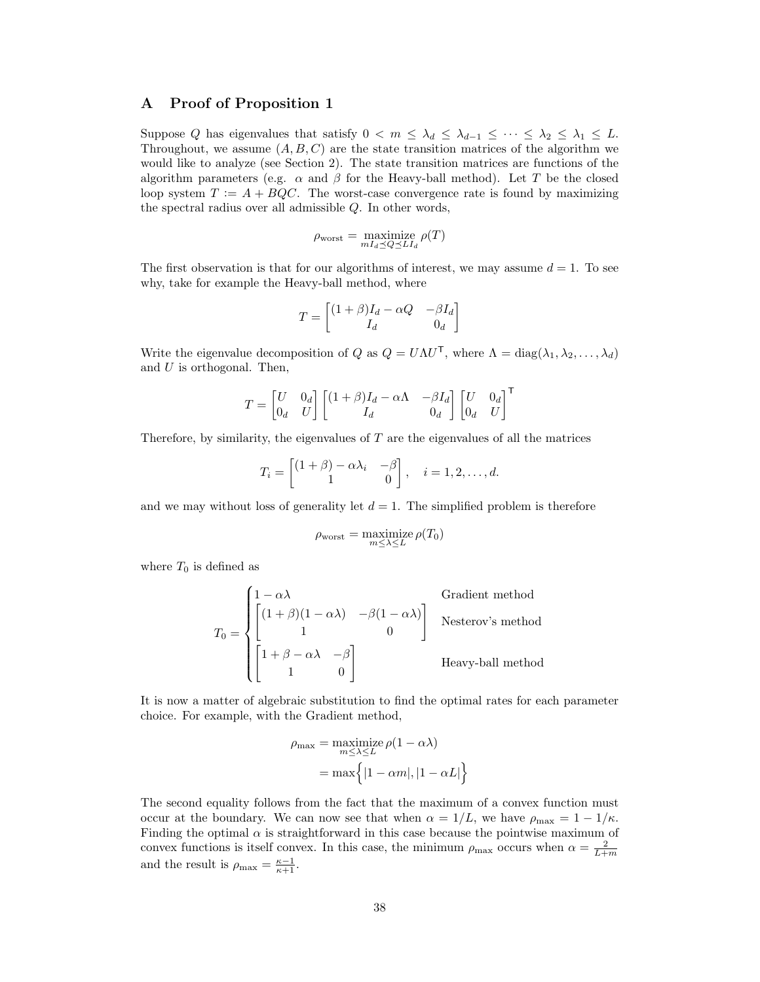# <span id="page-37-0"></span>A Proof of Proposition [1](#page-5-0)

Suppose Q has eigenvalues that satisfy  $0 < m \leq \lambda_d \leq \lambda_{d-1} \leq \cdots \leq \lambda_2 \leq \lambda_1 \leq L$ . Throughout, we assume  $(A, B, C)$  are the state transition matrices of the algorithm we would like to analyze (see Section [2\)](#page-2-2). The state transition matrices are functions of the algorithm parameters (e.g.  $\alpha$  and  $\beta$  for the Heavy-ball method). Let T be the closed loop system  $T := A + BQC$ . The worst-case convergence rate is found by maximizing the spectral radius over all admissible Q. In other words,

$$
\rho_{\text{worst}} = \underset{mI_d \preceq Q \preceq L I_d}{\text{maximize}} \rho(T)
$$

The first observation is that for our algorithms of interest, we may assume  $d = 1$ . To see why, take for example the Heavy-ball method, where

$$
T = \begin{bmatrix} (1+\beta)I_d - \alpha Q & -\beta I_d \\ I_d & 0_d \end{bmatrix}
$$

Write the eigenvalue decomposition of Q as  $Q = U\Lambda U^{\mathsf{T}}$ , where  $\Lambda = \text{diag}(\lambda_1, \lambda_2, \dots, \lambda_d)$ and  $U$  is orthogonal. Then,

$$
T = \begin{bmatrix} U & 0_d \\ 0_d & U \end{bmatrix} \begin{bmatrix} (1+\beta)I_d - \alpha\Lambda & -\beta I_d \\ I_d & 0_d \end{bmatrix} \begin{bmatrix} U & 0_d \\ 0_d & U \end{bmatrix}^{\mathsf{T}}
$$

Therefore, by similarity, the eigenvalues of  $T$  are the eigenvalues of all the matrices

$$
T_i = \begin{bmatrix} (1+\beta) - \alpha \lambda_i & -\beta \\ 1 & 0 \end{bmatrix}, \quad i = 1, 2, \dots, d.
$$

and we may without loss of generality let  $d = 1$ . The simplified problem is therefore

$$
\rho_{\text{worst}} = \underset{m \leq \lambda \leq L}{\text{maximize}} \rho(T_0)
$$

where  $T_0$  is defined as

$$
T_0 = \begin{cases} 1 - \alpha \lambda & \text{Gradient method} \\ \begin{bmatrix} (1 + \beta)(1 - \alpha \lambda) & -\beta(1 - \alpha \lambda) \\ 1 & 0 \end{bmatrix} & \text{Nesterov's method} \\ \begin{bmatrix} 1 + \beta - \alpha \lambda & -\beta \\ 1 & 0 \end{bmatrix} & \text{Heavy-ball method} \end{cases}
$$

It is now a matter of algebraic substitution to find the optimal rates for each parameter choice. For example, with the Gradient method,

$$
\rho_{\max} = \max_{m \le \lambda \le L} \text{max}(1 - \alpha \lambda)
$$

$$
= \max \{ |1 - \alpha m|, |1 - \alpha L| \}
$$

The second equality follows from the fact that the maximum of a convex function must occur at the boundary. We can now see that when  $\alpha = 1/L$ , we have  $\rho_{\text{max}} = 1 - 1/\kappa$ . Finding the optimal  $\alpha$  is straightforward in this case because the pointwise maximum of convex functions is itself convex. In this case, the minimum  $\rho_{\text{max}}$  occurs when  $\alpha = \frac{2}{L+m}$ and the result is  $\rho_{\text{max}} = \frac{\kappa - 1}{\kappa + 1}$ .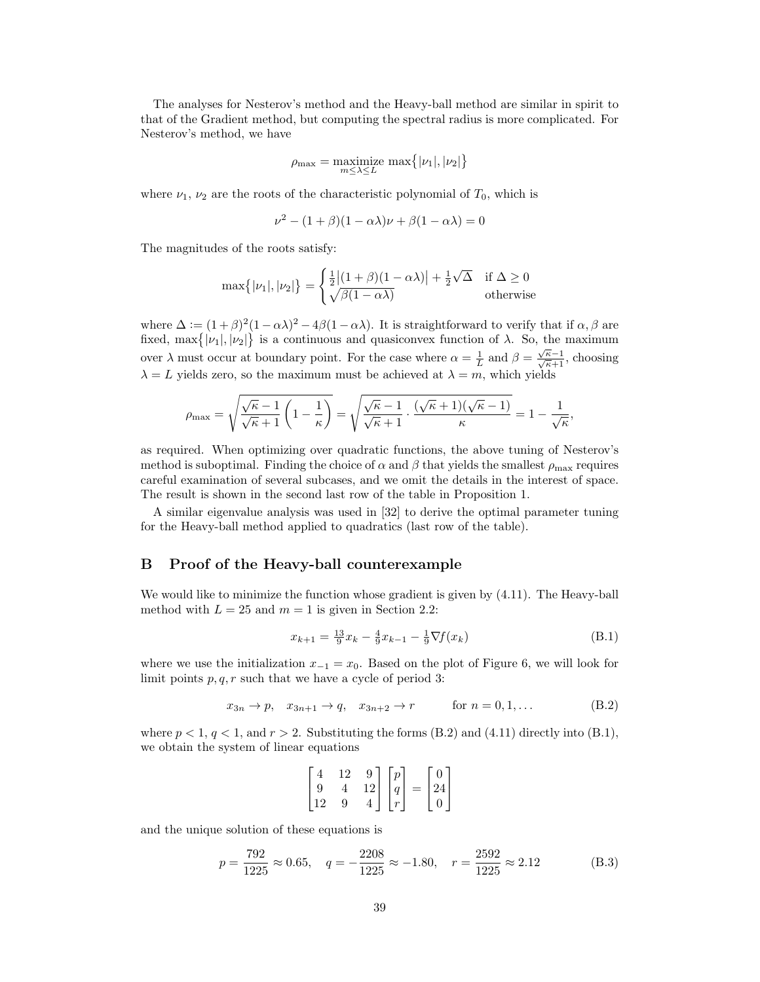The analyses for Nesterov's method and the Heavy-ball method are similar in spirit to that of the Gradient method, but computing the spectral radius is more complicated. For Nesterov's method, we have

$$
\rho_{\max} = \underset{m \leq \lambda \leq L}{\text{maximize}} \max\{|\nu_1|, |\nu_2|\}
$$

where  $\nu_1$ ,  $\nu_2$  are the roots of the characteristic polynomial of  $T_0$ , which is

$$
\nu^2 - (1+\beta)(1-\alpha\lambda)\nu + \beta(1-\alpha\lambda) = 0
$$

The magnitudes of the roots satisfy:

$$
\max\{| \nu_1|, | \nu_2|\} = \begin{cases} \frac{1}{2} |(1+\beta)(1-\alpha\lambda)| + \frac{1}{2}\sqrt{\Delta} & \text{if } \Delta \ge 0\\ \sqrt{\beta(1-\alpha\lambda)} & \text{otherwise} \end{cases}
$$

where  $\Delta := (1+\beta)^2(1-\alpha\lambda)^2 - 4\beta(1-\alpha\lambda)$ . It is straightforward to verify that if  $\alpha, \beta$  are fixed, max $\{|\nu_1|, |\nu_2|\}$  is a continuous and quasiconvex function of  $\lambda$ . So, the maximum over  $\lambda$  must occur at boundary point. For the case where  $\alpha = \frac{1}{L}$  and  $\beta = \frac{\sqrt{\kappa}-1}{\sqrt{\kappa}+1}$ , choosing  $\lambda = L$  yields zero, so the maximum must be achieved at  $\lambda = m$ , which yields

$$
\rho_{\max} = \sqrt{\frac{\sqrt{\kappa} - 1}{\sqrt{\kappa} + 1} \left( 1 - \frac{1}{\kappa} \right)} = \sqrt{\frac{\sqrt{\kappa} - 1}{\sqrt{\kappa} + 1} \cdot \frac{(\sqrt{\kappa} + 1)(\sqrt{\kappa} - 1)}{\kappa}} = 1 - \frac{1}{\sqrt{\kappa}},
$$

as required. When optimizing over quadratic functions, the above tuning of Nesterov's method is suboptimal. Finding the choice of  $\alpha$  and  $\beta$  that yields the smallest  $\rho_{\text{max}}$  requires careful examination of several subcases, and we omit the details in the interest of space. The result is shown in the second last row of the table in Proposition [1.](#page-5-0)

A similar eigenvalue analysis was used in [\[32\]](#page-36-11) to derive the optimal parameter tuning for the Heavy-ball method applied to quadratics (last row of the table).

# <span id="page-38-0"></span>B Proof of the Heavy-ball counterexample

We would like to minimize the function whose gradient is given by  $(4.11)$ . The Heavy-ball method with  $L = 25$  and  $m = 1$  is given in Section [2.2:](#page-4-2)

<span id="page-38-2"></span>
$$
x_{k+1} = \frac{13}{9}x_k - \frac{4}{9}x_{k-1} - \frac{1}{9}\nabla f(x_k)
$$
 (B.1)

where we use the initialization  $x_{-1} = x_0$ . Based on the plot of Figure [6,](#page-23-0) we will look for limit points  $p, q, r$  such that we have a cycle of period 3:

<span id="page-38-1"></span>
$$
x_{3n} \to p
$$
,  $x_{3n+1} \to q$ ,  $x_{3n+2} \to r$  for  $n = 0, 1, ...$  (B.2)

where  $p < 1$ ,  $q < 1$ , and  $r > 2$ . Substituting the forms [\(B.2\)](#page-38-1) and [\(4.11\)](#page-22-1) directly into [\(B.1\)](#page-38-2), we obtain the system of linear equations

$$
\begin{bmatrix} 4 & 12 & 9 \ 9 & 4 & 12 \ 12 & 9 & 4 \end{bmatrix} \begin{bmatrix} p \ q \ r \end{bmatrix} = \begin{bmatrix} 0 \ 24 \ 0 \end{bmatrix}
$$

and the unique solution of these equations is

<span id="page-38-3"></span>
$$
p = \frac{792}{1225} \approx 0.65, \quad q = -\frac{2208}{1225} \approx -1.80, \quad r = \frac{2592}{1225} \approx 2.12
$$
 (B.3)